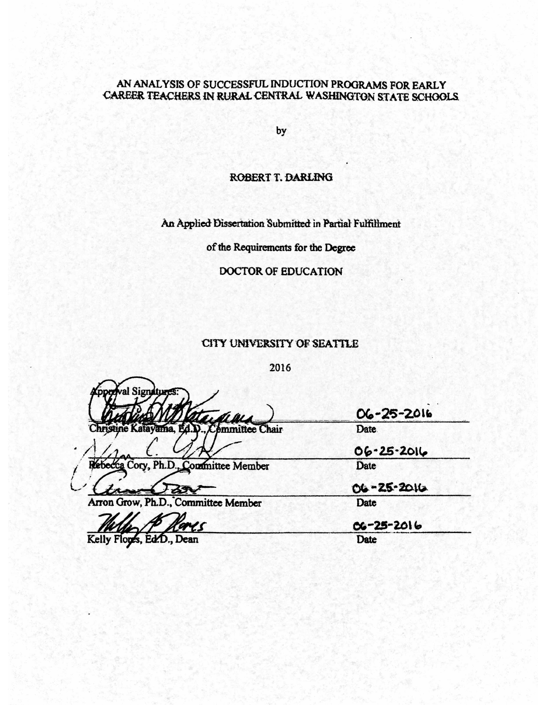# AN ANALYSIS OF SUCCESSFUL INDUCTION PROGRAMS FOR EARLY CAREER TEACHERS IN RURAL CENTRAL WASHINGTON STATE SCHOOLS

by

# ROBERT T. DARLING

An Applied Dissertation Submitted in Partial Fulfillment

of the Requirements for the Degree

# DOCTOR OF EDUCATION

# CITY UNIVERSITY OF SEATTLE

2016

Sion tristine Katayama. ommittee Chair

Arron Grow, Ph.D., Committee Member

Cory, Ph.D., Committee Member

 $06 - 25 - 2016$ Date.

 $06 - 25 - 2016$ Date

06-25-2016 Date

 $06 - 25 - 2016$ 

Kelly Flops, Ed.D., Dean

Date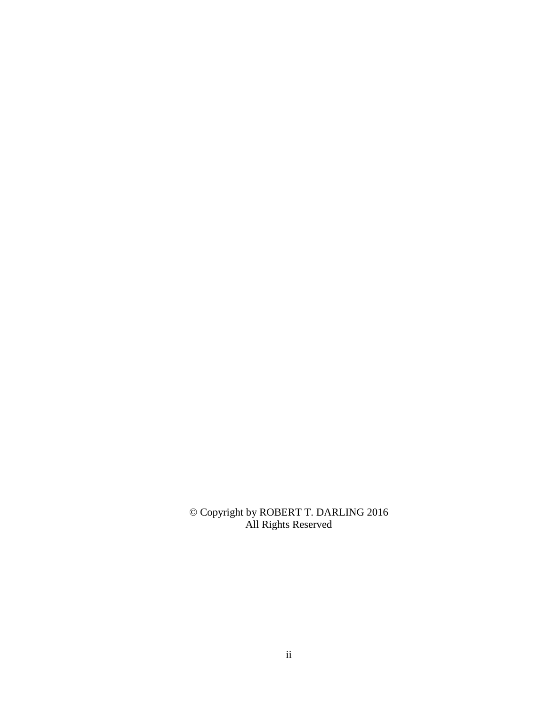© Copyright by ROBERT T. DARLING 2016 All Rights Reserved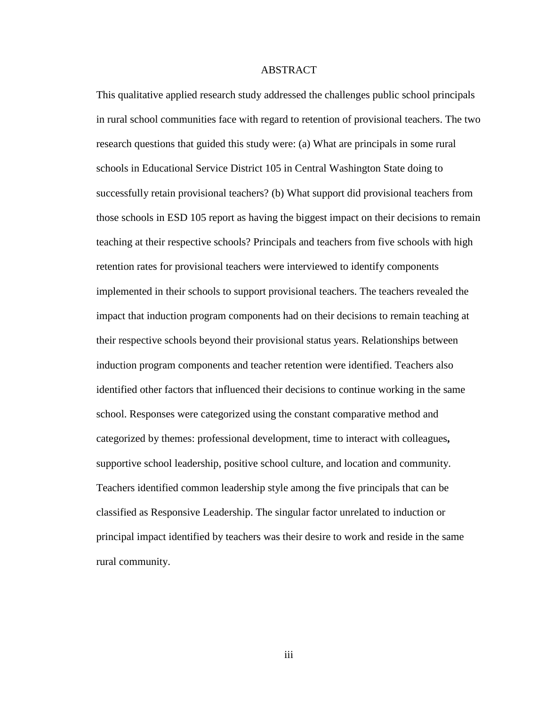# ABSTRACT

This qualitative applied research study addressed the challenges public school principals in rural school communities face with regard to retention of provisional teachers. The two research questions that guided this study were: (a) What are principals in some rural schools in Educational Service District 105 in Central Washington State doing to successfully retain provisional teachers? (b) What support did provisional teachers from those schools in ESD 105 report as having the biggest impact on their decisions to remain teaching at their respective schools? Principals and teachers from five schools with high retention rates for provisional teachers were interviewed to identify components implemented in their schools to support provisional teachers. The teachers revealed the impact that induction program components had on their decisions to remain teaching at their respective schools beyond their provisional status years. Relationships between induction program components and teacher retention were identified. Teachers also identified other factors that influenced their decisions to continue working in the same school. Responses were categorized using the constant comparative method and categorized by themes: professional development, time to interact with colleagues**,**  supportive school leadership, positive school culture, and location and community. Teachers identified common leadership style among the five principals that can be classified as Responsive Leadership. The singular factor unrelated to induction or principal impact identified by teachers was their desire to work and reside in the same rural community.

iii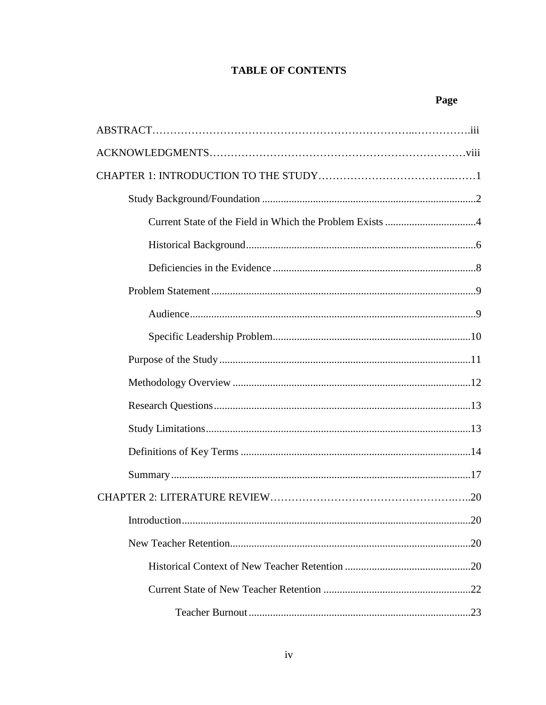# **TABLE OF CONTENTS**

# Page

| <b>The Committee of Committee Committee</b> |
|---------------------------------------------|
|                                             |
|                                             |
|                                             |
|                                             |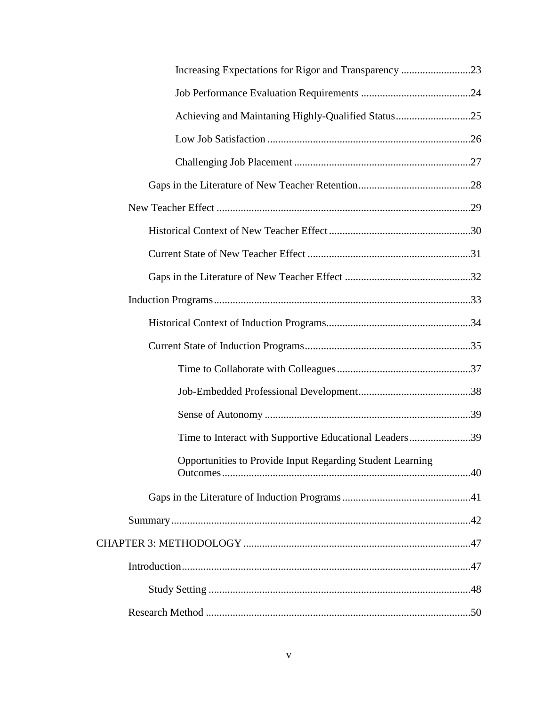| Time to Interact with Supportive Educational Leaders39    |  |
|-----------------------------------------------------------|--|
| Opportunities to Provide Input Regarding Student Learning |  |
|                                                           |  |
|                                                           |  |
|                                                           |  |
|                                                           |  |
|                                                           |  |
|                                                           |  |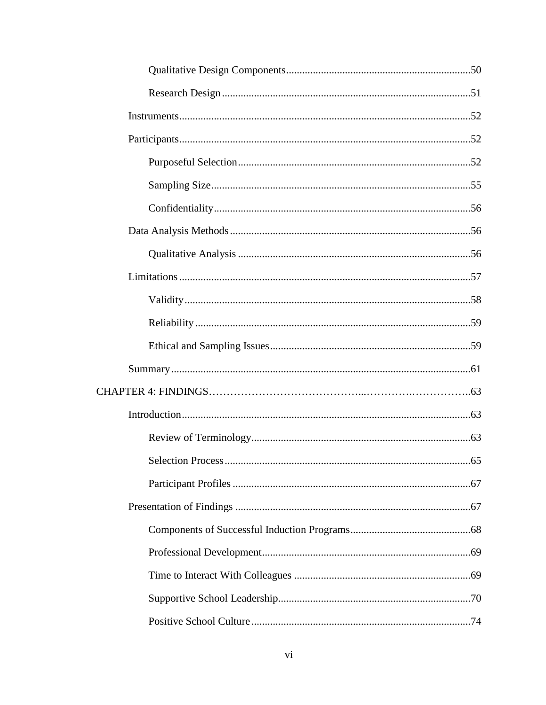| Selection Process | 65 |
|-------------------|----|
|                   |    |
|                   |    |
|                   |    |
|                   |    |
|                   |    |
|                   |    |
|                   |    |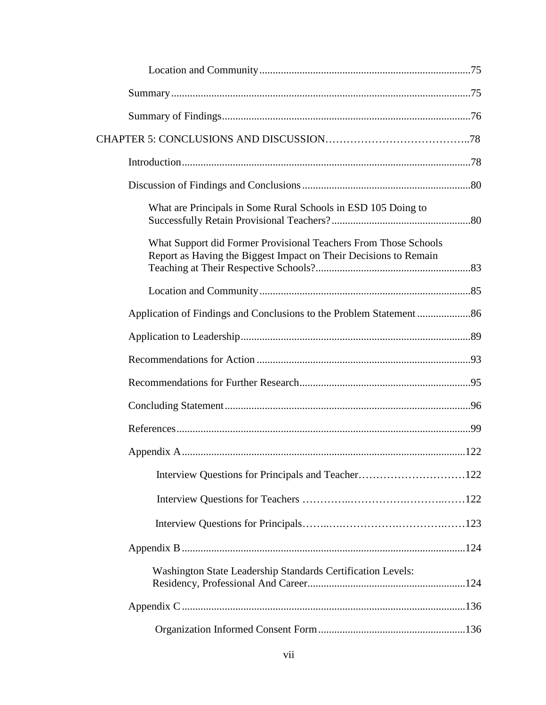| What are Principals in Some Rural Schools in ESD 105 Doing to                                                                       |  |
|-------------------------------------------------------------------------------------------------------------------------------------|--|
| What Support did Former Provisional Teachers From Those Schools<br>Report as Having the Biggest Impact on Their Decisions to Remain |  |
|                                                                                                                                     |  |
|                                                                                                                                     |  |
|                                                                                                                                     |  |
|                                                                                                                                     |  |
|                                                                                                                                     |  |
|                                                                                                                                     |  |
|                                                                                                                                     |  |
|                                                                                                                                     |  |
| Interview Questions for Principals and Teacher122                                                                                   |  |
|                                                                                                                                     |  |
|                                                                                                                                     |  |
|                                                                                                                                     |  |
| Washington State Leadership Standards Certification Levels:                                                                         |  |
|                                                                                                                                     |  |
|                                                                                                                                     |  |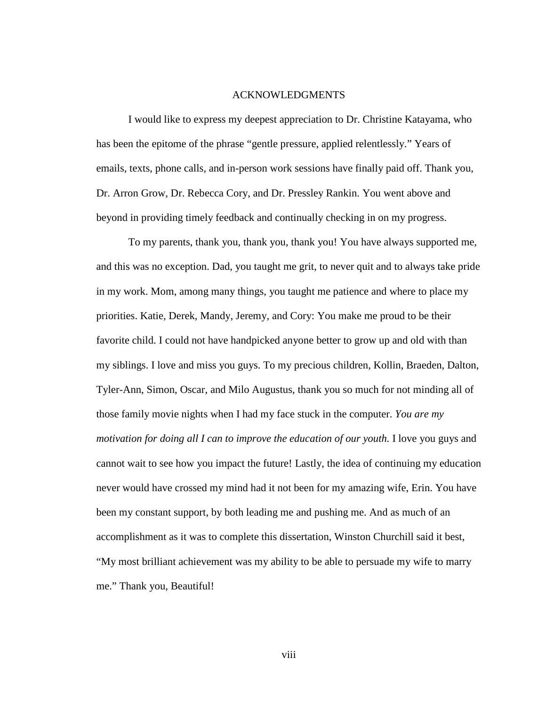# ACKNOWLEDGMENTS

I would like to express my deepest appreciation to Dr. Christine Katayama, who has been the epitome of the phrase "gentle pressure, applied relentlessly." Years of emails, texts, phone calls, and in-person work sessions have finally paid off. Thank you, Dr. Arron Grow, Dr. Rebecca Cory, and Dr. Pressley Rankin. You went above and beyond in providing timely feedback and continually checking in on my progress.

To my parents, thank you, thank you, thank you! You have always supported me, and this was no exception. Dad, you taught me grit, to never quit and to always take pride in my work. Mom, among many things, you taught me patience and where to place my priorities. Katie, Derek, Mandy, Jeremy, and Cory: You make me proud to be their favorite child. I could not have handpicked anyone better to grow up and old with than my siblings. I love and miss you guys. To my precious children, Kollin, Braeden, Dalton, Tyler-Ann, Simon, Oscar, and Milo Augustus, thank you so much for not minding all of those family movie nights when I had my face stuck in the computer. *You are my motivation for doing all I can to improve the education of our youth.* I love you guys and cannot wait to see how you impact the future! Lastly, the idea of continuing my education never would have crossed my mind had it not been for my amazing wife, Erin. You have been my constant support, by both leading me and pushing me. And as much of an accomplishment as it was to complete this dissertation, Winston Churchill said it best, "My most brilliant achievement was my ability to be able to persuade my wife to marry me." Thank you, Beautiful!

viii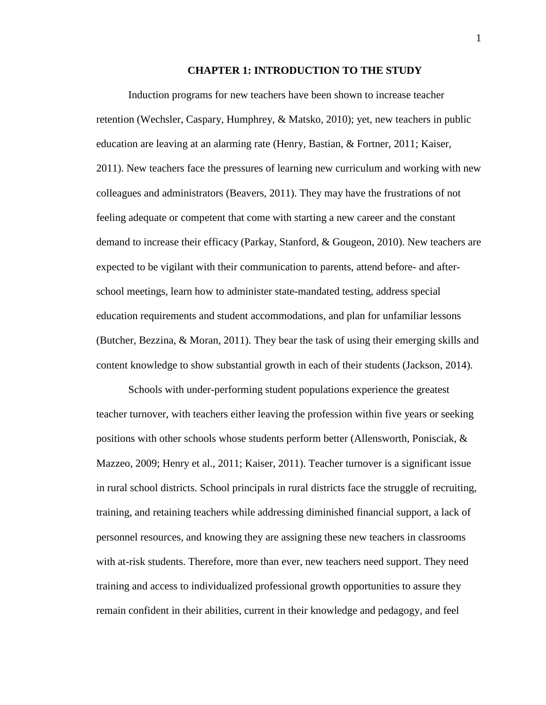### **CHAPTER 1: INTRODUCTION TO THE STUDY**

Induction programs for new teachers have been shown to increase teacher retention (Wechsler, Caspary, Humphrey, & Matsko, 2010); yet, new teachers in public education are leaving at an alarming rate (Henry, Bastian, & Fortner, 2011; Kaiser, 2011). New teachers face the pressures of learning new curriculum and working with new colleagues and administrators (Beavers, 2011). They may have the frustrations of not feeling adequate or competent that come with starting a new career and the constant demand to increase their efficacy (Parkay, Stanford, & Gougeon, 2010). New teachers are expected to be vigilant with their communication to parents, attend before- and afterschool meetings, learn how to administer state-mandated testing, address special education requirements and student accommodations, and plan for unfamiliar lessons (Butcher, Bezzina, & Moran, 2011). They bear the task of using their emerging skills and content knowledge to show substantial growth in each of their students (Jackson, 2014).

Schools with under-performing student populations experience the greatest teacher turnover, with teachers either leaving the profession within five years or seeking positions with other schools whose students perform better (Allensworth, Ponisciak, & Mazzeo, 2009; Henry et al., 2011; Kaiser, 2011). Teacher turnover is a significant issue in rural school districts. School principals in rural districts face the struggle of recruiting, training, and retaining teachers while addressing diminished financial support, a lack of personnel resources, and knowing they are assigning these new teachers in classrooms with at-risk students. Therefore, more than ever, new teachers need support. They need training and access to individualized professional growth opportunities to assure they remain confident in their abilities, current in their knowledge and pedagogy, and feel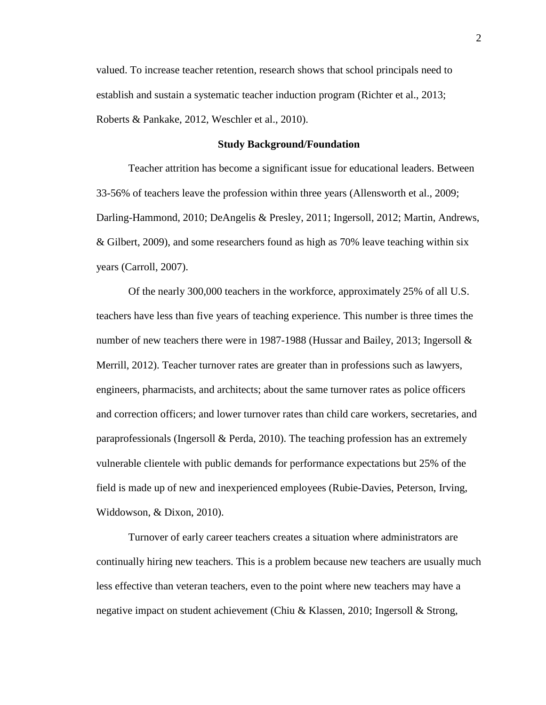valued. To increase teacher retention, research shows that school principals need to establish and sustain a systematic teacher induction program (Richter et al., 2013; Roberts & Pankake, 2012, Weschler et al., 2010).

# **Study Background/Foundation**

Teacher attrition has become a significant issue for educational leaders. Between 33-56% of teachers leave the profession within three years (Allensworth et al., 2009; Darling-Hammond, 2010; DeAngelis & Presley, 2011; Ingersoll, 2012; Martin, Andrews, & Gilbert, 2009), and some researchers found as high as 70% leave teaching within six years (Carroll, 2007).

Of the nearly 300,000 teachers in the workforce, approximately 25% of all U.S. teachers have less than five years of teaching experience. This number is three times the number of new teachers there were in 1987-1988 (Hussar and Bailey, 2013; Ingersoll & Merrill, 2012). Teacher turnover rates are greater than in professions such as lawyers, engineers, pharmacists, and architects; about the same turnover rates as police officers and correction officers; and lower turnover rates than child care workers, secretaries, and paraprofessionals (Ingersoll & Perda, 2010). The teaching profession has an extremely vulnerable clientele with public demands for performance expectations but 25% of the field is made up of new and inexperienced employees (Rubie-Davies, Peterson, Irving, Widdowson, & Dixon, 2010).

Turnover of early career teachers creates a situation where administrators are continually hiring new teachers. This is a problem because new teachers are usually much less effective than veteran teachers, even to the point where new teachers may have a negative impact on student achievement (Chiu & Klassen, 2010; Ingersoll & Strong,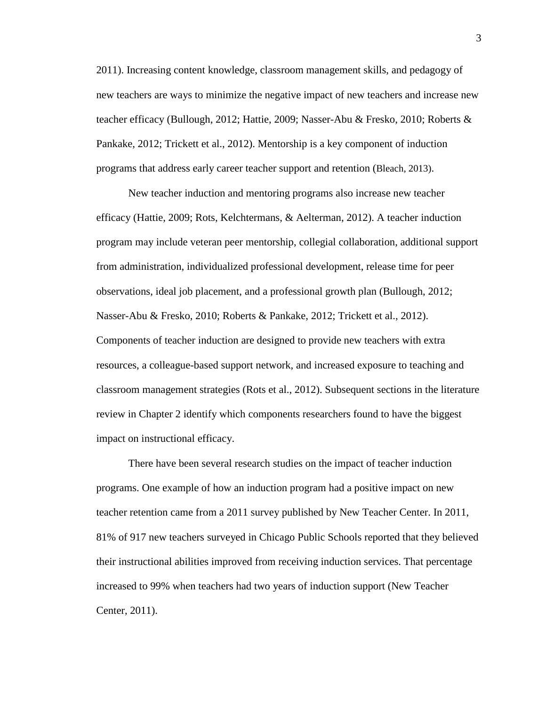2011). Increasing content knowledge, classroom management skills, and pedagogy of new teachers are ways to minimize the negative impact of new teachers and increase new teacher efficacy (Bullough, 2012; Hattie, 2009; Nasser-Abu & Fresko, 2010; Roberts & Pankake, 2012; Trickett et al., 2012). Mentorship is a key component of induction programs that address early career teacher support and retention (Bleach, 2013).

New teacher induction and mentoring programs also increase new teacher efficacy (Hattie, 2009; Rots, Kelchtermans, & Aelterman, 2012). A teacher induction program may include veteran peer mentorship, collegial collaboration, additional support from administration, individualized professional development, release time for peer observations, ideal job placement, and a professional growth plan (Bullough, 2012; Nasser-Abu & Fresko, 2010; Roberts & Pankake, 2012; Trickett et al., 2012). Components of teacher induction are designed to provide new teachers with extra resources, a colleague-based support network, and increased exposure to teaching and classroom management strategies (Rots et al., 2012). Subsequent sections in the literature review in Chapter 2 identify which components researchers found to have the biggest impact on instructional efficacy.

There have been several research studies on the impact of teacher induction programs. One example of how an induction program had a positive impact on new teacher retention came from a 2011 survey published by New Teacher Center. In 2011, 81% of 917 new teachers surveyed in Chicago Public Schools reported that they believed their instructional abilities improved from receiving induction services. That percentage increased to 99% when teachers had two years of induction support (New Teacher Center, 2011).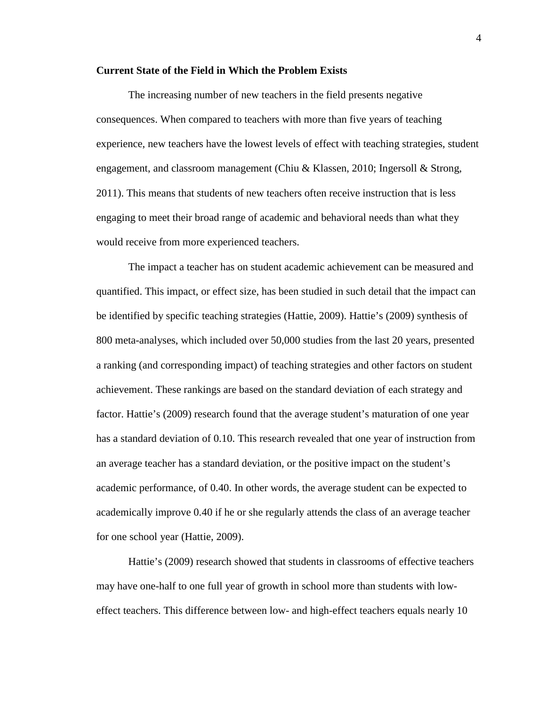## **Current State of the Field in Which the Problem Exists**

The increasing number of new teachers in the field presents negative consequences. When compared to teachers with more than five years of teaching experience, new teachers have the lowest levels of effect with teaching strategies, student engagement, and classroom management (Chiu & Klassen, 2010; Ingersoll & Strong, 2011). This means that students of new teachers often receive instruction that is less engaging to meet their broad range of academic and behavioral needs than what they would receive from more experienced teachers.

The impact a teacher has on student academic achievement can be measured and quantified. This impact, or effect size, has been studied in such detail that the impact can be identified by specific teaching strategies (Hattie, 2009). Hattie's (2009) synthesis of 800 meta-analyses, which included over 50,000 studies from the last 20 years, presented a ranking (and corresponding impact) of teaching strategies and other factors on student achievement. These rankings are based on the standard deviation of each strategy and factor. Hattie's (2009) research found that the average student's maturation of one year has a standard deviation of 0.10. This research revealed that one year of instruction from an average teacher has a standard deviation, or the positive impact on the student's academic performance, of 0.40. In other words, the average student can be expected to academically improve 0.40 if he or she regularly attends the class of an average teacher for one school year (Hattie, 2009).

Hattie's (2009) research showed that students in classrooms of effective teachers may have one-half to one full year of growth in school more than students with loweffect teachers. This difference between low- and high-effect teachers equals nearly 10

4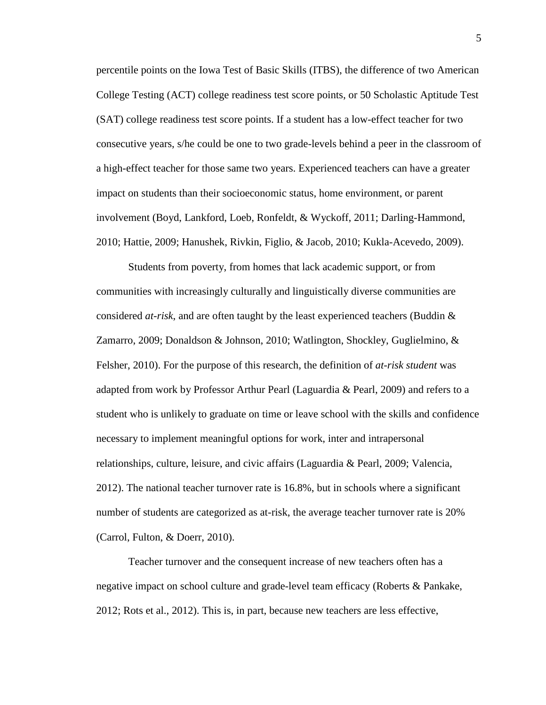percentile points on the Iowa Test of Basic Skills (ITBS), the difference of two American College Testing (ACT) college readiness test score points, or 50 Scholastic Aptitude Test (SAT) college readiness test score points. If a student has a low-effect teacher for two consecutive years, s/he could be one to two grade-levels behind a peer in the classroom of a high-effect teacher for those same two years. Experienced teachers can have a greater impact on students than their socioeconomic status, home environment, or parent involvement (Boyd, Lankford, Loeb, Ronfeldt, & Wyckoff, 2011; Darling-Hammond, 2010; Hattie, 2009; Hanushek, Rivkin, Figlio, & Jacob, 2010; Kukla-Acevedo, 2009).

Students from poverty, from homes that lack academic support, or from communities with increasingly culturally and linguistically diverse communities are considered *at-risk*, and are often taught by the least experienced teachers (Buddin & Zamarro, 2009; Donaldson & Johnson, 2010; Watlington, Shockley, Guglielmino, & Felsher, 2010). For the purpose of this research, the definition of *at-risk student* was adapted from work by Professor Arthur Pearl (Laguardia & Pearl, 2009) and refers to a student who is unlikely to graduate on time or leave school with the skills and confidence necessary to implement meaningful options for work, inter and intrapersonal relationships, culture, leisure, and civic affairs (Laguardia & Pearl, 2009; Valencia, 2012). The national teacher turnover rate is 16.8%, but in schools where a significant number of students are categorized as at-risk, the average teacher turnover rate is 20% (Carrol, Fulton, & Doerr, 2010).

Teacher turnover and the consequent increase of new teachers often has a negative impact on school culture and grade-level team efficacy (Roberts & Pankake, 2012; Rots et al., 2012). This is, in part, because new teachers are less effective,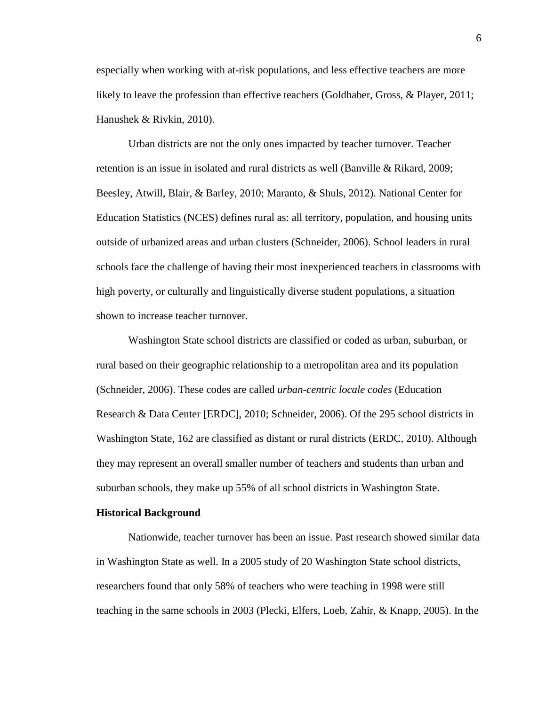especially when working with at-risk populations, and less effective teachers are more likely to leave the profession than effective teachers (Goldhaber, Gross, & Player, 2011; Hanushek & Rivkin, 2010).

Urban districts are not the only ones impacted by teacher turnover. Teacher retention is an issue in isolated and rural districts as well (Banville & Rikard, 2009; Beesley, Atwill, Blair, & Barley, 2010; Maranto, & Shuls, 2012). National Center for Education Statistics (NCES) defines rural as: all territory, population, and housing units outside of urbanized areas and urban clusters (Schneider, 2006). School leaders in rural schools face the challenge of having their most inexperienced teachers in classrooms with high poverty, or culturally and linguistically diverse student populations, a situation shown to increase teacher turnover.

Washington State school districts are classified or coded as urban, suburban, or rural based on their geographic relationship to a metropolitan area and its population (Schneider, 2006). These codes are called *urban-centric locale codes* (Education Research & Data Center [ERDC], 2010; Schneider, 2006). Of the 295 school districts in Washington State, 162 are classified as distant or rural districts (ERDC, 2010). Although they may represent an overall smaller number of teachers and students than urban and suburban schools, they make up 55% of all school districts in Washington State.

#### **Historical Background**

Nationwide, teacher turnover has been an issue. Past research showed similar data in Washington State as well. In a 2005 study of 20 Washington State school districts, researchers found that only 58% of teachers who were teaching in 1998 were still teaching in the same schools in 2003 (Plecki, Elfers, Loeb, Zahir, & Knapp, 2005). In the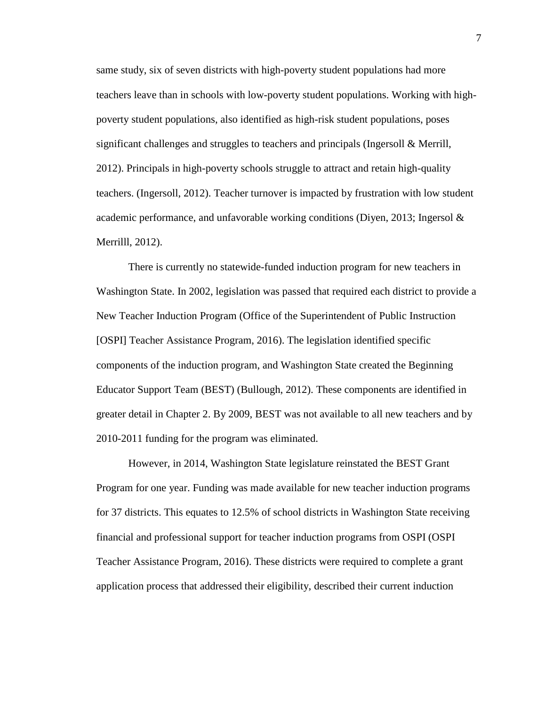same study, six of seven districts with high-poverty student populations had more teachers leave than in schools with low-poverty student populations. Working with highpoverty student populations, also identified as high-risk student populations, poses significant challenges and struggles to teachers and principals (Ingersoll & Merrill, 2012). Principals in high-poverty schools struggle to attract and retain high-quality teachers. (Ingersoll, 2012). Teacher turnover is impacted by frustration with low student academic performance, and unfavorable working conditions (Diyen, 2013; Ingersol  $\&$ Merrilll, 2012).

There is currently no statewide-funded induction program for new teachers in Washington State. In 2002, legislation was passed that required each district to provide a New Teacher Induction Program (Office of the Superintendent of Public Instruction [OSPI] Teacher Assistance Program, 2016). The legislation identified specific components of the induction program, and Washington State created the Beginning Educator Support Team (BEST) (Bullough, 2012). These components are identified in greater detail in Chapter 2. By 2009, BEST was not available to all new teachers and by 2010-2011 funding for the program was eliminated.

However, in 2014, Washington State legislature reinstated the BEST Grant Program for one year. Funding was made available for new teacher induction programs for 37 districts. This equates to 12.5% of school districts in Washington State receiving financial and professional support for teacher induction programs from OSPI (OSPI Teacher Assistance Program, 2016). These districts were required to complete a grant application process that addressed their eligibility, described their current induction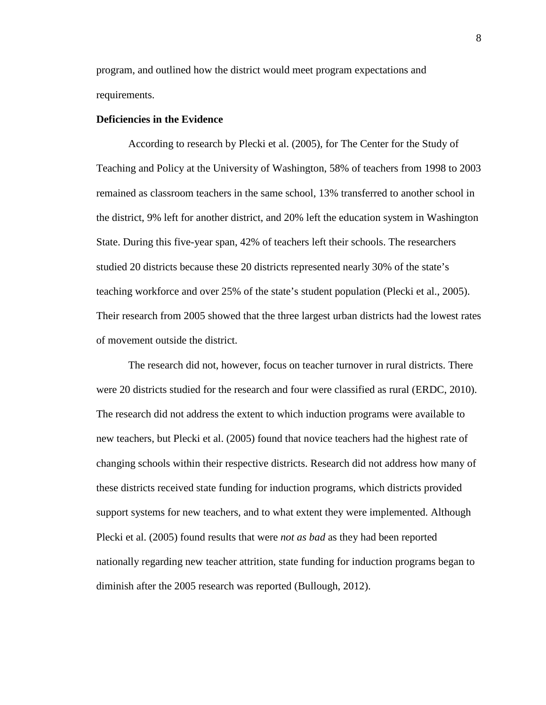program, and outlined how the district would meet program expectations and requirements.

# **Deficiencies in the Evidence**

According to research by Plecki et al. (2005), for The Center for the Study of Teaching and Policy at the University of Washington, 58% of teachers from 1998 to 2003 remained as classroom teachers in the same school, 13% transferred to another school in the district, 9% left for another district, and 20% left the education system in Washington State. During this five-year span, 42% of teachers left their schools. The researchers studied 20 districts because these 20 districts represented nearly 30% of the state's teaching workforce and over 25% of the state's student population (Plecki et al., 2005). Their research from 2005 showed that the three largest urban districts had the lowest rates of movement outside the district.

The research did not, however, focus on teacher turnover in rural districts. There were 20 districts studied for the research and four were classified as rural (ERDC, 2010). The research did not address the extent to which induction programs were available to new teachers, but Plecki et al. (2005) found that novice teachers had the highest rate of changing schools within their respective districts. Research did not address how many of these districts received state funding for induction programs, which districts provided support systems for new teachers, and to what extent they were implemented. Although Plecki et al. (2005) found results that were *not as bad* as they had been reported nationally regarding new teacher attrition, state funding for induction programs began to diminish after the 2005 research was reported (Bullough, 2012).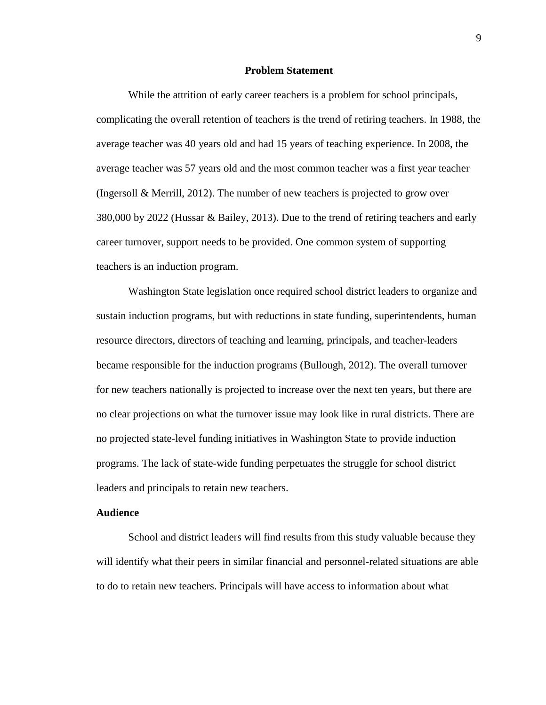## **Problem Statement**

While the attrition of early career teachers is a problem for school principals, complicating the overall retention of teachers is the trend of retiring teachers. In 1988, the average teacher was 40 years old and had 15 years of teaching experience. In 2008, the average teacher was 57 years old and the most common teacher was a first year teacher (Ingersoll & Merrill, 2012). The number of new teachers is projected to grow over 380,000 by 2022 (Hussar & Bailey, 2013). Due to the trend of retiring teachers and early career turnover, support needs to be provided. One common system of supporting teachers is an induction program.

Washington State legislation once required school district leaders to organize and sustain induction programs, but with reductions in state funding, superintendents, human resource directors, directors of teaching and learning, principals, and teacher-leaders became responsible for the induction programs (Bullough, 2012). The overall turnover for new teachers nationally is projected to increase over the next ten years, but there are no clear projections on what the turnover issue may look like in rural districts. There are no projected state-level funding initiatives in Washington State to provide induction programs. The lack of state-wide funding perpetuates the struggle for school district leaders and principals to retain new teachers.

# **Audience**

School and district leaders will find results from this study valuable because they will identify what their peers in similar financial and personnel-related situations are able to do to retain new teachers. Principals will have access to information about what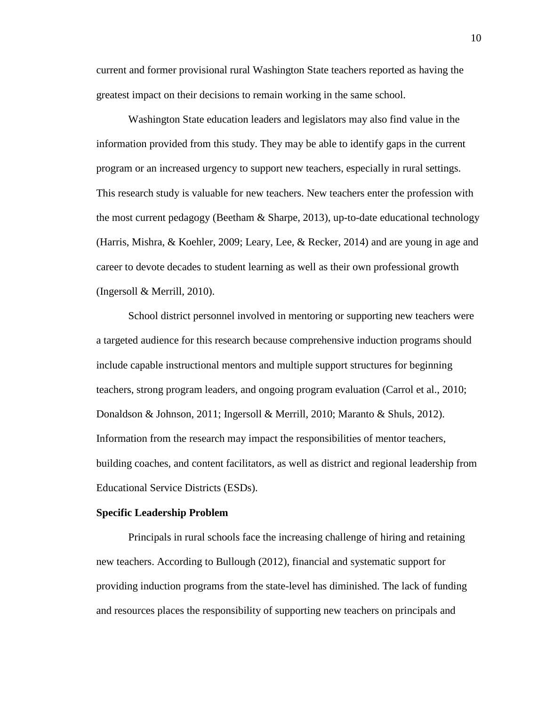current and former provisional rural Washington State teachers reported as having the greatest impact on their decisions to remain working in the same school.

Washington State education leaders and legislators may also find value in the information provided from this study. They may be able to identify gaps in the current program or an increased urgency to support new teachers, especially in rural settings. This research study is valuable for new teachers. New teachers enter the profession with the most current pedagogy (Beetham & Sharpe, 2013), up-to-date educational technology (Harris, Mishra, & Koehler, 2009; Leary, Lee, & Recker, 2014) and are young in age and career to devote decades to student learning as well as their own professional growth (Ingersoll & Merrill, 2010).

School district personnel involved in mentoring or supporting new teachers were a targeted audience for this research because comprehensive induction programs should include capable instructional mentors and multiple support structures for beginning teachers, strong program leaders, and ongoing program evaluation (Carrol et al., 2010; Donaldson & Johnson, 2011; Ingersoll & Merrill, 2010; Maranto & Shuls, 2012). Information from the research may impact the responsibilities of mentor teachers, building coaches, and content facilitators, as well as district and regional leadership from Educational Service Districts (ESDs).

#### **Specific Leadership Problem**

Principals in rural schools face the increasing challenge of hiring and retaining new teachers. According to Bullough (2012), financial and systematic support for providing induction programs from the state-level has diminished. The lack of funding and resources places the responsibility of supporting new teachers on principals and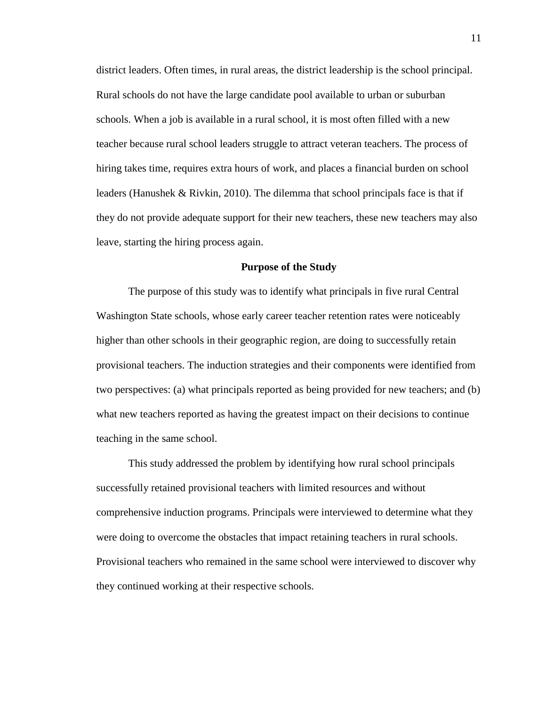district leaders. Often times, in rural areas, the district leadership is the school principal. Rural schools do not have the large candidate pool available to urban or suburban schools. When a job is available in a rural school, it is most often filled with a new teacher because rural school leaders struggle to attract veteran teachers. The process of hiring takes time, requires extra hours of work, and places a financial burden on school leaders (Hanushek & Rivkin, 2010). The dilemma that school principals face is that if they do not provide adequate support for their new teachers, these new teachers may also leave, starting the hiring process again.

#### **Purpose of the Study**

The purpose of this study was to identify what principals in five rural Central Washington State schools, whose early career teacher retention rates were noticeably higher than other schools in their geographic region, are doing to successfully retain provisional teachers. The induction strategies and their components were identified from two perspectives: (a) what principals reported as being provided for new teachers; and (b) what new teachers reported as having the greatest impact on their decisions to continue teaching in the same school.

This study addressed the problem by identifying how rural school principals successfully retained provisional teachers with limited resources and without comprehensive induction programs. Principals were interviewed to determine what they were doing to overcome the obstacles that impact retaining teachers in rural schools. Provisional teachers who remained in the same school were interviewed to discover why they continued working at their respective schools.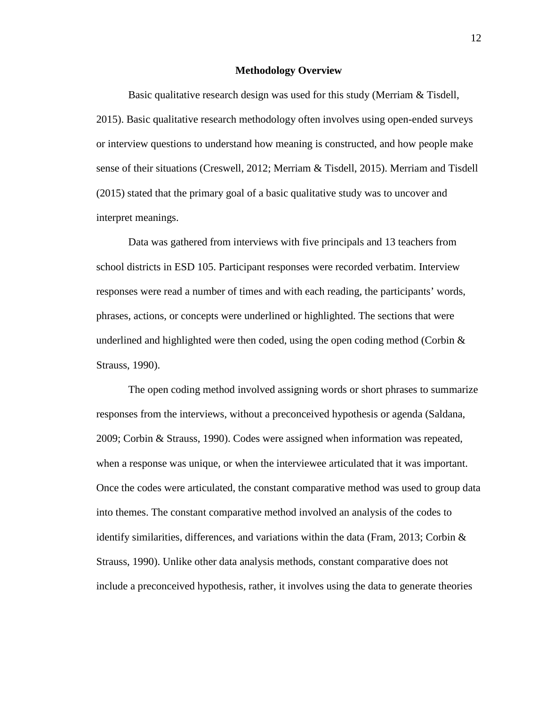#### **Methodology Overview**

Basic qualitative research design was used for this study (Merriam & Tisdell, 2015). Basic qualitative research methodology often involves using open-ended surveys or interview questions to understand how meaning is constructed, and how people make sense of their situations (Creswell, 2012; Merriam & Tisdell, 2015). Merriam and Tisdell (2015) stated that the primary goal of a basic qualitative study was to uncover and interpret meanings.

Data was gathered from interviews with five principals and 13 teachers from school districts in ESD 105. Participant responses were recorded verbatim. Interview responses were read a number of times and with each reading, the participants' words, phrases, actions, or concepts were underlined or highlighted. The sections that were underlined and highlighted were then coded, using the open coding method (Corbin  $\&$ Strauss, 1990).

The open coding method involved assigning words or short phrases to summarize responses from the interviews, without a preconceived hypothesis or agenda (Saldana, 2009; Corbin & Strauss, 1990). Codes were assigned when information was repeated, when a response was unique, or when the interviewee articulated that it was important. Once the codes were articulated, the constant comparative method was used to group data into themes. The constant comparative method involved an analysis of the codes to identify similarities, differences, and variations within the data (Fram, 2013; Corbin  $\&$ Strauss, 1990). Unlike other data analysis methods, constant comparative does not include a preconceived hypothesis, rather, it involves using the data to generate theories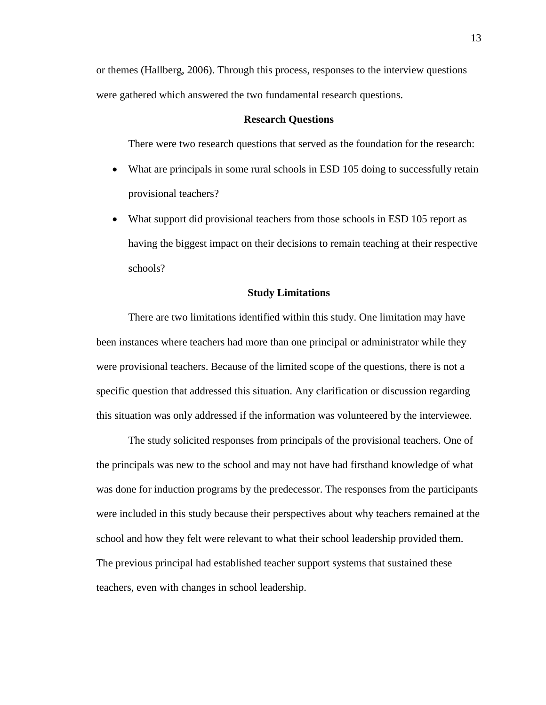or themes (Hallberg, 2006). Through this process, responses to the interview questions were gathered which answered the two fundamental research questions.

#### **Research Questions**

There were two research questions that served as the foundation for the research:

- What are principals in some rural schools in ESD 105 doing to successfully retain provisional teachers?
- What support did provisional teachers from those schools in ESD 105 report as having the biggest impact on their decisions to remain teaching at their respective schools?

# **Study Limitations**

There are two limitations identified within this study. One limitation may have been instances where teachers had more than one principal or administrator while they were provisional teachers. Because of the limited scope of the questions, there is not a specific question that addressed this situation. Any clarification or discussion regarding this situation was only addressed if the information was volunteered by the interviewee.

The study solicited responses from principals of the provisional teachers. One of the principals was new to the school and may not have had firsthand knowledge of what was done for induction programs by the predecessor. The responses from the participants were included in this study because their perspectives about why teachers remained at the school and how they felt were relevant to what their school leadership provided them. The previous principal had established teacher support systems that sustained these teachers, even with changes in school leadership.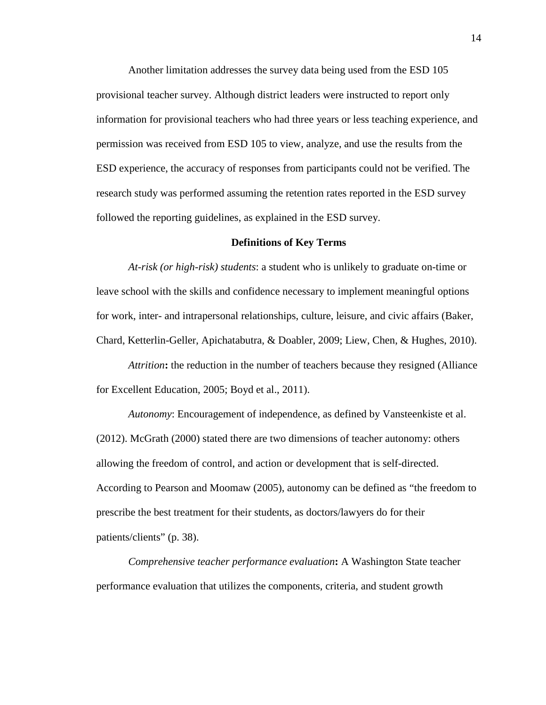Another limitation addresses the survey data being used from the ESD 105 provisional teacher survey. Although district leaders were instructed to report only information for provisional teachers who had three years or less teaching experience, and permission was received from ESD 105 to view, analyze, and use the results from the ESD experience, the accuracy of responses from participants could not be verified. The research study was performed assuming the retention rates reported in the ESD survey followed the reporting guidelines, as explained in the ESD survey.

#### **Definitions of Key Terms**

*At-risk (or high-risk) students*: a student who is unlikely to graduate on-time or leave school with the skills and confidence necessary to implement meaningful options for work, inter- and intrapersonal relationships, culture, leisure, and civic affairs (Baker, Chard, Ketterlin-Geller, Apichatabutra, & Doabler, 2009; Liew, Chen, & Hughes, 2010).

*Attrition***:** the reduction in the number of teachers because they resigned (Alliance for Excellent Education, 2005; Boyd et al., 2011).

*Autonomy*: Encouragement of independence, as defined by Vansteenkiste et al. (2012). McGrath (2000) stated there are two dimensions of teacher autonomy: others allowing the freedom of control, and action or development that is self-directed. According to Pearson and Moomaw (2005), autonomy can be defined as "the freedom to prescribe the best treatment for their students, as doctors/lawyers do for their patients/clients" (p. 38).

*Comprehensive teacher performance evaluation***:** A Washington State teacher performance evaluation that utilizes the components, criteria, and student growth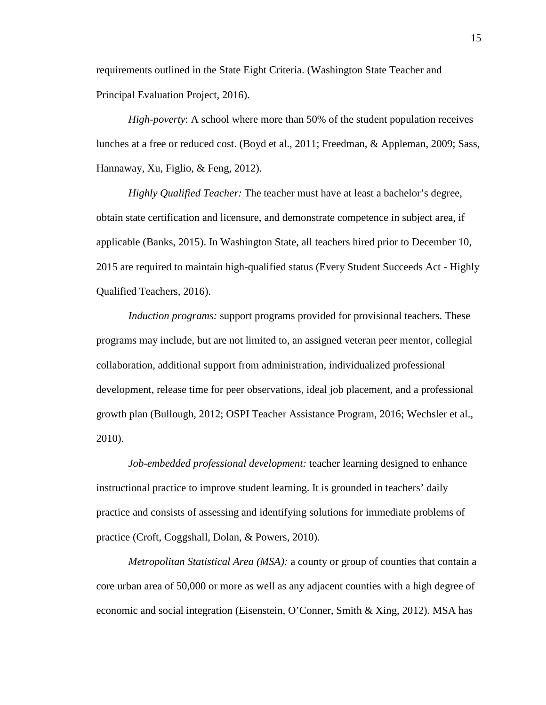requirements outlined in the State Eight Criteria. (Washington State Teacher and Principal Evaluation Project, 2016).

*High-poverty*: A school where more than 50% of the student population receives lunches at a free or reduced cost. (Boyd et al., 2011; Freedman, & Appleman, 2009; Sass, Hannaway, Xu, Figlio, & Feng, 2012).

*Highly Qualified Teacher:* The teacher must have at least a bachelor's degree, obtain state certification and licensure, and demonstrate competence in subject area, if applicable (Banks, 2015). In Washington State, all teachers hired prior to December 10, 2015 are required to maintain high-qualified status (Every Student Succeeds Act - Highly Qualified Teachers, 2016).

*Induction programs:* support programs provided for provisional teachers. These programs may include, but are not limited to, an assigned veteran peer mentor, collegial collaboration, additional support from administration, individualized professional development, release time for peer observations, ideal job placement, and a professional growth plan (Bullough, 2012; OSPI Teacher Assistance Program, 2016; Wechsler et al., 2010).

*Job-embedded professional development:* teacher learning designed to enhance instructional practice to improve student learning. It is grounded in teachers' daily practice and consists of assessing and identifying solutions for immediate problems of practice (Croft, Coggshall, Dolan, & Powers, 2010).

*Metropolitan Statistical Area (MSA):* a county or group of counties that contain a core urban area of 50,000 or more as well as any adjacent counties with a high degree of economic and social integration (Eisenstein, O'Conner, Smith & Xing, 2012). MSA has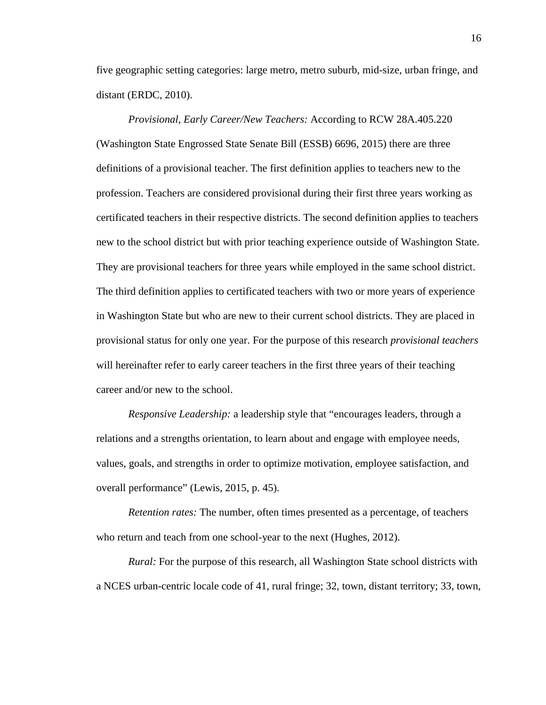five geographic setting categories: large metro, metro suburb, mid-size, urban fringe, and distant (ERDC, 2010).

*Provisional, Early Career/New Teachers:* According to RCW 28A.405.220 (Washington State Engrossed State Senate Bill (ESSB) 6696, 2015) there are three definitions of a provisional teacher. The first definition applies to teachers new to the profession. Teachers are considered provisional during their first three years working as certificated teachers in their respective districts. The second definition applies to teachers new to the school district but with prior teaching experience outside of Washington State. They are provisional teachers for three years while employed in the same school district. The third definition applies to certificated teachers with two or more years of experience in Washington State but who are new to their current school districts. They are placed in provisional status for only one year. For the purpose of this research *provisional teachers* will hereinafter refer to early career teachers in the first three years of their teaching career and/or new to the school.

*Responsive Leadership:* a leadership style that "encourages leaders, through a relations and a strengths orientation, to learn about and engage with employee needs, values, goals, and strengths in order to optimize motivation, employee satisfaction, and overall performance" (Lewis, 2015, p. 45).

*Retention rates:* The number, often times presented as a percentage, of teachers who return and teach from one school-year to the next (Hughes, 2012).

*Rural:* For the purpose of this research, all Washington State school districts with a NCES urban-centric locale code of 41, rural fringe; 32, town, distant territory; 33, town,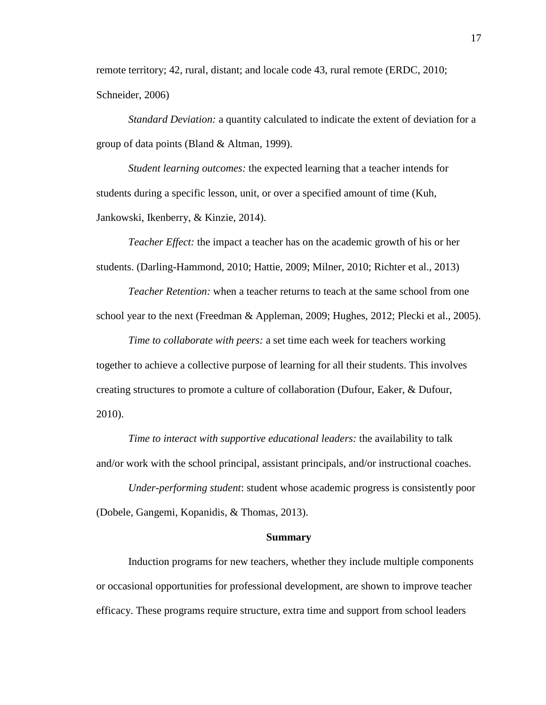remote territory; 42, rural, distant; and locale code 43, rural remote (ERDC, 2010; Schneider, 2006)

*Standard Deviation:* a quantity calculated to indicate the extent of deviation for a group of data points (Bland & Altman, 1999).

*Student learning outcomes:* the expected learning that a teacher intends for students during a specific lesson, unit, or over a specified amount of time (Kuh, Jankowski, Ikenberry, & Kinzie, 2014).

*Teacher Effect:* the impact a teacher has on the academic growth of his or her students. (Darling-Hammond, 2010; Hattie, 2009; Milner, 2010; Richter et al., 2013)

*Teacher Retention:* when a teacher returns to teach at the same school from one school year to the next (Freedman & Appleman, 2009; Hughes, 2012; Plecki et al., 2005).

*Time to collaborate with peers:* a set time each week for teachers working together to achieve a collective purpose of learning for all their students. This involves creating structures to promote a culture of collaboration (Dufour, Eaker, & Dufour, 2010).

*Time to interact with supportive educational leaders:* the availability to talk and/or work with the school principal, assistant principals, and/or instructional coaches.

*Under-performing student*: student whose academic progress is consistently poor (Dobele, Gangemi, Kopanidis, & Thomas, 2013).

#### **Summary**

Induction programs for new teachers, whether they include multiple components or occasional opportunities for professional development, are shown to improve teacher efficacy. These programs require structure, extra time and support from school leaders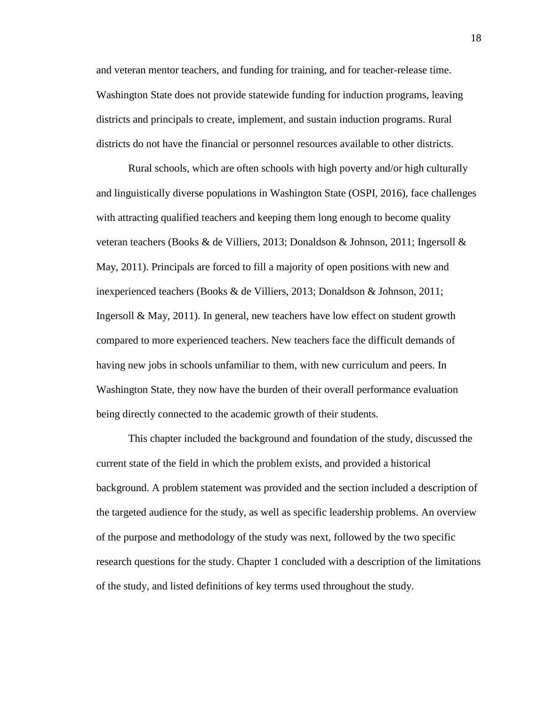and veteran mentor teachers, and funding for training, and for teacher-release time. Washington State does not provide statewide funding for induction programs, leaving districts and principals to create, implement, and sustain induction programs. Rural districts do not have the financial or personnel resources available to other districts.

Rural schools, which are often schools with high poverty and/or high culturally and linguistically diverse populations in Washington State (OSPI, 2016), face challenges with attracting qualified teachers and keeping them long enough to become quality veteran teachers (Books & de Villiers, 2013; Donaldson & Johnson, 2011; Ingersoll & May, 2011). Principals are forced to fill a majority of open positions with new and inexperienced teachers (Books & de Villiers, 2013; Donaldson & Johnson, 2011; Ingersoll & May, 2011). In general, new teachers have low effect on student growth compared to more experienced teachers. New teachers face the difficult demands of having new jobs in schools unfamiliar to them, with new curriculum and peers. In Washington State, they now have the burden of their overall performance evaluation being directly connected to the academic growth of their students.

This chapter included the background and foundation of the study, discussed the current state of the field in which the problem exists, and provided a historical background. A problem statement was provided and the section included a description of the targeted audience for the study, as well as specific leadership problems. An overview of the purpose and methodology of the study was next, followed by the two specific research questions for the study. Chapter 1 concluded with a description of the limitations of the study, and listed definitions of key terms used throughout the study.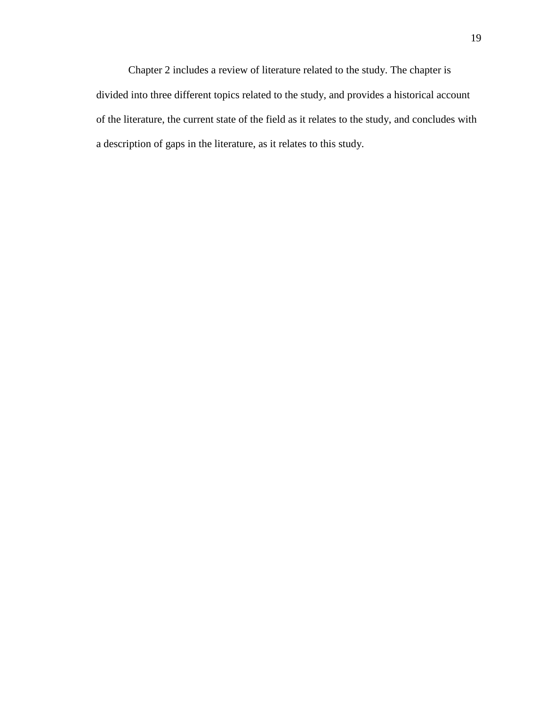Chapter 2 includes a review of literature related to the study. The chapter is divided into three different topics related to the study, and provides a historical account of the literature, the current state of the field as it relates to the study, and concludes with a description of gaps in the literature, as it relates to this study.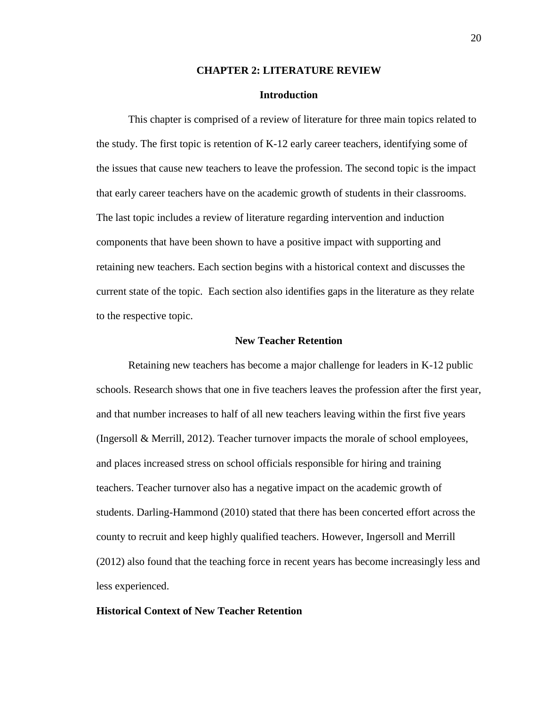## **CHAPTER 2: LITERATURE REVIEW**

# **Introduction**

This chapter is comprised of a review of literature for three main topics related to the study. The first topic is retention of K-12 early career teachers, identifying some of the issues that cause new teachers to leave the profession. The second topic is the impact that early career teachers have on the academic growth of students in their classrooms. The last topic includes a review of literature regarding intervention and induction components that have been shown to have a positive impact with supporting and retaining new teachers. Each section begins with a historical context and discusses the current state of the topic. Each section also identifies gaps in the literature as they relate to the respective topic.

# **New Teacher Retention**

Retaining new teachers has become a major challenge for leaders in K-12 public schools. Research shows that one in five teachers leaves the profession after the first year, and that number increases to half of all new teachers leaving within the first five years (Ingersoll & Merrill, 2012). Teacher turnover impacts the morale of school employees, and places increased stress on school officials responsible for hiring and training teachers. Teacher turnover also has a negative impact on the academic growth of students. Darling-Hammond (2010) stated that there has been concerted effort across the county to recruit and keep highly qualified teachers. However, Ingersoll and Merrill (2012) also found that the teaching force in recent years has become increasingly less and less experienced.

# **Historical Context of New Teacher Retention**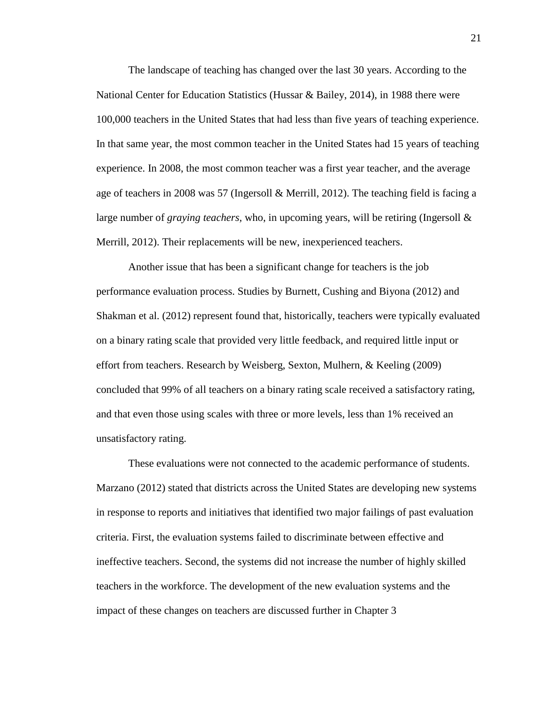The landscape of teaching has changed over the last 30 years. According to the National Center for Education Statistics (Hussar & Bailey, 2014), in 1988 there were 100,000 teachers in the United States that had less than five years of teaching experience. In that same year, the most common teacher in the United States had 15 years of teaching experience. In 2008, the most common teacher was a first year teacher, and the average age of teachers in 2008 was 57 (Ingersoll & Merrill, 2012). The teaching field is facing a large number of *graying teachers,* who, in upcoming years, will be retiring (Ingersoll & Merrill, 2012). Their replacements will be new, inexperienced teachers.

Another issue that has been a significant change for teachers is the job performance evaluation process. Studies by Burnett, Cushing and Biyona (2012) and Shakman et al. (2012) represent found that, historically, teachers were typically evaluated on a binary rating scale that provided very little feedback, and required little input or effort from teachers. Research by Weisberg, Sexton, Mulhern, & Keeling (2009) concluded that 99% of all teachers on a binary rating scale received a satisfactory rating, and that even those using scales with three or more levels, less than 1% received an unsatisfactory rating.

These evaluations were not connected to the academic performance of students. Marzano (2012) stated that districts across the United States are developing new systems in response to reports and initiatives that identified two major failings of past evaluation criteria. First, the evaluation systems failed to discriminate between effective and ineffective teachers. Second, the systems did not increase the number of highly skilled teachers in the workforce. The development of the new evaluation systems and the impact of these changes on teachers are discussed further in Chapter 3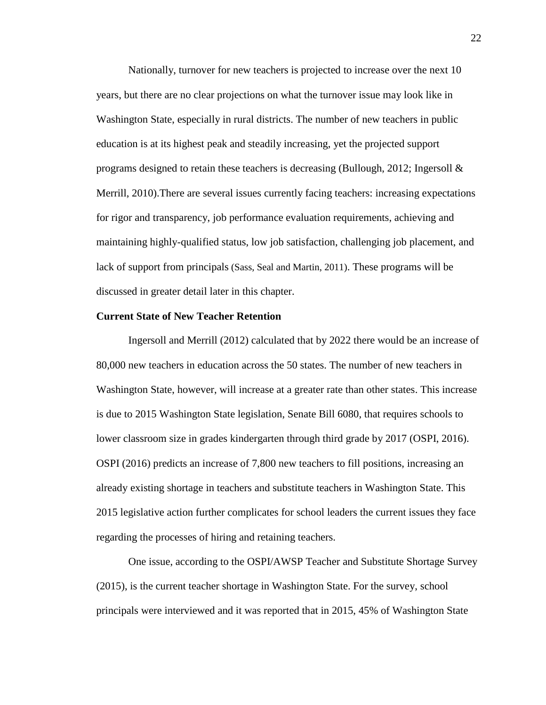Nationally, turnover for new teachers is projected to increase over the next 10 years, but there are no clear projections on what the turnover issue may look like in Washington State, especially in rural districts. The number of new teachers in public education is at its highest peak and steadily increasing, yet the projected support programs designed to retain these teachers is decreasing (Bullough, 2012; Ingersoll  $\&$ Merrill, 2010).There are several issues currently facing teachers: increasing expectations for rigor and transparency, job performance evaluation requirements, achieving and maintaining highly-qualified status, low job satisfaction, challenging job placement, and lack of support from principals (Sass, Seal and Martin, 2011). These programs will be discussed in greater detail later in this chapter.

### **Current State of New Teacher Retention**

Ingersoll and Merrill (2012) calculated that by 2022 there would be an increase of 80,000 new teachers in education across the 50 states. The number of new teachers in Washington State, however, will increase at a greater rate than other states. This increase is due to 2015 Washington State legislation, Senate Bill 6080, that requires schools to lower classroom size in grades kindergarten through third grade by 2017 (OSPI, 2016). OSPI (2016) predicts an increase of 7,800 new teachers to fill positions, increasing an already existing shortage in teachers and substitute teachers in Washington State. This 2015 legislative action further complicates for school leaders the current issues they face regarding the processes of hiring and retaining teachers.

One issue, according to the OSPI/AWSP Teacher and Substitute Shortage Survey (2015), is the current teacher shortage in Washington State. For the survey, school principals were interviewed and it was reported that in 2015, 45% of Washington State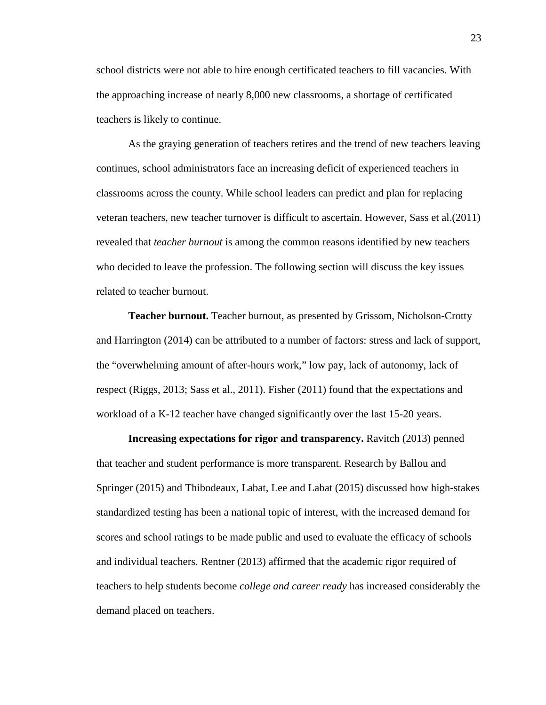school districts were not able to hire enough certificated teachers to fill vacancies. With the approaching increase of nearly 8,000 new classrooms, a shortage of certificated teachers is likely to continue.

As the graying generation of teachers retires and the trend of new teachers leaving continues, school administrators face an increasing deficit of experienced teachers in classrooms across the county. While school leaders can predict and plan for replacing veteran teachers, new teacher turnover is difficult to ascertain. However, Sass et al.(2011) revealed that *teacher burnout* is among the common reasons identified by new teachers who decided to leave the profession. The following section will discuss the key issues related to teacher burnout.

**Teacher burnout.** Teacher burnout, as presented by Grissom, Nicholson-Crotty and Harrington (2014) can be attributed to a number of factors: stress and lack of support, the "overwhelming amount of after-hours work," low pay, lack of autonomy, lack of respect (Riggs, 2013; Sass et al., 2011). Fisher (2011) found that the expectations and workload of a K-12 teacher have changed significantly over the last 15-20 years.

**Increasing expectations for rigor and transparency.** Ravitch (2013) penned that teacher and student performance is more transparent. Research by Ballou and Springer (2015) and Thibodeaux, Labat, Lee and Labat (2015) discussed how high-stakes standardized testing has been a national topic of interest, with the increased demand for scores and school ratings to be made public and used to evaluate the efficacy of schools and individual teachers. Rentner (2013) affirmed that the academic rigor required of teachers to help students become *college and career ready* has increased considerably the demand placed on teachers.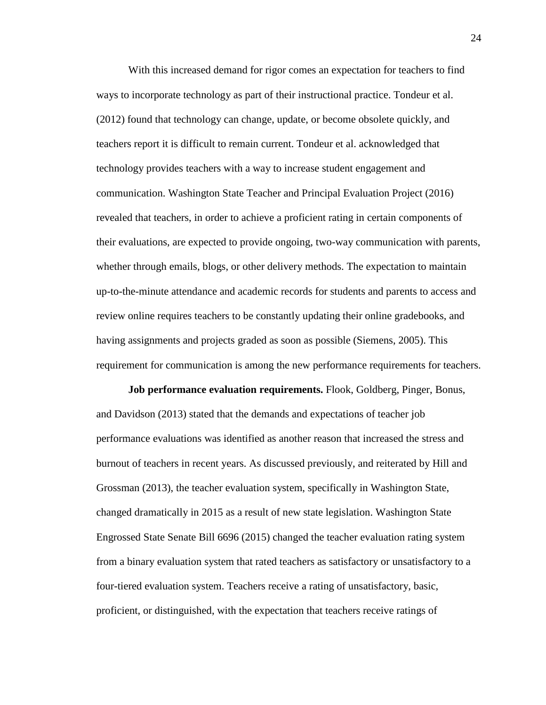With this increased demand for rigor comes an expectation for teachers to find ways to incorporate technology as part of their instructional practice. Tondeur et al. (2012) found that technology can change, update, or become obsolete quickly, and teachers report it is difficult to remain current. Tondeur et al. acknowledged that technology provides teachers with a way to increase student engagement and communication. Washington State Teacher and Principal Evaluation Project (2016) revealed that teachers, in order to achieve a proficient rating in certain components of their evaluations, are expected to provide ongoing, two-way communication with parents, whether through emails, blogs, or other delivery methods. The expectation to maintain up-to-the-minute attendance and academic records for students and parents to access and review online requires teachers to be constantly updating their online gradebooks, and having assignments and projects graded as soon as possible (Siemens, 2005). This requirement for communication is among the new performance requirements for teachers.

**Job performance evaluation requirements.** Flook, Goldberg, Pinger, Bonus, and Davidson (2013) stated that the demands and expectations of teacher job performance evaluations was identified as another reason that increased the stress and burnout of teachers in recent years. As discussed previously, and reiterated by Hill and Grossman (2013), the teacher evaluation system, specifically in Washington State, changed dramatically in 2015 as a result of new state legislation. Washington State Engrossed State Senate Bill 6696 (2015) changed the teacher evaluation rating system from a binary evaluation system that rated teachers as satisfactory or unsatisfactory to a four-tiered evaluation system. Teachers receive a rating of unsatisfactory, basic, proficient, or distinguished, with the expectation that teachers receive ratings of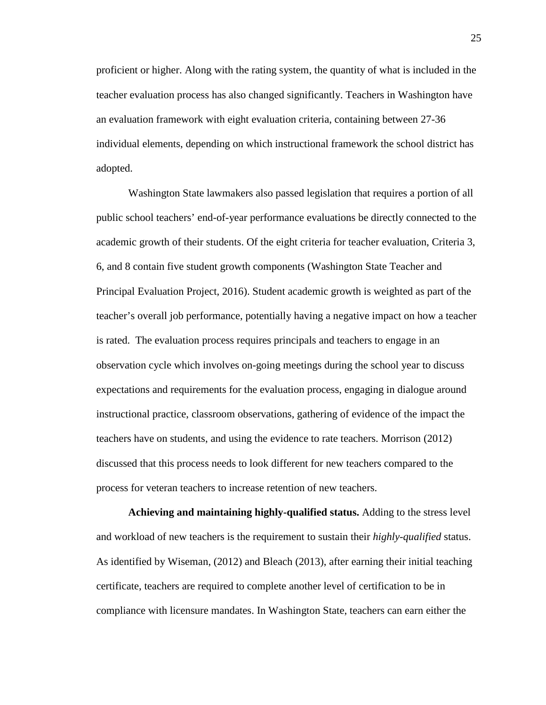proficient or higher. Along with the rating system, the quantity of what is included in the teacher evaluation process has also changed significantly. Teachers in Washington have an evaluation framework with eight evaluation criteria, containing between 27-36 individual elements, depending on which instructional framework the school district has adopted.

Washington State lawmakers also passed legislation that requires a portion of all public school teachers' end-of-year performance evaluations be directly connected to the academic growth of their students. Of the eight criteria for teacher evaluation, Criteria 3, 6, and 8 contain five student growth components (Washington State Teacher and Principal Evaluation Project, 2016). Student academic growth is weighted as part of the teacher's overall job performance, potentially having a negative impact on how a teacher is rated. The evaluation process requires principals and teachers to engage in an observation cycle which involves on-going meetings during the school year to discuss expectations and requirements for the evaluation process, engaging in dialogue around instructional practice, classroom observations, gathering of evidence of the impact the teachers have on students, and using the evidence to rate teachers. Morrison (2012) discussed that this process needs to look different for new teachers compared to the process for veteran teachers to increase retention of new teachers.

**Achieving and maintaining highly-qualified status.** Adding to the stress level and workload of new teachers is the requirement to sustain their *highly-qualified* status. As identified by Wiseman, (2012) and Bleach (2013), after earning their initial teaching certificate, teachers are required to complete another level of certification to be in compliance with licensure mandates. In Washington State, teachers can earn either the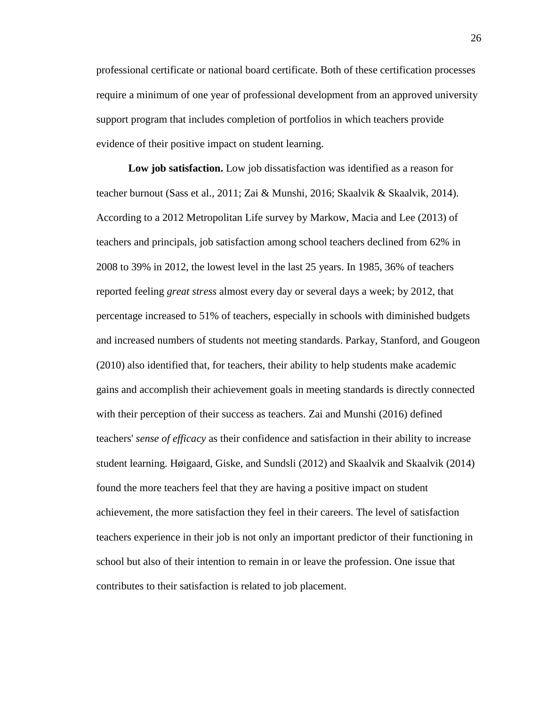professional certificate or national board certificate. Both of these certification processes require a minimum of one year of professional development from an approved university support program that includes completion of portfolios in which teachers provide evidence of their positive impact on student learning.

**Low job satisfaction.** Low job dissatisfaction was identified as a reason for teacher burnout (Sass et al., 2011; Zai & Munshi, 2016; Skaalvik & Skaalvik, 2014). According to a 2012 Metropolitan Life survey by Markow, Macia and Lee (2013) of teachers and principals, job satisfaction among school teachers declined from 62% in 2008 to 39% in 2012, the lowest level in the last 25 years. In 1985, 36% of teachers reported feeling *great stress* almost every day or several days a week; by 2012, that percentage increased to 51% of teachers, especially in schools with diminished budgets and increased numbers of students not meeting standards. Parkay, Stanford, and Gougeon (2010) also identified that, for teachers, their ability to help students make academic gains and accomplish their achievement goals in meeting standards is directly connected with their perception of their success as teachers. Zai and Munshi (2016) defined teachers' *sense of efficacy* as their confidence and satisfaction in their ability to increase student learning. Høigaard, Giske, and Sundsli (2012) and Skaalvik and Skaalvik (2014) found the more teachers feel that they are having a positive impact on student achievement, the more satisfaction they feel in their careers. The level of satisfaction teachers experience in their job is not only an important predictor of their functioning in school but also of their intention to remain in or leave the profession. One issue that contributes to their satisfaction is related to job placement.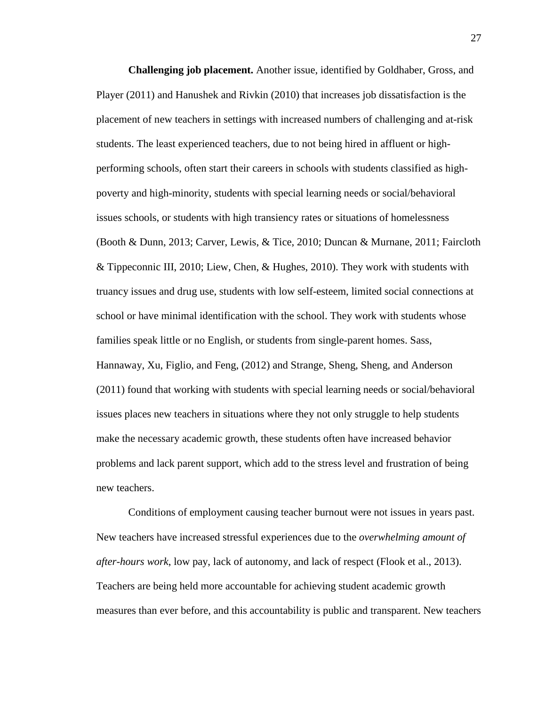**Challenging job placement.** Another issue, identified by Goldhaber, Gross, and Player (2011) and Hanushek and Rivkin (2010) that increases job dissatisfaction is the placement of new teachers in settings with increased numbers of challenging and at-risk students. The least experienced teachers, due to not being hired in affluent or highperforming schools, often start their careers in schools with students classified as highpoverty and high-minority, students with special learning needs or social/behavioral issues schools, or students with high transiency rates or situations of homelessness (Booth & Dunn, 2013; Carver, Lewis, & Tice, 2010; Duncan & Murnane, 2011; Faircloth & Tippeconnic III, 2010; Liew, Chen, & Hughes, 2010). They work with students with truancy issues and drug use, students with low self-esteem, limited social connections at school or have minimal identification with the school. They work with students whose families speak little or no English, or students from single-parent homes. Sass, Hannaway, Xu, Figlio, and Feng, (2012) and Strange, Sheng, Sheng, and Anderson (2011) found that working with students with special learning needs or social/behavioral issues places new teachers in situations where they not only struggle to help students make the necessary academic growth, these students often have increased behavior problems and lack parent support, which add to the stress level and frustration of being new teachers.

Conditions of employment causing teacher burnout were not issues in years past. New teachers have increased stressful experiences due to the *overwhelming amount of after-hours work*, low pay, lack of autonomy, and lack of respect (Flook et al., 2013). Teachers are being held more accountable for achieving student academic growth measures than ever before, and this accountability is public and transparent. New teachers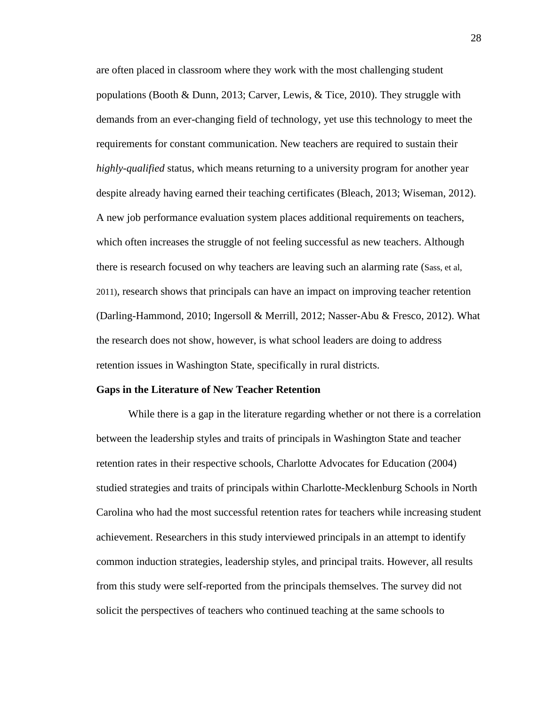are often placed in classroom where they work with the most challenging student populations (Booth & Dunn, 2013; Carver, Lewis, & Tice, 2010). They struggle with demands from an ever-changing field of technology, yet use this technology to meet the requirements for constant communication. New teachers are required to sustain their *highly-qualified* status, which means returning to a university program for another year despite already having earned their teaching certificates (Bleach, 2013; Wiseman, 2012). A new job performance evaluation system places additional requirements on teachers, which often increases the struggle of not feeling successful as new teachers. Although there is research focused on why teachers are leaving such an alarming rate (Sass, et al, 2011), research shows that principals can have an impact on improving teacher retention (Darling-Hammond, 2010; Ingersoll & Merrill, 2012; Nasser-Abu & Fresco, 2012). What the research does not show, however, is what school leaders are doing to address retention issues in Washington State, specifically in rural districts.

#### **Gaps in the Literature of New Teacher Retention**

While there is a gap in the literature regarding whether or not there is a correlation between the leadership styles and traits of principals in Washington State and teacher retention rates in their respective schools, Charlotte Advocates for Education (2004) studied strategies and traits of principals within Charlotte-Mecklenburg Schools in North Carolina who had the most successful retention rates for teachers while increasing student achievement. Researchers in this study interviewed principals in an attempt to identify common induction strategies, leadership styles, and principal traits. However, all results from this study were self-reported from the principals themselves. The survey did not solicit the perspectives of teachers who continued teaching at the same schools to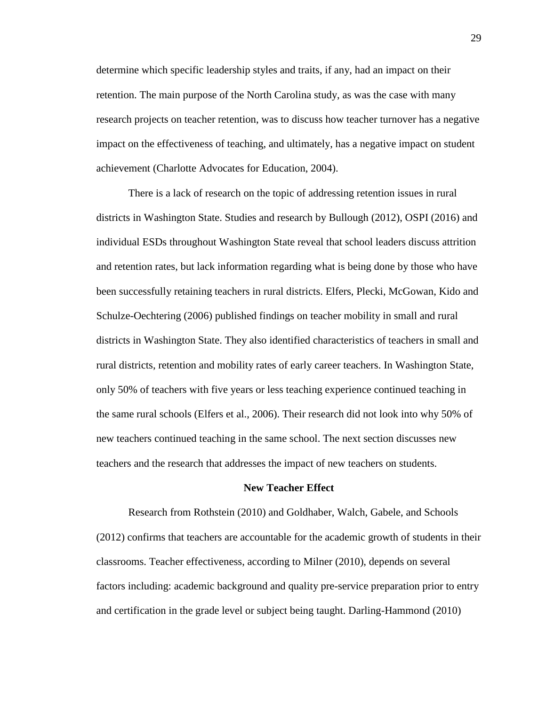determine which specific leadership styles and traits, if any, had an impact on their retention. The main purpose of the North Carolina study, as was the case with many research projects on teacher retention, was to discuss how teacher turnover has a negative impact on the effectiveness of teaching, and ultimately, has a negative impact on student achievement (Charlotte Advocates for Education, 2004).

There is a lack of research on the topic of addressing retention issues in rural districts in Washington State. Studies and research by Bullough (2012), OSPI (2016) and individual ESDs throughout Washington State reveal that school leaders discuss attrition and retention rates, but lack information regarding what is being done by those who have been successfully retaining teachers in rural districts. Elfers, Plecki, McGowan, Kido and Schulze-Oechtering (2006) published findings on teacher mobility in small and rural districts in Washington State. They also identified characteristics of teachers in small and rural districts, retention and mobility rates of early career teachers. In Washington State, only 50% of teachers with five years or less teaching experience continued teaching in the same rural schools (Elfers et al., 2006). Their research did not look into why 50% of new teachers continued teaching in the same school. The next section discusses new teachers and the research that addresses the impact of new teachers on students.

# **New Teacher Effect**

Research from Rothstein (2010) and Goldhaber, Walch, Gabele, and Schools (2012) confirms that teachers are accountable for the academic growth of students in their classrooms. Teacher effectiveness, according to Milner (2010), depends on several factors including: academic background and quality pre-service preparation prior to entry and certification in the grade level or subject being taught. Darling-Hammond (2010)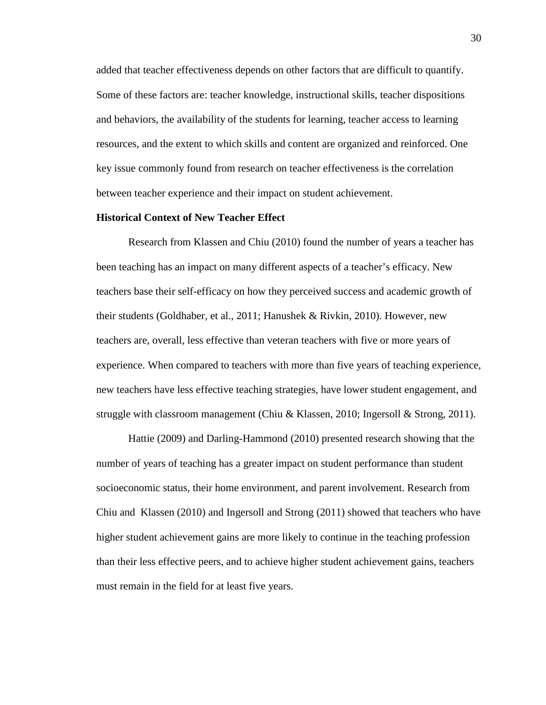added that teacher effectiveness depends on other factors that are difficult to quantify. Some of these factors are: teacher knowledge, instructional skills, teacher dispositions and behaviors, the availability of the students for learning, teacher access to learning resources, and the extent to which skills and content are organized and reinforced. One key issue commonly found from research on teacher effectiveness is the correlation between teacher experience and their impact on student achievement.

## **Historical Context of New Teacher Effect**

Research from Klassen and Chiu (2010) found the number of years a teacher has been teaching has an impact on many different aspects of a teacher's efficacy. New teachers base their self-efficacy on how they perceived success and academic growth of their students (Goldhaber, et al., 2011; Hanushek & Rivkin, 2010). However, new teachers are, overall, less effective than veteran teachers with five or more years of experience. When compared to teachers with more than five years of teaching experience, new teachers have less effective teaching strategies, have lower student engagement, and struggle with classroom management (Chiu & Klassen, 2010; Ingersoll & Strong, 2011).

Hattie (2009) and Darling-Hammond (2010) presented research showing that the number of years of teaching has a greater impact on student performance than student socioeconomic status, their home environment, and parent involvement. Research from Chiu and Klassen (2010) and Ingersoll and Strong (2011) showed that teachers who have higher student achievement gains are more likely to continue in the teaching profession than their less effective peers, and to achieve higher student achievement gains, teachers must remain in the field for at least five years.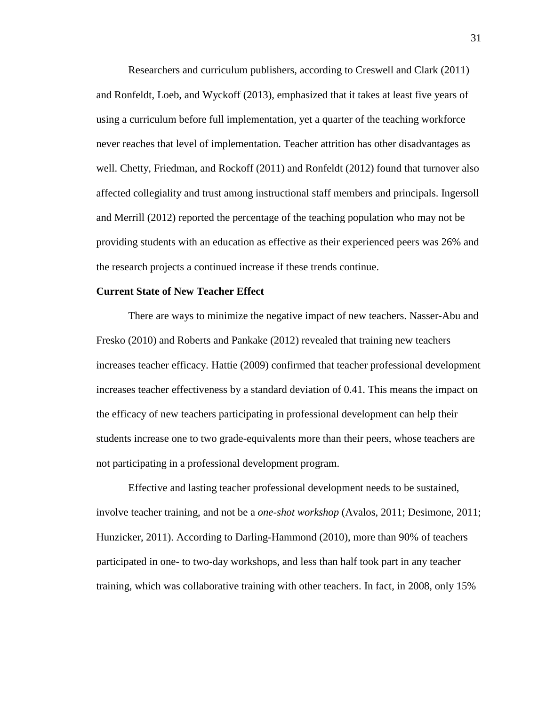Researchers and curriculum publishers, according to Creswell and Clark (2011) and Ronfeldt, Loeb, and Wyckoff (2013), emphasized that it takes at least five years of using a curriculum before full implementation, yet a quarter of the teaching workforce never reaches that level of implementation. Teacher attrition has other disadvantages as well. Chetty, Friedman, and Rockoff (2011) and Ronfeldt (2012) found that turnover also affected collegiality and trust among instructional staff members and principals. Ingersoll and Merrill (2012) reported the percentage of the teaching population who may not be providing students with an education as effective as their experienced peers was 26% and the research projects a continued increase if these trends continue.

# **Current State of New Teacher Effect**

There are ways to minimize the negative impact of new teachers. Nasser-Abu and Fresko (2010) and Roberts and Pankake (2012) revealed that training new teachers increases teacher efficacy. Hattie (2009) confirmed that teacher professional development increases teacher effectiveness by a standard deviation of 0.41. This means the impact on the efficacy of new teachers participating in professional development can help their students increase one to two grade-equivalents more than their peers, whose teachers are not participating in a professional development program.

Effective and lasting teacher professional development needs to be sustained, involve teacher training, and not be a *one-shot workshop* (Avalos, 2011; Desimone, 2011; Hunzicker, 2011). According to Darling-Hammond (2010), more than 90% of teachers participated in one- to two-day workshops, and less than half took part in any teacher training, which was collaborative training with other teachers. In fact, in 2008, only 15%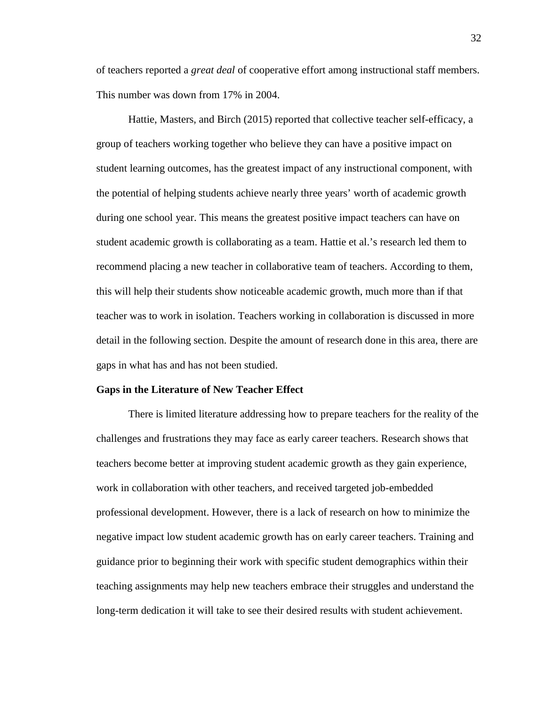of teachers reported a *great deal* of cooperative effort among instructional staff members. This number was down from 17% in 2004.

Hattie, Masters, and Birch (2015) reported that collective teacher self-efficacy, a group of teachers working together who believe they can have a positive impact on student learning outcomes, has the greatest impact of any instructional component, with the potential of helping students achieve nearly three years' worth of academic growth during one school year. This means the greatest positive impact teachers can have on student academic growth is collaborating as a team. Hattie et al.'s research led them to recommend placing a new teacher in collaborative team of teachers. According to them, this will help their students show noticeable academic growth, much more than if that teacher was to work in isolation. Teachers working in collaboration is discussed in more detail in the following section. Despite the amount of research done in this area, there are gaps in what has and has not been studied.

#### **Gaps in the Literature of New Teacher Effect**

There is limited literature addressing how to prepare teachers for the reality of the challenges and frustrations they may face as early career teachers. Research shows that teachers become better at improving student academic growth as they gain experience, work in collaboration with other teachers, and received targeted job-embedded professional development. However, there is a lack of research on how to minimize the negative impact low student academic growth has on early career teachers. Training and guidance prior to beginning their work with specific student demographics within their teaching assignments may help new teachers embrace their struggles and understand the long-term dedication it will take to see their desired results with student achievement.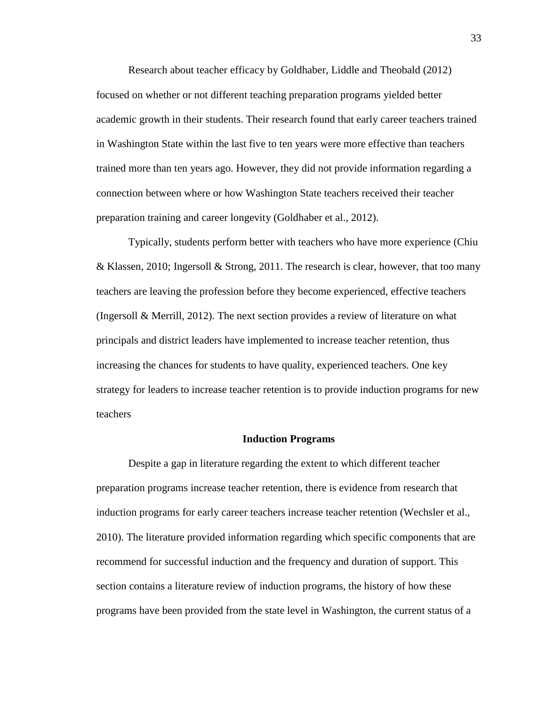Research about teacher efficacy by Goldhaber, Liddle and Theobald (2012) focused on whether or not different teaching preparation programs yielded better academic growth in their students. Their research found that early career teachers trained in Washington State within the last five to ten years were more effective than teachers trained more than ten years ago. However, they did not provide information regarding a connection between where or how Washington State teachers received their teacher preparation training and career longevity (Goldhaber et al., 2012).

Typically, students perform better with teachers who have more experience (Chiu & Klassen, 2010; Ingersoll & Strong, 2011. The research is clear, however, that too many teachers are leaving the profession before they become experienced, effective teachers (Ingersoll & Merrill, 2012). The next section provides a review of literature on what principals and district leaders have implemented to increase teacher retention, thus increasing the chances for students to have quality, experienced teachers. One key strategy for leaders to increase teacher retention is to provide induction programs for new teachers

#### **Induction Programs**

Despite a gap in literature regarding the extent to which different teacher preparation programs increase teacher retention, there is evidence from research that induction programs for early career teachers increase teacher retention (Wechsler et al., 2010). The literature provided information regarding which specific components that are recommend for successful induction and the frequency and duration of support. This section contains a literature review of induction programs, the history of how these programs have been provided from the state level in Washington, the current status of a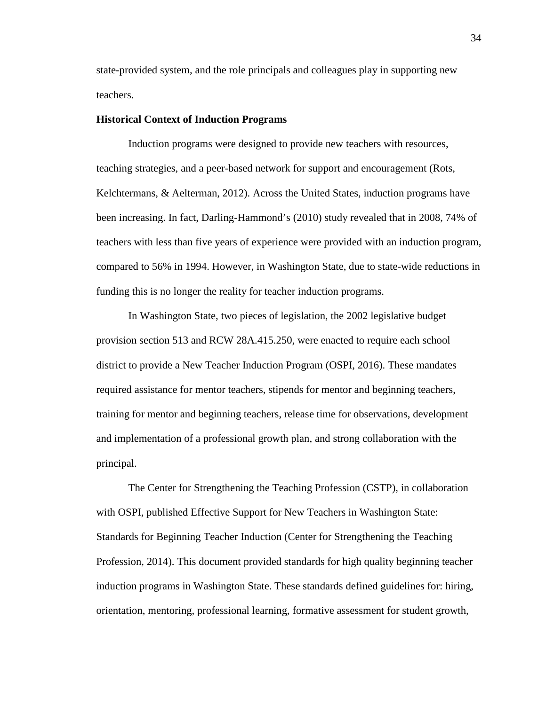state-provided system, and the role principals and colleagues play in supporting new teachers.

# **Historical Context of Induction Programs**

Induction programs were designed to provide new teachers with resources, teaching strategies, and a peer-based network for support and encouragement (Rots, Kelchtermans, & Aelterman, 2012). Across the United States, induction programs have been increasing. In fact, Darling-Hammond's (2010) study revealed that in 2008, 74% of teachers with less than five years of experience were provided with an induction program, compared to 56% in 1994. However, in Washington State, due to state-wide reductions in funding this is no longer the reality for teacher induction programs.

In Washington State, two pieces of legislation, the 2002 legislative budget provision section 513 and RCW 28A.415.250, were enacted to require each school district to provide a New Teacher Induction Program (OSPI, 2016). These mandates required assistance for mentor teachers, stipends for mentor and beginning teachers, training for mentor and beginning teachers, release time for observations, development and implementation of a professional growth plan, and strong collaboration with the principal.

The Center for Strengthening the Teaching Profession (CSTP), in collaboration with OSPI, published Effective Support for New Teachers in Washington State: Standards for Beginning Teacher Induction (Center for Strengthening the Teaching Profession, 2014). This document provided standards for high quality beginning teacher induction programs in Washington State. These standards defined guidelines for: hiring, orientation, mentoring, professional learning, formative assessment for student growth,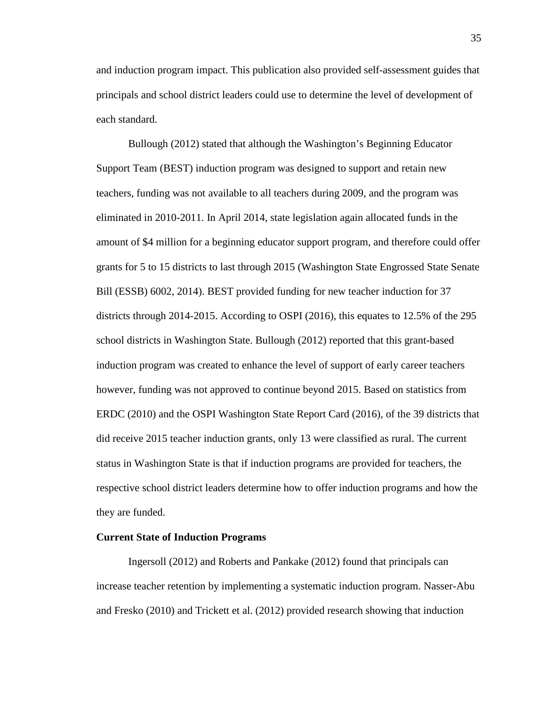and induction program impact. This publication also provided self-assessment guides that principals and school district leaders could use to determine the level of development of each standard.

Bullough (2012) stated that although the Washington's Beginning Educator Support Team (BEST) induction program was designed to support and retain new teachers, funding was not available to all teachers during 2009, and the program was eliminated in 2010-2011. In April 2014, state legislation again allocated funds in the amount of \$4 million for a beginning educator support program, and therefore could offer grants for 5 to 15 districts to last through 2015 (Washington State Engrossed State Senate Bill (ESSB) 6002, 2014). BEST provided funding for new teacher induction for 37 districts through 2014-2015. According to OSPI (2016), this equates to 12.5% of the 295 school districts in Washington State. Bullough (2012) reported that this grant-based induction program was created to enhance the level of support of early career teachers however, funding was not approved to continue beyond 2015. Based on statistics from ERDC (2010) and the OSPI Washington State Report Card (2016), of the 39 districts that did receive 2015 teacher induction grants, only 13 were classified as rural. The current status in Washington State is that if induction programs are provided for teachers, the respective school district leaders determine how to offer induction programs and how the they are funded.

### **Current State of Induction Programs**

Ingersoll (2012) and Roberts and Pankake (2012) found that principals can increase teacher retention by implementing a systematic induction program. Nasser-Abu and Fresko (2010) and Trickett et al. (2012) provided research showing that induction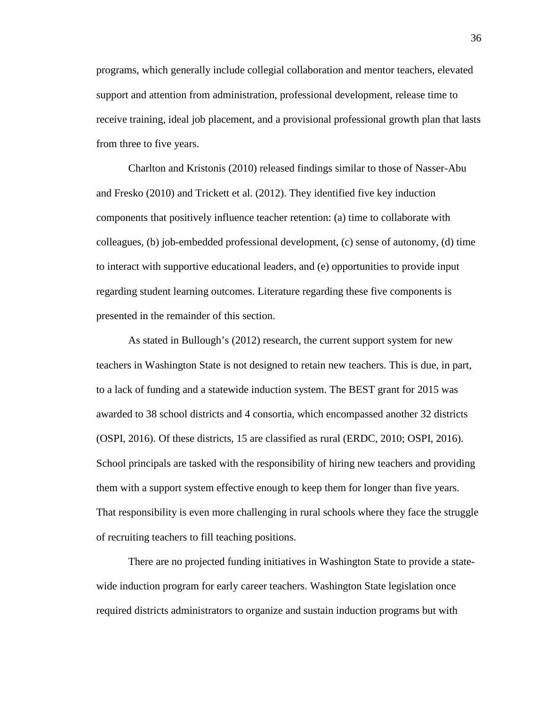programs, which generally include collegial collaboration and mentor teachers, elevated support and attention from administration, professional development, release time to receive training, ideal job placement, and a provisional professional growth plan that lasts from three to five years.

Charlton and Kristonis (2010) released findings similar to those of Nasser-Abu and Fresko (2010) and Trickett et al. (2012). They identified five key induction components that positively influence teacher retention: (a) time to collaborate with colleagues, (b) job-embedded professional development, (c) sense of autonomy, (d) time to interact with supportive educational leaders, and (e) opportunities to provide input regarding student learning outcomes. Literature regarding these five components is presented in the remainder of this section.

As stated in Bullough's (2012) research, the current support system for new teachers in Washington State is not designed to retain new teachers. This is due, in part, to a lack of funding and a statewide induction system. The BEST grant for 2015 was awarded to 38 school districts and 4 consortia, which encompassed another 32 districts (OSPI, 2016). Of these districts, 15 are classified as rural (ERDC, 2010; OSPI, 2016). School principals are tasked with the responsibility of hiring new teachers and providing them with a support system effective enough to keep them for longer than five years. That responsibility is even more challenging in rural schools where they face the struggle of recruiting teachers to fill teaching positions.

There are no projected funding initiatives in Washington State to provide a statewide induction program for early career teachers. Washington State legislation once required districts administrators to organize and sustain induction programs but with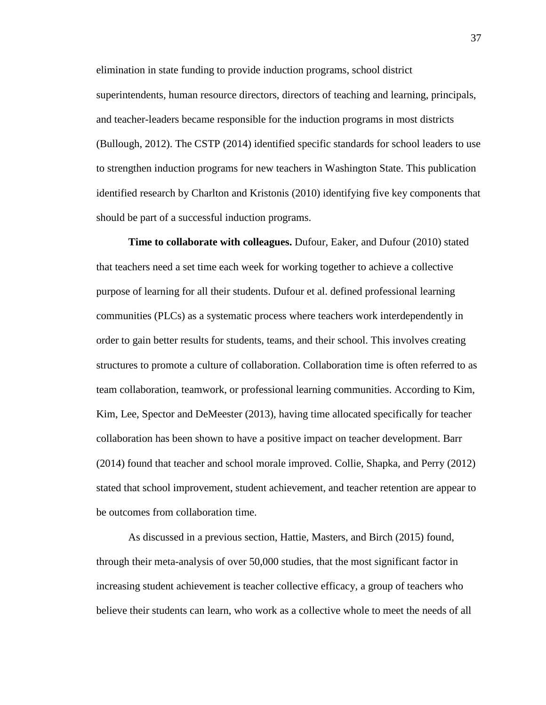elimination in state funding to provide induction programs, school district superintendents, human resource directors, directors of teaching and learning, principals, and teacher-leaders became responsible for the induction programs in most districts (Bullough, 2012). The CSTP (2014) identified specific standards for school leaders to use to strengthen induction programs for new teachers in Washington State. This publication identified research by Charlton and Kristonis (2010) identifying five key components that should be part of a successful induction programs.

**Time to collaborate with colleagues.** Dufour, Eaker, and Dufour (2010) stated that teachers need a set time each week for working together to achieve a collective purpose of learning for all their students. Dufour et al. defined professional learning communities (PLCs) as a systematic process where teachers work interdependently in order to gain better results for students, teams, and their school. This involves creating structures to promote a culture of collaboration. Collaboration time is often referred to as team collaboration, teamwork, or professional learning communities. According to Kim, Kim, Lee, Spector and DeMeester (2013), having time allocated specifically for teacher collaboration has been shown to have a positive impact on teacher development. Barr (2014) found that teacher and school morale improved. Collie, Shapka, and Perry (2012) stated that school improvement, student achievement, and teacher retention are appear to be outcomes from collaboration time.

As discussed in a previous section, Hattie, Masters, and Birch (2015) found, through their meta-analysis of over 50,000 studies, that the most significant factor in increasing student achievement is teacher collective efficacy, a group of teachers who believe their students can learn, who work as a collective whole to meet the needs of all

37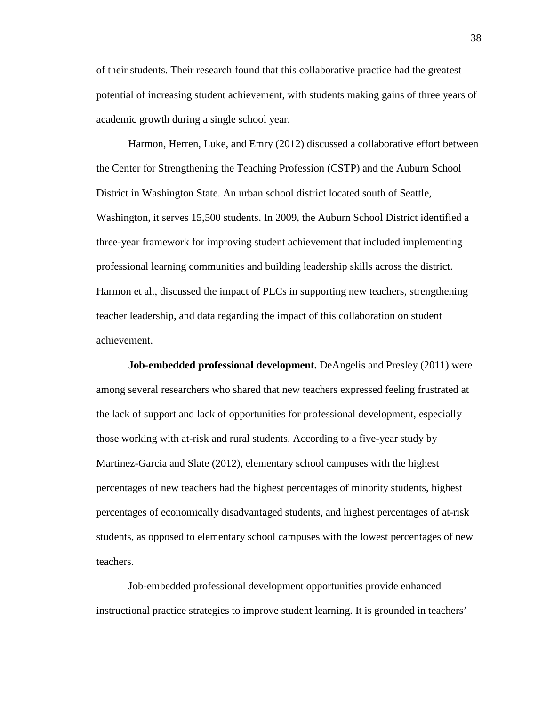of their students. Their research found that this collaborative practice had the greatest potential of increasing student achievement, with students making gains of three years of academic growth during a single school year.

Harmon, Herren, Luke, and Emry (2012) discussed a collaborative effort between the Center for Strengthening the Teaching Profession (CSTP) and the Auburn School District in Washington State. An urban school district located south of Seattle, Washington, it serves 15,500 students. In 2009, the Auburn School District identified a three-year framework for improving student achievement that included implementing professional learning communities and building leadership skills across the district. Harmon et al., discussed the impact of PLCs in supporting new teachers, strengthening teacher leadership, and data regarding the impact of this collaboration on student achievement.

**Job-embedded professional development.** DeAngelis and Presley (2011) were among several researchers who shared that new teachers expressed feeling frustrated at the lack of support and lack of opportunities for professional development, especially those working with at-risk and rural students. According to a five-year study by Martinez-Garcia and Slate (2012), elementary school campuses with the highest percentages of new teachers had the highest percentages of minority students, highest percentages of economically disadvantaged students, and highest percentages of at-risk students, as opposed to elementary school campuses with the lowest percentages of new teachers.

Job-embedded professional development opportunities provide enhanced instructional practice strategies to improve student learning. It is grounded in teachers'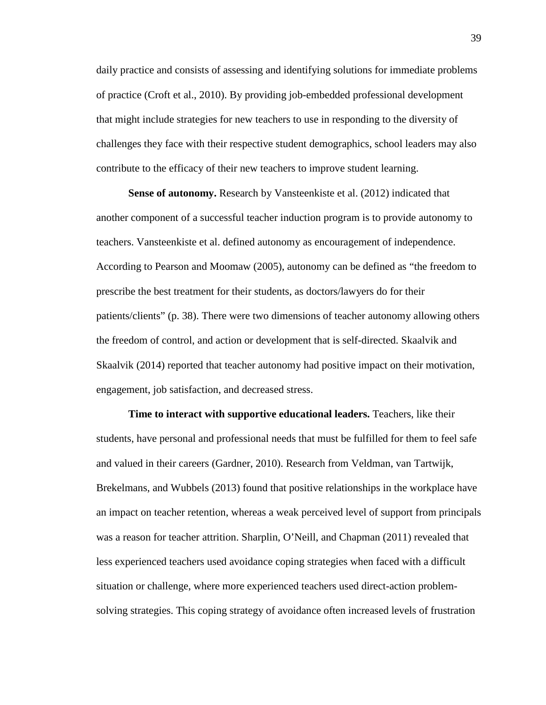daily practice and consists of assessing and identifying solutions for immediate problems of practice (Croft et al., 2010). By providing job-embedded professional development that might include strategies for new teachers to use in responding to the diversity of challenges they face with their respective student demographics, school leaders may also contribute to the efficacy of their new teachers to improve student learning.

**Sense of autonomy.** Research by Vansteenkiste et al. (2012) indicated that another component of a successful teacher induction program is to provide autonomy to teachers. Vansteenkiste et al. defined autonomy as encouragement of independence. According to Pearson and Moomaw (2005), autonomy can be defined as "the freedom to prescribe the best treatment for their students, as doctors/lawyers do for their patients/clients" (p. 38). There were two dimensions of teacher autonomy allowing others the freedom of control, and action or development that is self-directed. Skaalvik and Skaalvik (2014) reported that teacher autonomy had positive impact on their motivation, engagement, job satisfaction, and decreased stress.

**Time to interact with supportive educational leaders.** Teachers, like their students, have personal and professional needs that must be fulfilled for them to feel safe and valued in their careers (Gardner, 2010). Research from Veldman, van Tartwijk, Brekelmans, and Wubbels (2013) found that positive relationships in the workplace have an impact on teacher retention, whereas a weak perceived level of support from principals was a reason for teacher attrition. Sharplin, O'Neill, and Chapman (2011) revealed that less experienced teachers used avoidance coping strategies when faced with a difficult situation or challenge, where more experienced teachers used direct-action problemsolving strategies. This coping strategy of avoidance often increased levels of frustration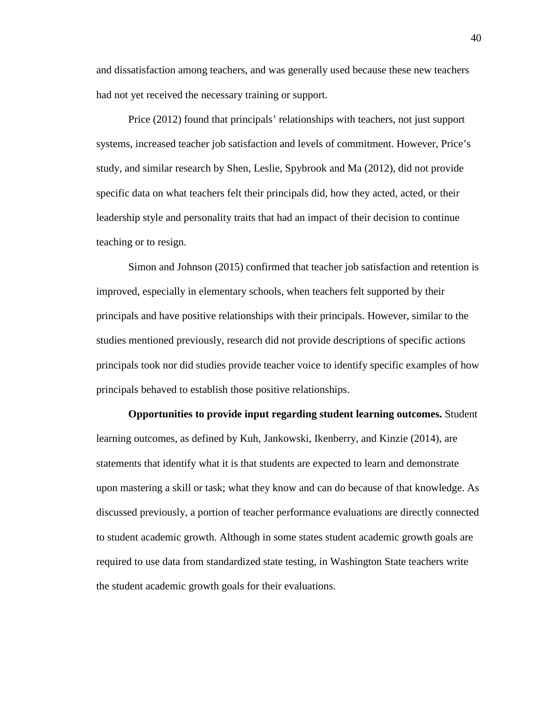and dissatisfaction among teachers, and was generally used because these new teachers had not yet received the necessary training or support.

Price (2012) found that principals' relationships with teachers, not just support systems, increased teacher job satisfaction and levels of commitment. However, Price's study, and similar research by Shen, Leslie, Spybrook and Ma (2012), did not provide specific data on what teachers felt their principals did, how they acted, acted, or their leadership style and personality traits that had an impact of their decision to continue teaching or to resign.

Simon and Johnson (2015) confirmed that teacher job satisfaction and retention is improved, especially in elementary schools, when teachers felt supported by their principals and have positive relationships with their principals. However, similar to the studies mentioned previously, research did not provide descriptions of specific actions principals took nor did studies provide teacher voice to identify specific examples of how principals behaved to establish those positive relationships.

**Opportunities to provide input regarding student learning outcomes.** Student learning outcomes, as defined by Kuh, Jankowski, Ikenberry, and Kinzie (2014), are statements that identify what it is that students are expected to learn and demonstrate upon mastering a skill or task; what they know and can do because of that knowledge. As discussed previously, a portion of teacher performance evaluations are directly connected to student academic growth. Although in some states student academic growth goals are required to use data from standardized state testing, in Washington State teachers write the student academic growth goals for their evaluations.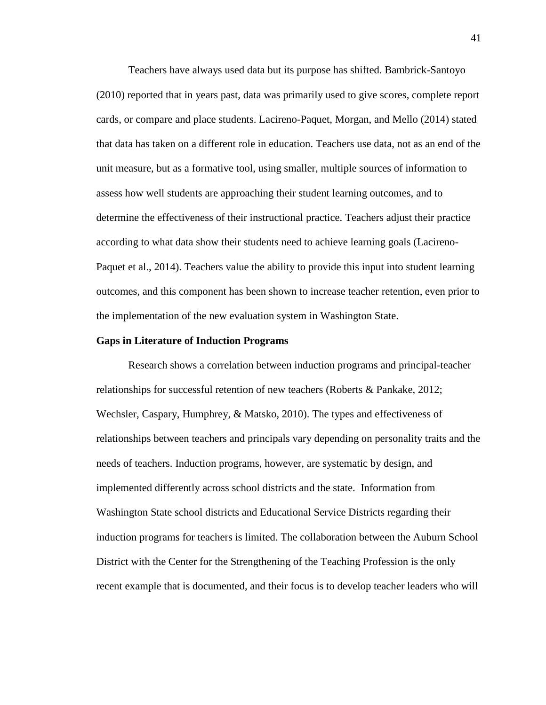Teachers have always used data but its purpose has shifted. Bambrick-Santoyo (2010) reported that in years past, data was primarily used to give scores, complete report cards, or compare and place students. Lacireno-Paquet, Morgan, and Mello (2014) stated that data has taken on a different role in education. Teachers use data, not as an end of the unit measure, but as a formative tool, using smaller, multiple sources of information to assess how well students are approaching their student learning outcomes, and to determine the effectiveness of their instructional practice. Teachers adjust their practice according to what data show their students need to achieve learning goals (Lacireno-Paquet et al., 2014). Teachers value the ability to provide this input into student learning outcomes, and this component has been shown to increase teacher retention, even prior to the implementation of the new evaluation system in Washington State.

#### **Gaps in Literature of Induction Programs**

Research shows a correlation between induction programs and principal-teacher relationships for successful retention of new teachers (Roberts & Pankake, 2012; Wechsler, Caspary, Humphrey, & Matsko, 2010). The types and effectiveness of relationships between teachers and principals vary depending on personality traits and the needs of teachers. Induction programs, however, are systematic by design, and implemented differently across school districts and the state. Information from Washington State school districts and Educational Service Districts regarding their induction programs for teachers is limited. The collaboration between the Auburn School District with the Center for the Strengthening of the Teaching Profession is the only recent example that is documented, and their focus is to develop teacher leaders who will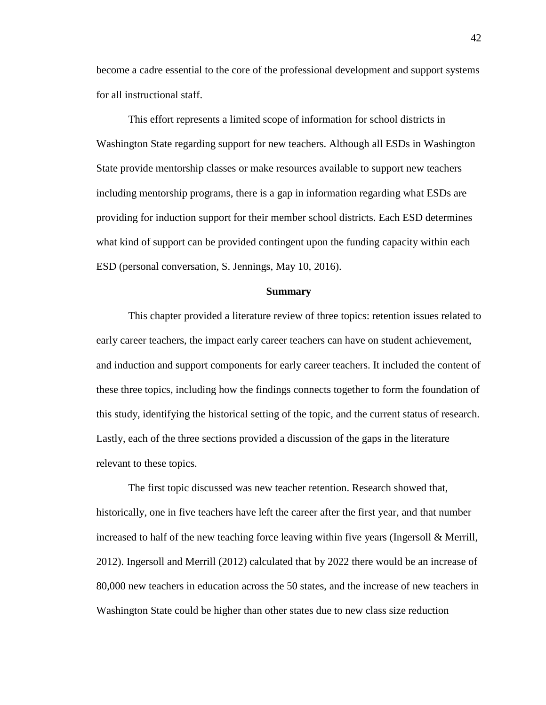become a cadre essential to the core of the professional development and support systems for all instructional staff.

This effort represents a limited scope of information for school districts in Washington State regarding support for new teachers. Although all ESDs in Washington State provide mentorship classes or make resources available to support new teachers including mentorship programs, there is a gap in information regarding what ESDs are providing for induction support for their member school districts. Each ESD determines what kind of support can be provided contingent upon the funding capacity within each ESD (personal conversation, S. Jennings, May 10, 2016).

### **Summary**

This chapter provided a literature review of three topics: retention issues related to early career teachers, the impact early career teachers can have on student achievement, and induction and support components for early career teachers. It included the content of these three topics, including how the findings connects together to form the foundation of this study, identifying the historical setting of the topic, and the current status of research. Lastly, each of the three sections provided a discussion of the gaps in the literature relevant to these topics.

The first topic discussed was new teacher retention. Research showed that, historically, one in five teachers have left the career after the first year, and that number increased to half of the new teaching force leaving within five years (Ingersoll & Merrill, 2012). Ingersoll and Merrill (2012) calculated that by 2022 there would be an increase of 80,000 new teachers in education across the 50 states, and the increase of new teachers in Washington State could be higher than other states due to new class size reduction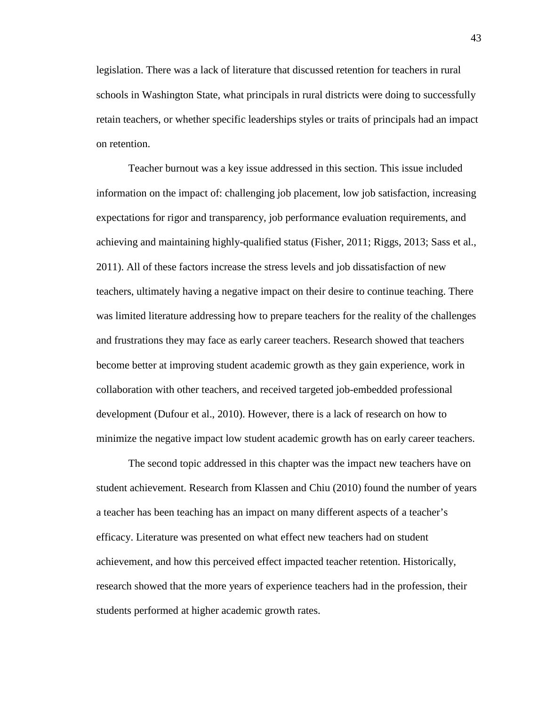legislation. There was a lack of literature that discussed retention for teachers in rural schools in Washington State, what principals in rural districts were doing to successfully retain teachers, or whether specific leaderships styles or traits of principals had an impact on retention.

Teacher burnout was a key issue addressed in this section. This issue included information on the impact of: challenging job placement, low job satisfaction, increasing expectations for rigor and transparency, job performance evaluation requirements, and achieving and maintaining highly-qualified status (Fisher, 2011; Riggs, 2013; Sass et al., 2011). All of these factors increase the stress levels and job dissatisfaction of new teachers, ultimately having a negative impact on their desire to continue teaching. There was limited literature addressing how to prepare teachers for the reality of the challenges and frustrations they may face as early career teachers. Research showed that teachers become better at improving student academic growth as they gain experience, work in collaboration with other teachers, and received targeted job-embedded professional development (Dufour et al., 2010). However, there is a lack of research on how to minimize the negative impact low student academic growth has on early career teachers.

The second topic addressed in this chapter was the impact new teachers have on student achievement. Research from Klassen and Chiu (2010) found the number of years a teacher has been teaching has an impact on many different aspects of a teacher's efficacy. Literature was presented on what effect new teachers had on student achievement, and how this perceived effect impacted teacher retention. Historically, research showed that the more years of experience teachers had in the profession, their students performed at higher academic growth rates.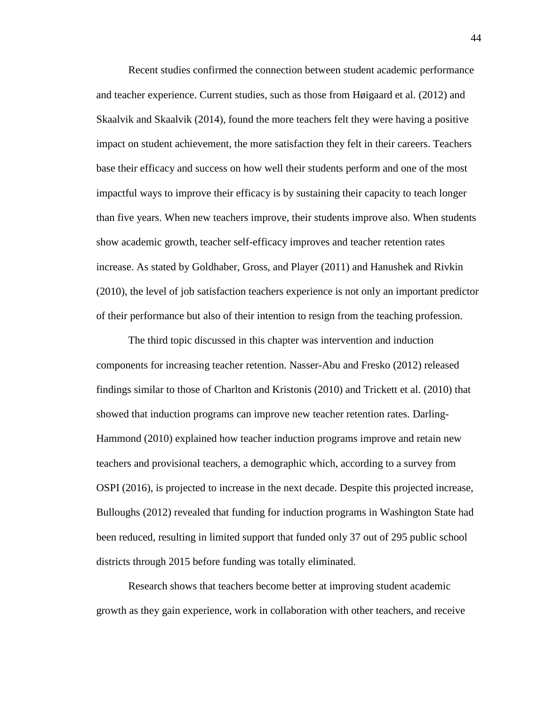Recent studies confirmed the connection between student academic performance and teacher experience. Current studies, such as those from Høigaard et al. (2012) and Skaalvik and Skaalvik (2014), found the more teachers felt they were having a positive impact on student achievement, the more satisfaction they felt in their careers. Teachers base their efficacy and success on how well their students perform and one of the most impactful ways to improve their efficacy is by sustaining their capacity to teach longer than five years. When new teachers improve, their students improve also. When students show academic growth, teacher self-efficacy improves and teacher retention rates increase. As stated by Goldhaber, Gross, and Player (2011) and Hanushek and Rivkin (2010), the level of job satisfaction teachers experience is not only an important predictor of their performance but also of their intention to resign from the teaching profession.

The third topic discussed in this chapter was intervention and induction components for increasing teacher retention. Nasser-Abu and Fresko (2012) released findings similar to those of Charlton and Kristonis (2010) and Trickett et al. (2010) that showed that induction programs can improve new teacher retention rates. Darling-Hammond (2010) explained how teacher induction programs improve and retain new teachers and provisional teachers, a demographic which, according to a survey from OSPI (2016), is projected to increase in the next decade. Despite this projected increase, Bulloughs (2012) revealed that funding for induction programs in Washington State had been reduced, resulting in limited support that funded only 37 out of 295 public school districts through 2015 before funding was totally eliminated.

Research shows that teachers become better at improving student academic growth as they gain experience, work in collaboration with other teachers, and receive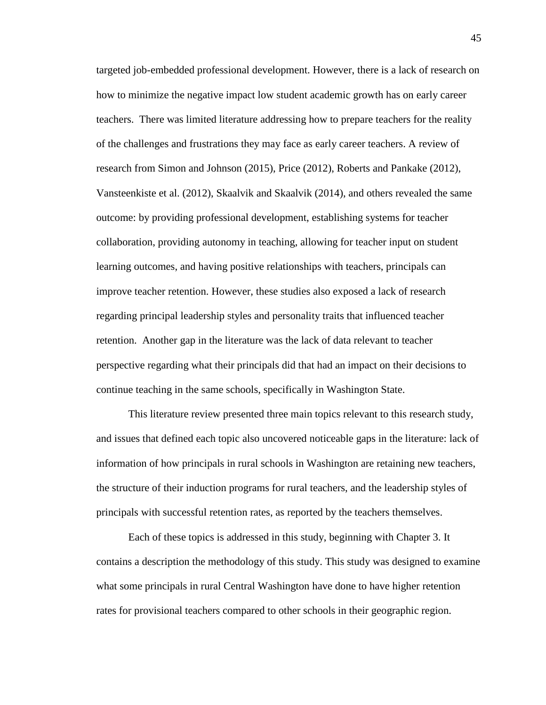targeted job-embedded professional development. However, there is a lack of research on how to minimize the negative impact low student academic growth has on early career teachers. There was limited literature addressing how to prepare teachers for the reality of the challenges and frustrations they may face as early career teachers. A review of research from Simon and Johnson (2015), Price (2012), Roberts and Pankake (2012), Vansteenkiste et al. (2012), Skaalvik and Skaalvik (2014), and others revealed the same outcome: by providing professional development, establishing systems for teacher collaboration, providing autonomy in teaching, allowing for teacher input on student learning outcomes, and having positive relationships with teachers, principals can improve teacher retention. However, these studies also exposed a lack of research regarding principal leadership styles and personality traits that influenced teacher retention. Another gap in the literature was the lack of data relevant to teacher perspective regarding what their principals did that had an impact on their decisions to continue teaching in the same schools, specifically in Washington State.

This literature review presented three main topics relevant to this research study, and issues that defined each topic also uncovered noticeable gaps in the literature: lack of information of how principals in rural schools in Washington are retaining new teachers, the structure of their induction programs for rural teachers, and the leadership styles of principals with successful retention rates, as reported by the teachers themselves.

Each of these topics is addressed in this study, beginning with Chapter 3. It contains a description the methodology of this study. This study was designed to examine what some principals in rural Central Washington have done to have higher retention rates for provisional teachers compared to other schools in their geographic region.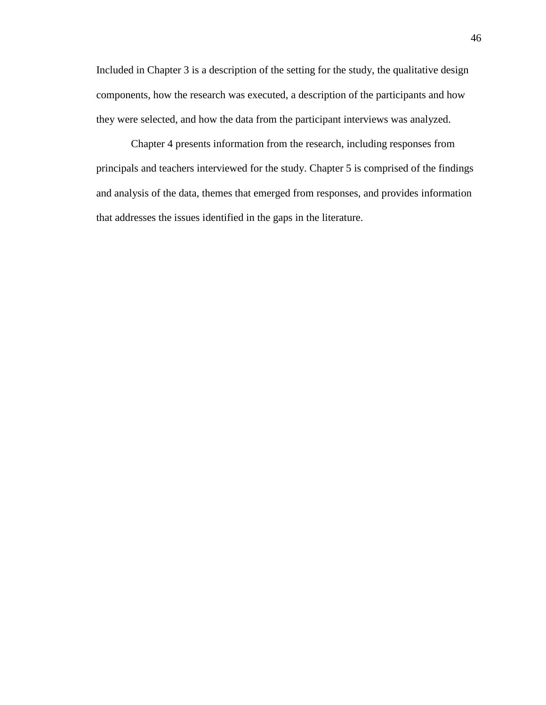Included in Chapter 3 is a description of the setting for the study, the qualitative design components, how the research was executed, a description of the participants and how they were selected, and how the data from the participant interviews was analyzed.

Chapter 4 presents information from the research, including responses from principals and teachers interviewed for the study. Chapter 5 is comprised of the findings and analysis of the data, themes that emerged from responses, and provides information that addresses the issues identified in the gaps in the literature.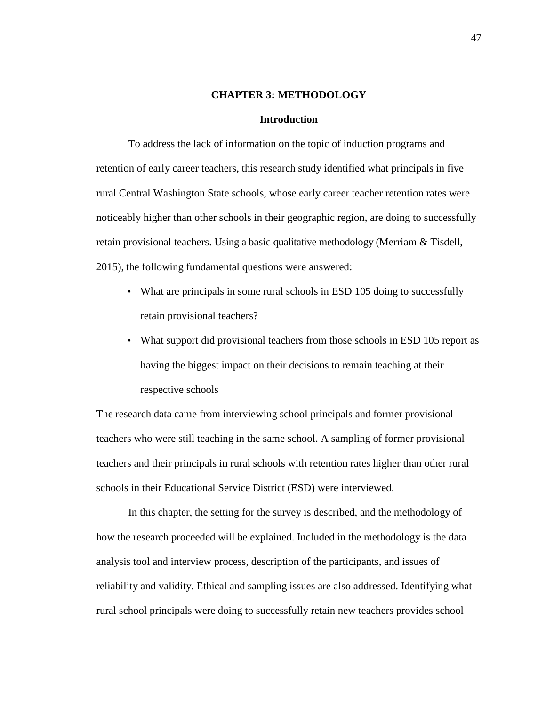### **CHAPTER 3: METHODOLOGY**

## **Introduction**

To address the lack of information on the topic of induction programs and retention of early career teachers, this research study identified what principals in five rural Central Washington State schools, whose early career teacher retention rates were noticeably higher than other schools in their geographic region, are doing to successfully retain provisional teachers. Using a basic qualitative methodology (Merriam & Tisdell, 2015), the following fundamental questions were answered:

- What are principals in some rural schools in ESD 105 doing to successfully retain provisional teachers?
- What support did provisional teachers from those schools in ESD 105 report as having the biggest impact on their decisions to remain teaching at their respective schools

The research data came from interviewing school principals and former provisional teachers who were still teaching in the same school. A sampling of former provisional teachers and their principals in rural schools with retention rates higher than other rural schools in their Educational Service District (ESD) were interviewed.

In this chapter, the setting for the survey is described, and the methodology of how the research proceeded will be explained. Included in the methodology is the data analysis tool and interview process, description of the participants, and issues of reliability and validity. Ethical and sampling issues are also addressed. Identifying what rural school principals were doing to successfully retain new teachers provides school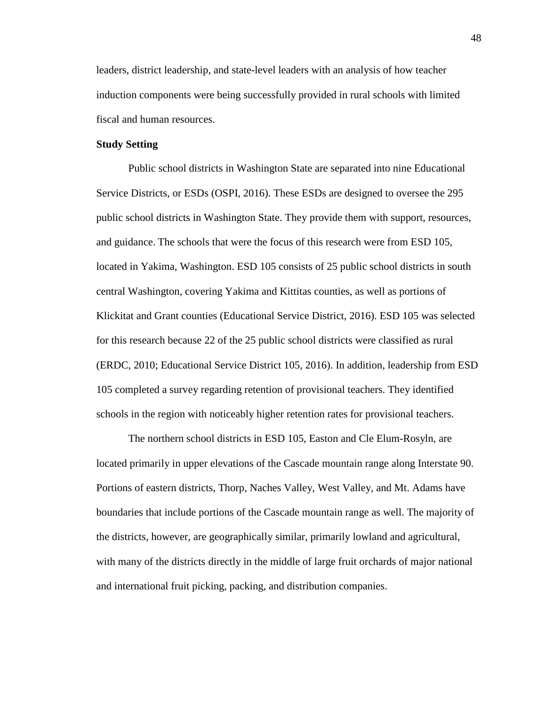leaders, district leadership, and state-level leaders with an analysis of how teacher induction components were being successfully provided in rural schools with limited fiscal and human resources.

# **Study Setting**

Public school districts in Washington State are separated into nine Educational Service Districts, or ESDs (OSPI, 2016). These ESDs are designed to oversee the 295 public school districts in Washington State. They provide them with support, resources, and guidance. The schools that were the focus of this research were from ESD 105, located in Yakima, Washington. ESD 105 consists of 25 public school districts in south central Washington, covering Yakima and Kittitas counties, as well as portions of Klickitat and Grant counties (Educational Service District, 2016). ESD 105 was selected for this research because 22 of the 25 public school districts were classified as rural (ERDC, 2010; Educational Service District 105, 2016). In addition, leadership from ESD 105 completed a survey regarding retention of provisional teachers. They identified schools in the region with noticeably higher retention rates for provisional teachers.

The northern school districts in ESD 105, Easton and Cle Elum-Rosyln, are located primarily in upper elevations of the Cascade mountain range along Interstate 90. Portions of eastern districts, Thorp, Naches Valley, West Valley, and Mt. Adams have boundaries that include portions of the Cascade mountain range as well. The majority of the districts, however, are geographically similar, primarily lowland and agricultural, with many of the districts directly in the middle of large fruit orchards of major national and international fruit picking, packing, and distribution companies.

48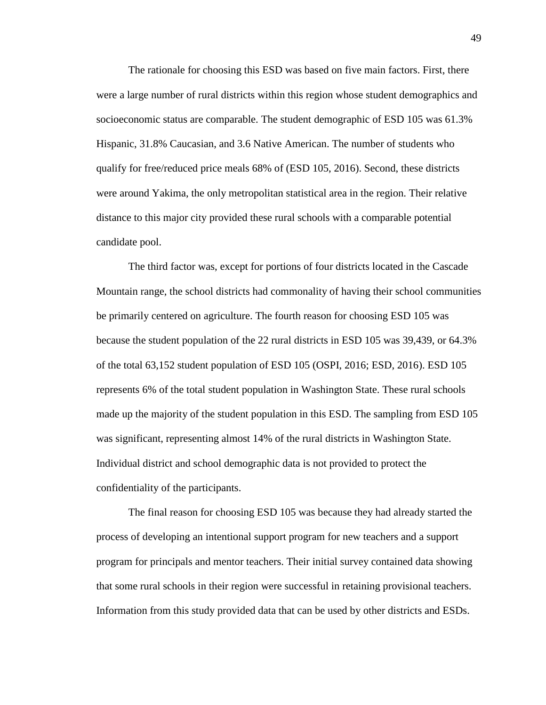The rationale for choosing this ESD was based on five main factors. First, there were a large number of rural districts within this region whose student demographics and socioeconomic status are comparable. The student demographic of ESD 105 was 61.3% Hispanic, 31.8% Caucasian, and 3.6 Native American. The number of students who qualify for free/reduced price meals 68% of (ESD 105, 2016). Second, these districts were around Yakima, the only metropolitan statistical area in the region. Their relative distance to this major city provided these rural schools with a comparable potential candidate pool.

The third factor was, except for portions of four districts located in the Cascade Mountain range, the school districts had commonality of having their school communities be primarily centered on agriculture. The fourth reason for choosing ESD 105 was because the student population of the 22 rural districts in ESD 105 was 39,439, or 64.3% of the total 63,152 student population of ESD 105 (OSPI, 2016; ESD, 2016). ESD 105 represents 6% of the total student population in Washington State. These rural schools made up the majority of the student population in this ESD. The sampling from ESD 105 was significant, representing almost 14% of the rural districts in Washington State. Individual district and school demographic data is not provided to protect the confidentiality of the participants.

The final reason for choosing ESD 105 was because they had already started the process of developing an intentional support program for new teachers and a support program for principals and mentor teachers. Their initial survey contained data showing that some rural schools in their region were successful in retaining provisional teachers. Information from this study provided data that can be used by other districts and ESDs.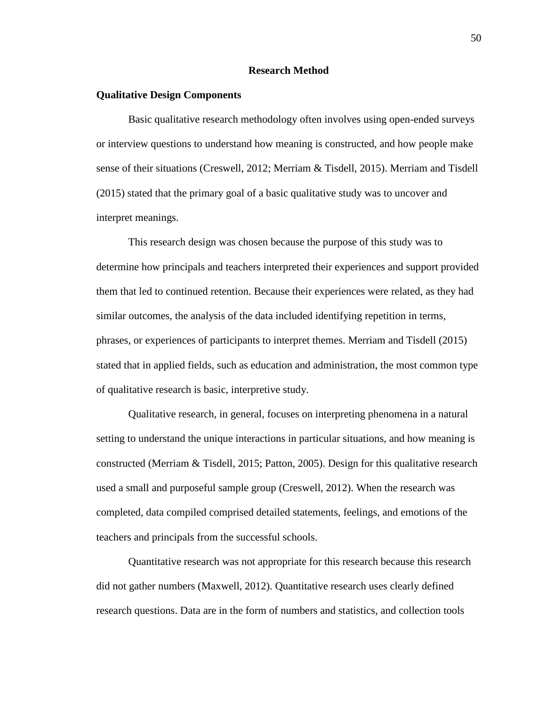# **Research Method**

## **Qualitative Design Components**

Basic qualitative research methodology often involves using open-ended surveys or interview questions to understand how meaning is constructed, and how people make sense of their situations (Creswell, 2012; Merriam & Tisdell, 2015). Merriam and Tisdell (2015) stated that the primary goal of a basic qualitative study was to uncover and interpret meanings.

This research design was chosen because the purpose of this study was to determine how principals and teachers interpreted their experiences and support provided them that led to continued retention. Because their experiences were related, as they had similar outcomes, the analysis of the data included identifying repetition in terms, phrases, or experiences of participants to interpret themes. Merriam and Tisdell (2015) stated that in applied fields, such as education and administration, the most common type of qualitative research is basic, interpretive study.

Qualitative research, in general, focuses on interpreting phenomena in a natural setting to understand the unique interactions in particular situations, and how meaning is constructed (Merriam & Tisdell, 2015; Patton, 2005). Design for this qualitative research used a small and purposeful sample group (Creswell, 2012). When the research was completed, data compiled comprised detailed statements, feelings, and emotions of the teachers and principals from the successful schools.

Quantitative research was not appropriate for this research because this research did not gather numbers (Maxwell, 2012). Quantitative research uses clearly defined research questions. Data are in the form of numbers and statistics, and collection tools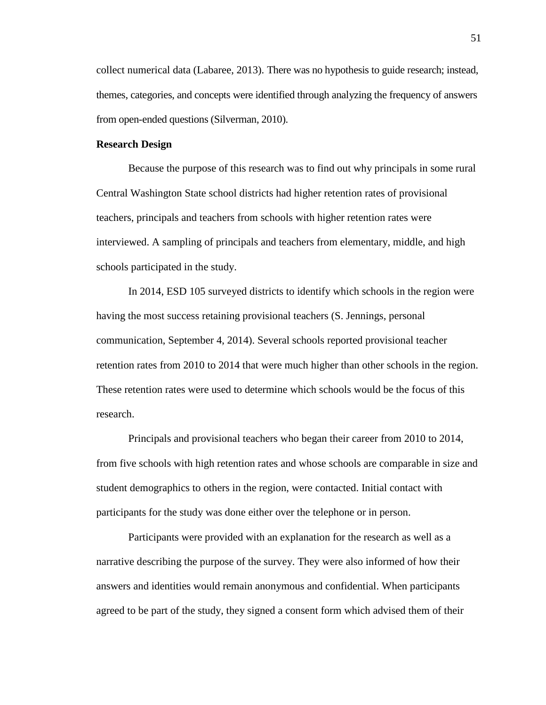collect numerical data (Labaree, 2013). There was no hypothesis to guide research; instead, themes, categories, and concepts were identified through analyzing the frequency of answers from open-ended questions (Silverman, 2010).

# **Research Design**

Because the purpose of this research was to find out why principals in some rural Central Washington State school districts had higher retention rates of provisional teachers, principals and teachers from schools with higher retention rates were interviewed. A sampling of principals and teachers from elementary, middle, and high schools participated in the study.

In 2014, ESD 105 surveyed districts to identify which schools in the region were having the most success retaining provisional teachers (S. Jennings, personal communication, September 4, 2014). Several schools reported provisional teacher retention rates from 2010 to 2014 that were much higher than other schools in the region. These retention rates were used to determine which schools would be the focus of this research.

Principals and provisional teachers who began their career from 2010 to 2014, from five schools with high retention rates and whose schools are comparable in size and student demographics to others in the region, were contacted. Initial contact with participants for the study was done either over the telephone or in person.

Participants were provided with an explanation for the research as well as a narrative describing the purpose of the survey. They were also informed of how their answers and identities would remain anonymous and confidential. When participants agreed to be part of the study, they signed a consent form which advised them of their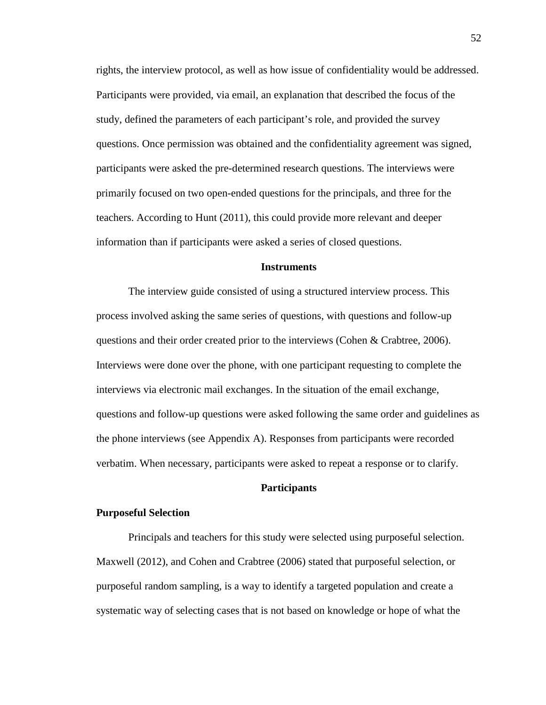rights, the interview protocol, as well as how issue of confidentiality would be addressed. Participants were provided, via email, an explanation that described the focus of the study, defined the parameters of each participant's role, and provided the survey questions. Once permission was obtained and the confidentiality agreement was signed, participants were asked the pre-determined research questions. The interviews were primarily focused on two open-ended questions for the principals, and three for the teachers. According to Hunt (2011), this could provide more relevant and deeper information than if participants were asked a series of closed questions.

# **Instruments**

The interview guide consisted of using a structured interview process. This process involved asking the same series of questions, with questions and follow-up questions and their order created prior to the interviews (Cohen & Crabtree, 2006). Interviews were done over the phone, with one participant requesting to complete the interviews via electronic mail exchanges. In the situation of the email exchange, questions and follow-up questions were asked following the same order and guidelines as the phone interviews (see Appendix A). Responses from participants were recorded verbatim. When necessary, participants were asked to repeat a response or to clarify.

# **Participants**

## **Purposeful Selection**

Principals and teachers for this study were selected using purposeful selection. Maxwell (2012), and Cohen and Crabtree (2006) stated that purposeful selection, or purposeful random sampling, is a way to identify a targeted population and create a systematic way of selecting cases that is not based on knowledge or hope of what the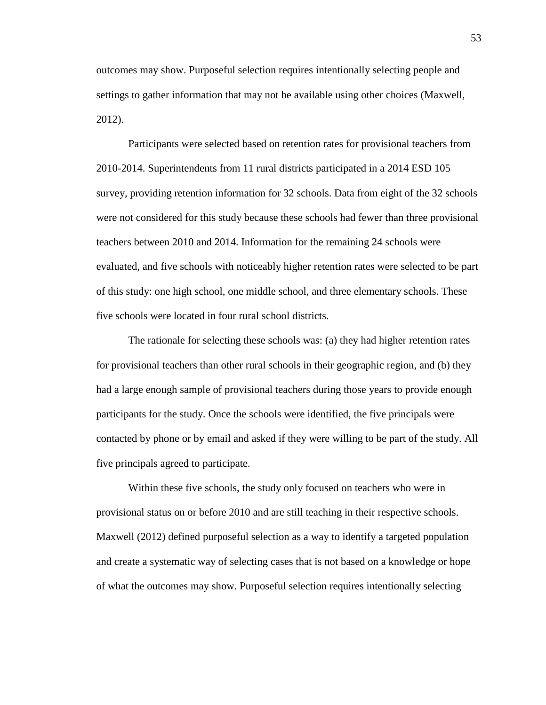outcomes may show. Purposeful selection requires intentionally selecting people and settings to gather information that may not be available using other choices (Maxwell, 2012).

Participants were selected based on retention rates for provisional teachers from 2010-2014. Superintendents from 11 rural districts participated in a 2014 ESD 105 survey, providing retention information for 32 schools. Data from eight of the 32 schools were not considered for this study because these schools had fewer than three provisional teachers between 2010 and 2014. Information for the remaining 24 schools were evaluated, and five schools with noticeably higher retention rates were selected to be part of this study: one high school, one middle school, and three elementary schools. These five schools were located in four rural school districts.

The rationale for selecting these schools was: (a) they had higher retention rates for provisional teachers than other rural schools in their geographic region, and (b) they had a large enough sample of provisional teachers during those years to provide enough participants for the study. Once the schools were identified, the five principals were contacted by phone or by email and asked if they were willing to be part of the study. All five principals agreed to participate.

Within these five schools, the study only focused on teachers who were in provisional status on or before 2010 and are still teaching in their respective schools. Maxwell (2012) defined purposeful selection as a way to identify a targeted population and create a systematic way of selecting cases that is not based on a knowledge or hope of what the outcomes may show. Purposeful selection requires intentionally selecting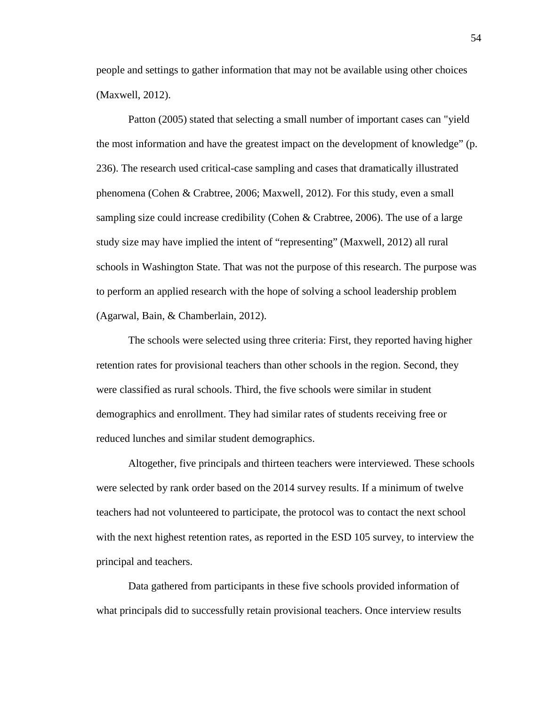people and settings to gather information that may not be available using other choices (Maxwell, 2012).

Patton (2005) stated that selecting a small number of important cases can "yield the most information and have the greatest impact on the development of knowledge" (p. 236). The research used critical-case sampling and cases that dramatically illustrated phenomena (Cohen & Crabtree, 2006; Maxwell, 2012). For this study, even a small sampling size could increase credibility (Cohen & Crabtree, 2006). The use of a large study size may have implied the intent of "representing" (Maxwell, 2012) all rural schools in Washington State. That was not the purpose of this research. The purpose was to perform an applied research with the hope of solving a school leadership problem (Agarwal, Bain, & Chamberlain, 2012).

The schools were selected using three criteria: First, they reported having higher retention rates for provisional teachers than other schools in the region. Second, they were classified as rural schools. Third, the five schools were similar in student demographics and enrollment. They had similar rates of students receiving free or reduced lunches and similar student demographics.

Altogether, five principals and thirteen teachers were interviewed. These schools were selected by rank order based on the 2014 survey results. If a minimum of twelve teachers had not volunteered to participate, the protocol was to contact the next school with the next highest retention rates, as reported in the ESD 105 survey, to interview the principal and teachers.

Data gathered from participants in these five schools provided information of what principals did to successfully retain provisional teachers. Once interview results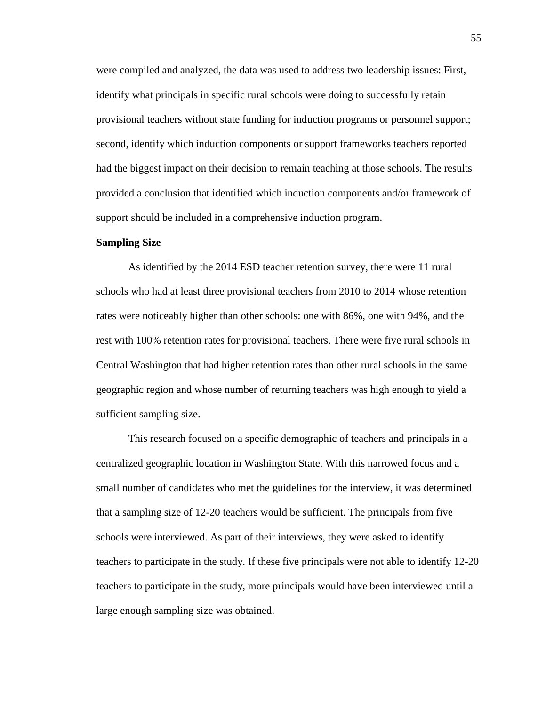were compiled and analyzed, the data was used to address two leadership issues: First, identify what principals in specific rural schools were doing to successfully retain provisional teachers without state funding for induction programs or personnel support; second, identify which induction components or support frameworks teachers reported had the biggest impact on their decision to remain teaching at those schools. The results provided a conclusion that identified which induction components and/or framework of support should be included in a comprehensive induction program.

### **Sampling Size**

As identified by the 2014 ESD teacher retention survey, there were 11 rural schools who had at least three provisional teachers from 2010 to 2014 whose retention rates were noticeably higher than other schools: one with 86%, one with 94%, and the rest with 100% retention rates for provisional teachers. There were five rural schools in Central Washington that had higher retention rates than other rural schools in the same geographic region and whose number of returning teachers was high enough to yield a sufficient sampling size.

This research focused on a specific demographic of teachers and principals in a centralized geographic location in Washington State. With this narrowed focus and a small number of candidates who met the guidelines for the interview, it was determined that a sampling size of 12-20 teachers would be sufficient. The principals from five schools were interviewed. As part of their interviews, they were asked to identify teachers to participate in the study. If these five principals were not able to identify 12-20 teachers to participate in the study, more principals would have been interviewed until a large enough sampling size was obtained.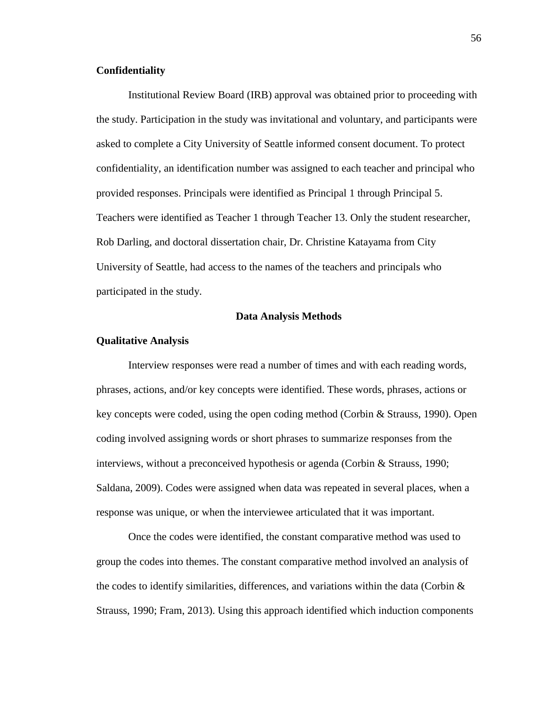# **Confidentiality**

Institutional Review Board (IRB) approval was obtained prior to proceeding with the study. Participation in the study was invitational and voluntary, and participants were asked to complete a City University of Seattle informed consent document. To protect confidentiality, an identification number was assigned to each teacher and principal who provided responses. Principals were identified as Principal 1 through Principal 5. Teachers were identified as Teacher 1 through Teacher 13. Only the student researcher, Rob Darling, and doctoral dissertation chair, Dr. Christine Katayama from City University of Seattle, had access to the names of the teachers and principals who participated in the study.

#### **Data Analysis Methods**

#### **Qualitative Analysis**

Interview responses were read a number of times and with each reading words, phrases, actions, and/or key concepts were identified. These words, phrases, actions or key concepts were coded, using the open coding method (Corbin & Strauss, 1990). Open coding involved assigning words or short phrases to summarize responses from the interviews, without a preconceived hypothesis or agenda (Corbin & Strauss, 1990; Saldana, 2009). Codes were assigned when data was repeated in several places, when a response was unique, or when the interviewee articulated that it was important.

Once the codes were identified, the constant comparative method was used to group the codes into themes. The constant comparative method involved an analysis of the codes to identify similarities, differences, and variations within the data (Corbin  $\&$ Strauss, 1990; Fram, 2013). Using this approach identified which induction components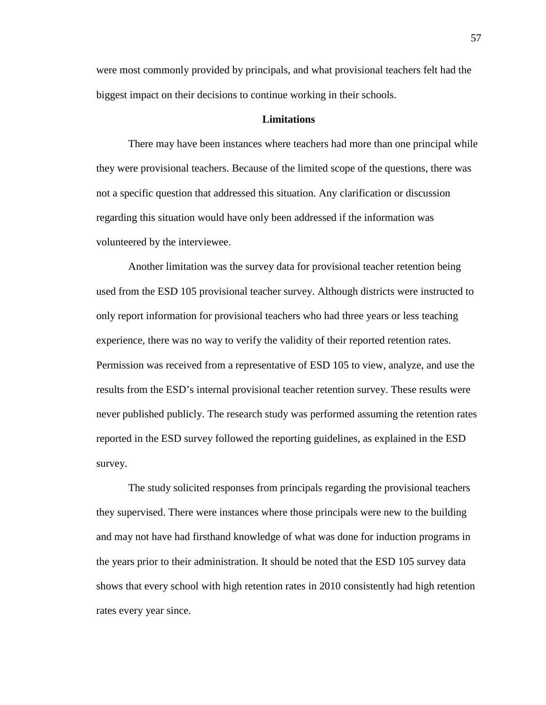were most commonly provided by principals, and what provisional teachers felt had the biggest impact on their decisions to continue working in their schools.

# **Limitations**

There may have been instances where teachers had more than one principal while they were provisional teachers. Because of the limited scope of the questions, there was not a specific question that addressed this situation. Any clarification or discussion regarding this situation would have only been addressed if the information was volunteered by the interviewee.

Another limitation was the survey data for provisional teacher retention being used from the ESD 105 provisional teacher survey. Although districts were instructed to only report information for provisional teachers who had three years or less teaching experience, there was no way to verify the validity of their reported retention rates. Permission was received from a representative of ESD 105 to view, analyze, and use the results from the ESD's internal provisional teacher retention survey. These results were never published publicly. The research study was performed assuming the retention rates reported in the ESD survey followed the reporting guidelines, as explained in the ESD survey.

The study solicited responses from principals regarding the provisional teachers they supervised. There were instances where those principals were new to the building and may not have had firsthand knowledge of what was done for induction programs in the years prior to their administration. It should be noted that the ESD 105 survey data shows that every school with high retention rates in 2010 consistently had high retention rates every year since.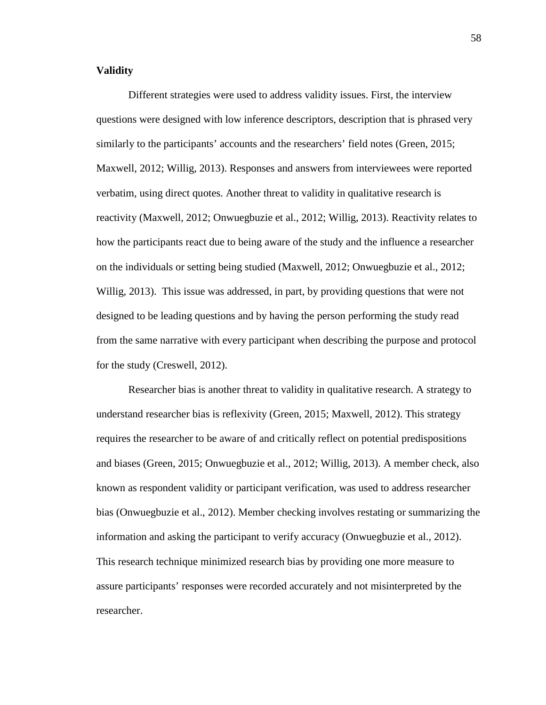# **Validity**

Different strategies were used to address validity issues. First, the interview questions were designed with low inference descriptors, description that is phrased very similarly to the participants' accounts and the researchers' field notes (Green, 2015; Maxwell, 2012; Willig, 2013). Responses and answers from interviewees were reported verbatim, using direct quotes. Another threat to validity in qualitative research is reactivity (Maxwell, 2012; Onwuegbuzie et al., 2012; Willig, 2013). Reactivity relates to how the participants react due to being aware of the study and the influence a researcher on the individuals or setting being studied (Maxwell, 2012; Onwuegbuzie et al., 2012; Willig, 2013). This issue was addressed, in part, by providing questions that were not designed to be leading questions and by having the person performing the study read from the same narrative with every participant when describing the purpose and protocol for the study (Creswell, 2012).

Researcher bias is another threat to validity in qualitative research. A strategy to understand researcher bias is reflexivity (Green, 2015; Maxwell, 2012). This strategy requires the researcher to be aware of and critically reflect on potential predispositions and biases (Green, 2015; Onwuegbuzie et al., 2012; Willig, 2013). A member check, also known as respondent validity or participant verification, was used to address researcher bias (Onwuegbuzie et al., 2012). Member checking involves restating or summarizing the information and asking the participant to verify accuracy (Onwuegbuzie et al., 2012). This research technique minimized research bias by providing one more measure to assure participants' responses were recorded accurately and not misinterpreted by the researcher.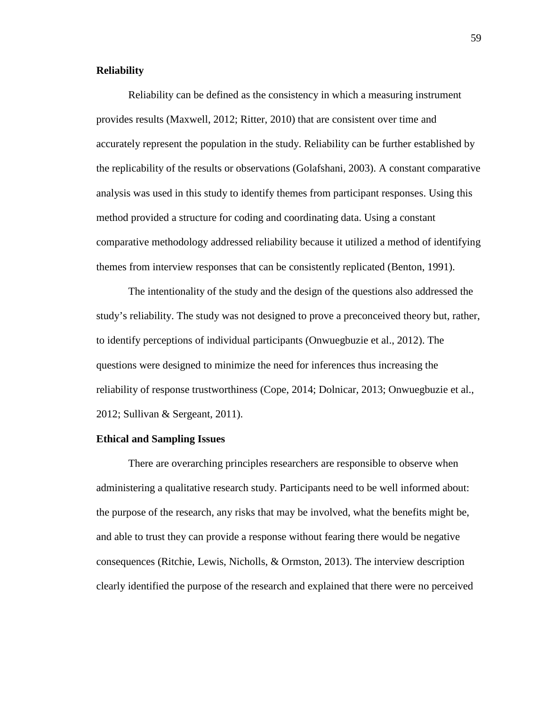# **Reliability**

Reliability can be defined as the consistency in which a measuring instrument provides results (Maxwell, 2012; Ritter, 2010) that are consistent over time and accurately represent the population in the study. Reliability can be further established by the replicability of the results or observations (Golafshani, 2003). A constant comparative analysis was used in this study to identify themes from participant responses. Using this method provided a structure for coding and coordinating data. Using a constant comparative methodology addressed reliability because it utilized a method of identifying themes from interview responses that can be consistently replicated (Benton, 1991).

The intentionality of the study and the design of the questions also addressed the study's reliability. The study was not designed to prove a preconceived theory but, rather, to identify perceptions of individual participants (Onwuegbuzie et al., 2012). The questions were designed to minimize the need for inferences thus increasing the reliability of response trustworthiness (Cope, 2014; Dolnicar, 2013; Onwuegbuzie et al., 2012; Sullivan & Sergeant, 2011).

#### **Ethical and Sampling Issues**

There are overarching principles researchers are responsible to observe when administering a qualitative research study. Participants need to be well informed about: the purpose of the research, any risks that may be involved, what the benefits might be, and able to trust they can provide a response without fearing there would be negative consequences (Ritchie, Lewis, Nicholls, & Ormston, 2013). The interview description clearly identified the purpose of the research and explained that there were no perceived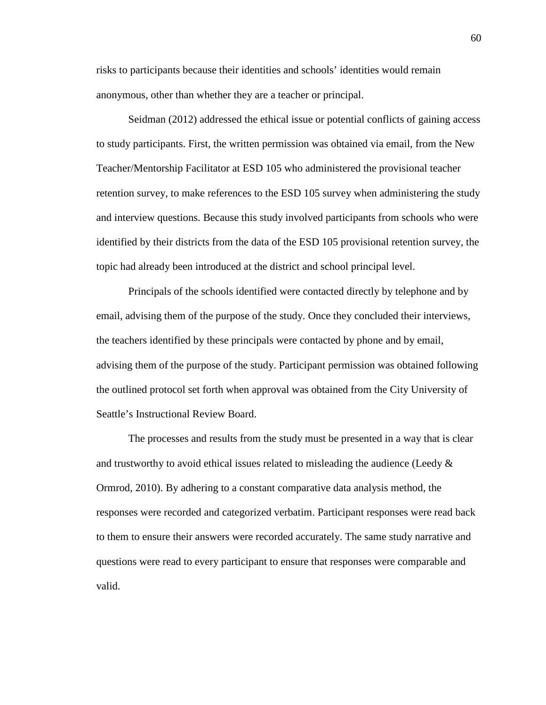risks to participants because their identities and schools' identities would remain anonymous, other than whether they are a teacher or principal.

Seidman (2012) addressed the ethical issue or potential conflicts of gaining access to study participants. First, the written permission was obtained via email, from the New Teacher/Mentorship Facilitator at ESD 105 who administered the provisional teacher retention survey, to make references to the ESD 105 survey when administering the study and interview questions. Because this study involved participants from schools who were identified by their districts from the data of the ESD 105 provisional retention survey, the topic had already been introduced at the district and school principal level.

Principals of the schools identified were contacted directly by telephone and by email, advising them of the purpose of the study. Once they concluded their interviews, the teachers identified by these principals were contacted by phone and by email, advising them of the purpose of the study. Participant permission was obtained following the outlined protocol set forth when approval was obtained from the City University of Seattle's Instructional Review Board.

The processes and results from the study must be presented in a way that is clear and trustworthy to avoid ethical issues related to misleading the audience (Leedy  $\&$ Ormrod, 2010). By adhering to a constant comparative data analysis method, the responses were recorded and categorized verbatim. Participant responses were read back to them to ensure their answers were recorded accurately. The same study narrative and questions were read to every participant to ensure that responses were comparable and valid.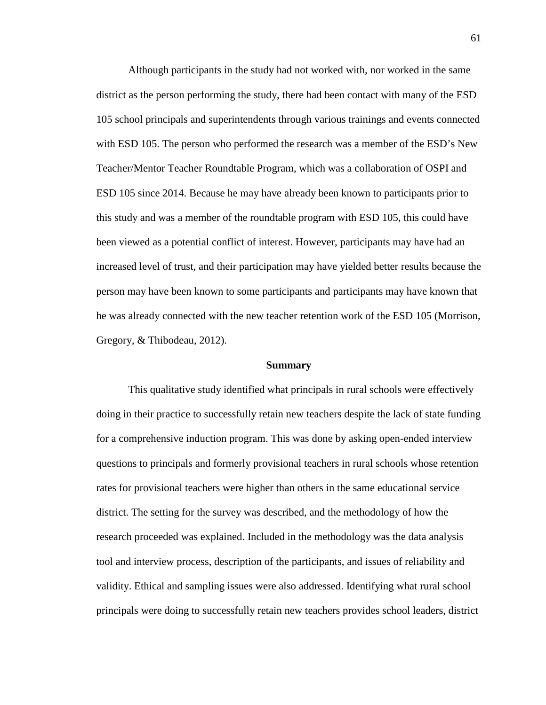Although participants in the study had not worked with, nor worked in the same district as the person performing the study, there had been contact with many of the ESD 105 school principals and superintendents through various trainings and events connected with ESD 105. The person who performed the research was a member of the ESD's New Teacher/Mentor Teacher Roundtable Program, which was a collaboration of OSPI and ESD 105 since 2014. Because he may have already been known to participants prior to this study and was a member of the roundtable program with ESD 105, this could have been viewed as a potential conflict of interest. However, participants may have had an increased level of trust, and their participation may have yielded better results because the person may have been known to some participants and participants may have known that he was already connected with the new teacher retention work of the ESD 105 (Morrison, Gregory, & Thibodeau, 2012).

#### **Summary**

This qualitative study identified what principals in rural schools were effectively doing in their practice to successfully retain new teachers despite the lack of state funding for a comprehensive induction program. This was done by asking open-ended interview questions to principals and formerly provisional teachers in rural schools whose retention rates for provisional teachers were higher than others in the same educational service district. The setting for the survey was described, and the methodology of how the research proceeded was explained. Included in the methodology was the data analysis tool and interview process, description of the participants, and issues of reliability and validity. Ethical and sampling issues were also addressed. Identifying what rural school principals were doing to successfully retain new teachers provides school leaders, district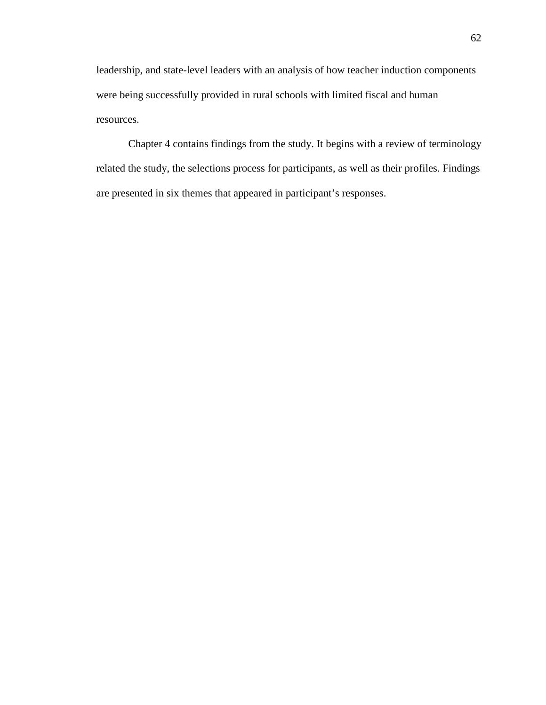leadership, and state-level leaders with an analysis of how teacher induction components were being successfully provided in rural schools with limited fiscal and human resources.

Chapter 4 contains findings from the study. It begins with a review of terminology related the study, the selections process for participants, as well as their profiles. Findings are presented in six themes that appeared in participant's responses.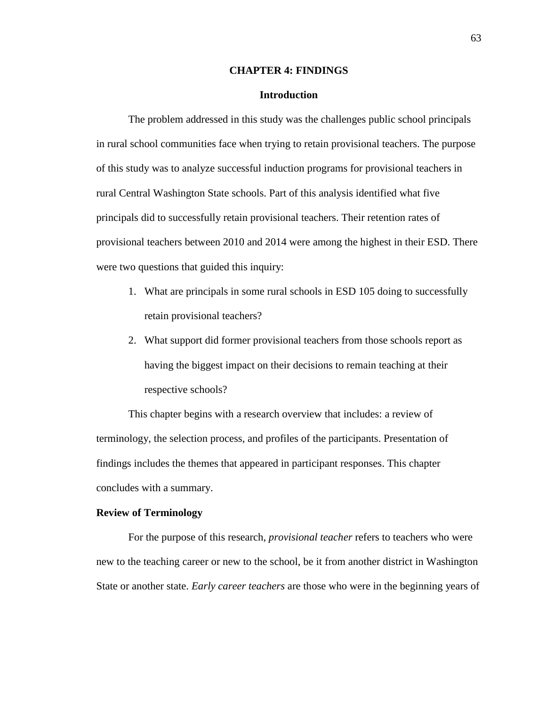## **CHAPTER 4: FINDINGS**

# **Introduction**

The problem addressed in this study was the challenges public school principals in rural school communities face when trying to retain provisional teachers. The purpose of this study was to analyze successful induction programs for provisional teachers in rural Central Washington State schools. Part of this analysis identified what five principals did to successfully retain provisional teachers. Their retention rates of provisional teachers between 2010 and 2014 were among the highest in their ESD. There were two questions that guided this inquiry:

- 1. What are principals in some rural schools in ESD 105 doing to successfully retain provisional teachers?
- 2. What support did former provisional teachers from those schools report as having the biggest impact on their decisions to remain teaching at their respective schools?

This chapter begins with a research overview that includes: a review of terminology, the selection process, and profiles of the participants. Presentation of findings includes the themes that appeared in participant responses. This chapter concludes with a summary.

### **Review of Terminology**

For the purpose of this research, *provisional teacher* refers to teachers who were new to the teaching career or new to the school, be it from another district in Washington State or another state. *Early career teachers* are those who were in the beginning years of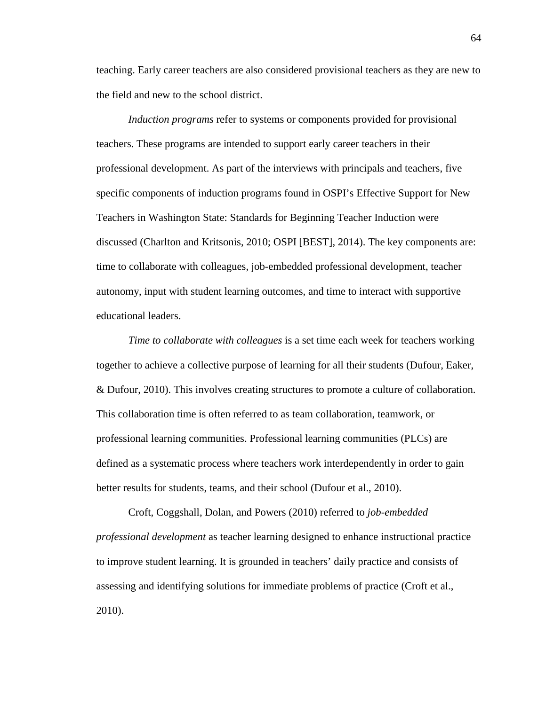teaching. Early career teachers are also considered provisional teachers as they are new to the field and new to the school district.

*Induction programs* refer to systems or components provided for provisional teachers. These programs are intended to support early career teachers in their professional development. As part of the interviews with principals and teachers, five specific components of induction programs found in OSPI's Effective Support for New Teachers in Washington State: Standards for Beginning Teacher Induction were discussed (Charlton and Kritsonis, 2010; OSPI [BEST], 2014). The key components are: time to collaborate with colleagues, job-embedded professional development, teacher autonomy, input with student learning outcomes, and time to interact with supportive educational leaders.

*Time to collaborate with colleagues* is a set time each week for teachers working together to achieve a collective purpose of learning for all their students (Dufour, Eaker, & Dufour, 2010). This involves creating structures to promote a culture of collaboration. This collaboration time is often referred to as team collaboration, teamwork, or professional learning communities. Professional learning communities (PLCs) are defined as a systematic process where teachers work interdependently in order to gain better results for students, teams, and their school (Dufour et al., 2010).

Croft, Coggshall, Dolan, and Powers (2010) referred to *job-embedded professional development* as teacher learning designed to enhance instructional practice to improve student learning. It is grounded in teachers' daily practice and consists of assessing and identifying solutions for immediate problems of practice (Croft et al., 2010).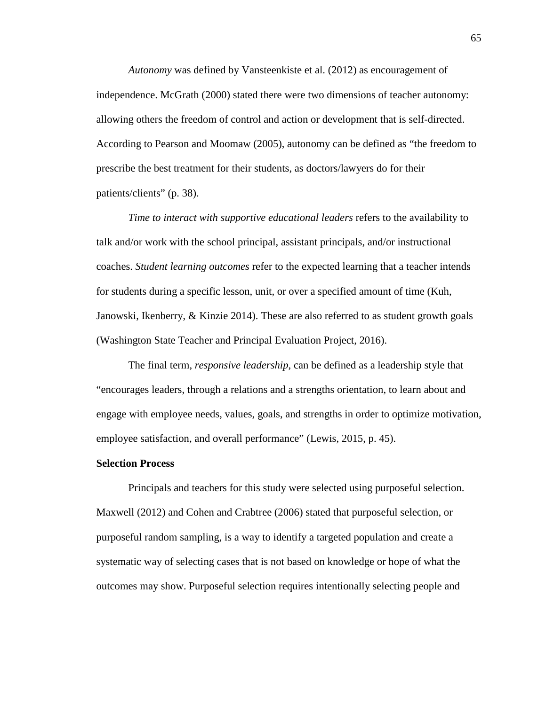*Autonomy* was defined by Vansteenkiste et al. (2012) as encouragement of independence. McGrath (2000) stated there were two dimensions of teacher autonomy: allowing others the freedom of control and action or development that is self-directed. According to Pearson and Moomaw (2005), autonomy can be defined as "the freedom to prescribe the best treatment for their students, as doctors/lawyers do for their patients/clients" (p. 38).

*Time to interact with supportive educational leaders* refers to the availability to talk and/or work with the school principal, assistant principals, and/or instructional coaches. *Student learning outcomes* refer to the expected learning that a teacher intends for students during a specific lesson, unit, or over a specified amount of time (Kuh, Janowski, Ikenberry, & Kinzie 2014). These are also referred to as student growth goals (Washington State Teacher and Principal Evaluation Project, 2016).

The final term, *responsive leadership*, can be defined as a leadership style that "encourages leaders, through a relations and a strengths orientation, to learn about and engage with employee needs, values, goals, and strengths in order to optimize motivation, employee satisfaction, and overall performance" (Lewis, 2015, p. 45).

#### **Selection Process**

Principals and teachers for this study were selected using purposeful selection. Maxwell (2012) and Cohen and Crabtree (2006) stated that purposeful selection, or purposeful random sampling, is a way to identify a targeted population and create a systematic way of selecting cases that is not based on knowledge or hope of what the outcomes may show. Purposeful selection requires intentionally selecting people and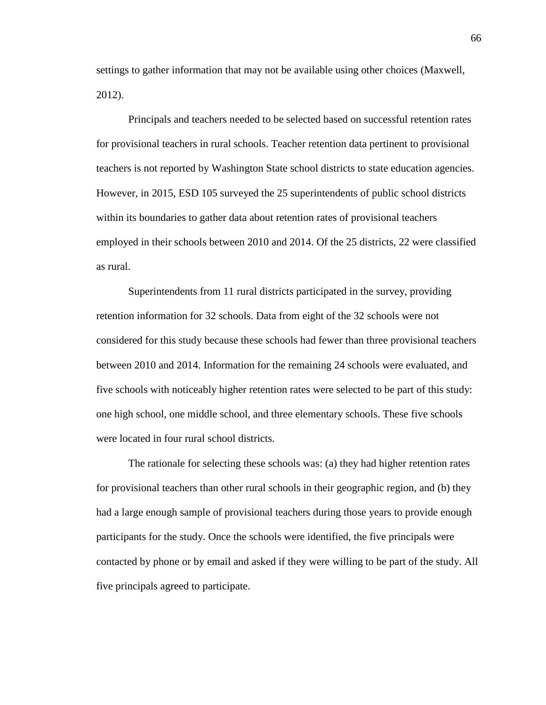settings to gather information that may not be available using other choices (Maxwell, 2012).

Principals and teachers needed to be selected based on successful retention rates for provisional teachers in rural schools. Teacher retention data pertinent to provisional teachers is not reported by Washington State school districts to state education agencies. However, in 2015, ESD 105 surveyed the 25 superintendents of public school districts within its boundaries to gather data about retention rates of provisional teachers employed in their schools between 2010 and 2014. Of the 25 districts, 22 were classified as rural.

Superintendents from 11 rural districts participated in the survey, providing retention information for 32 schools. Data from eight of the 32 schools were not considered for this study because these schools had fewer than three provisional teachers between 2010 and 2014. Information for the remaining 24 schools were evaluated, and five schools with noticeably higher retention rates were selected to be part of this study: one high school, one middle school, and three elementary schools. These five schools were located in four rural school districts.

The rationale for selecting these schools was: (a) they had higher retention rates for provisional teachers than other rural schools in their geographic region, and (b) they had a large enough sample of provisional teachers during those years to provide enough participants for the study. Once the schools were identified, the five principals were contacted by phone or by email and asked if they were willing to be part of the study. All five principals agreed to participate.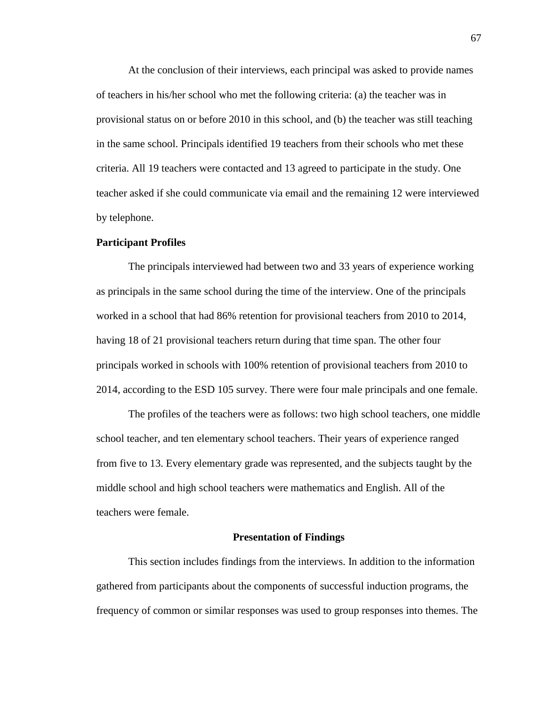At the conclusion of their interviews, each principal was asked to provide names of teachers in his/her school who met the following criteria: (a) the teacher was in provisional status on or before 2010 in this school, and (b) the teacher was still teaching in the same school. Principals identified 19 teachers from their schools who met these criteria. All 19 teachers were contacted and 13 agreed to participate in the study. One teacher asked if she could communicate via email and the remaining 12 were interviewed by telephone.

#### **Participant Profiles**

The principals interviewed had between two and 33 years of experience working as principals in the same school during the time of the interview. One of the principals worked in a school that had 86% retention for provisional teachers from 2010 to 2014, having 18 of 21 provisional teachers return during that time span. The other four principals worked in schools with 100% retention of provisional teachers from 2010 to 2014, according to the ESD 105 survey. There were four male principals and one female.

The profiles of the teachers were as follows: two high school teachers, one middle school teacher, and ten elementary school teachers. Their years of experience ranged from five to 13. Every elementary grade was represented, and the subjects taught by the middle school and high school teachers were mathematics and English. All of the teachers were female.

#### **Presentation of Findings**

This section includes findings from the interviews. In addition to the information gathered from participants about the components of successful induction programs, the frequency of common or similar responses was used to group responses into themes. The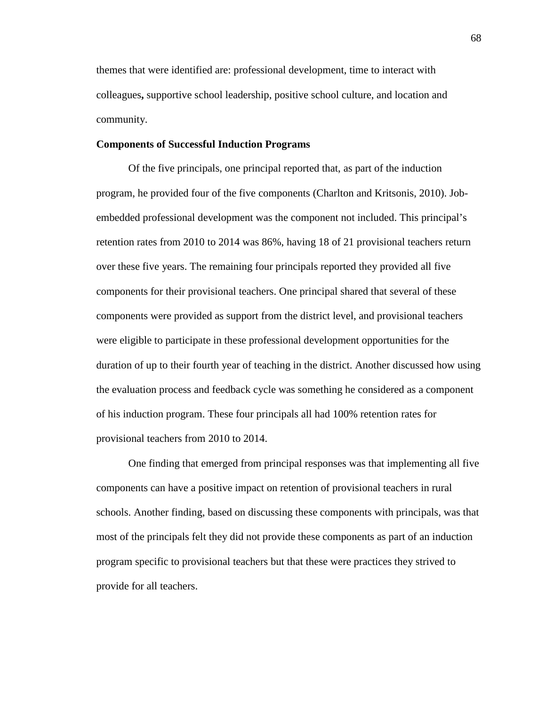themes that were identified are: professional development, time to interact with colleagues**,** supportive school leadership, positive school culture, and location and community.

#### **Components of Successful Induction Programs**

Of the five principals, one principal reported that, as part of the induction program, he provided four of the five components (Charlton and Kritsonis, 2010). Jobembedded professional development was the component not included. This principal's retention rates from 2010 to 2014 was 86%, having 18 of 21 provisional teachers return over these five years. The remaining four principals reported they provided all five components for their provisional teachers. One principal shared that several of these components were provided as support from the district level, and provisional teachers were eligible to participate in these professional development opportunities for the duration of up to their fourth year of teaching in the district. Another discussed how using the evaluation process and feedback cycle was something he considered as a component of his induction program. These four principals all had 100% retention rates for provisional teachers from 2010 to 2014.

One finding that emerged from principal responses was that implementing all five components can have a positive impact on retention of provisional teachers in rural schools. Another finding, based on discussing these components with principals, was that most of the principals felt they did not provide these components as part of an induction program specific to provisional teachers but that these were practices they strived to provide for all teachers.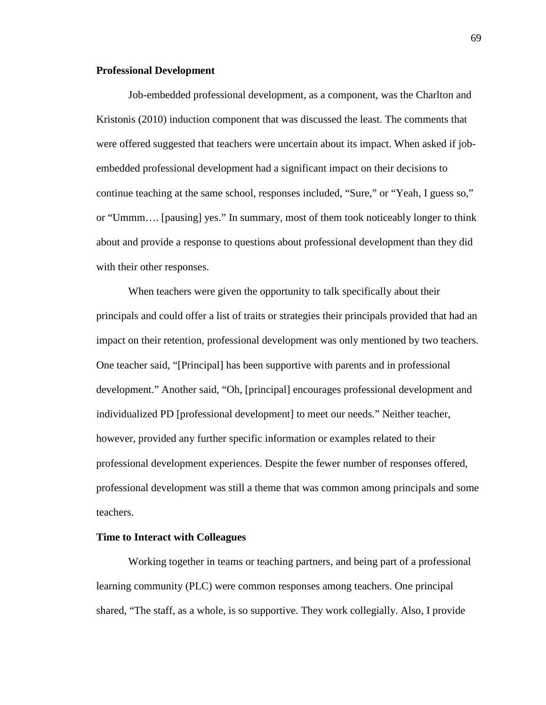#### **Professional Development**

Job-embedded professional development, as a component, was the Charlton and Kristonis (2010) induction component that was discussed the least. The comments that were offered suggested that teachers were uncertain about its impact. When asked if jobembedded professional development had a significant impact on their decisions to continue teaching at the same school, responses included, "Sure," or "Yeah, I guess so," or "Ummm…. [pausing] yes." In summary, most of them took noticeably longer to think about and provide a response to questions about professional development than they did with their other responses.

When teachers were given the opportunity to talk specifically about their principals and could offer a list of traits or strategies their principals provided that had an impact on their retention, professional development was only mentioned by two teachers. One teacher said, "[Principal] has been supportive with parents and in professional development." Another said, "Oh, [principal] encourages professional development and individualized PD [professional development] to meet our needs." Neither teacher, however, provided any further specific information or examples related to their professional development experiences. Despite the fewer number of responses offered, professional development was still a theme that was common among principals and some teachers.

#### **Time to Interact with Colleagues**

Working together in teams or teaching partners, and being part of a professional learning community (PLC) were common responses among teachers. One principal shared, "The staff, as a whole, is so supportive. They work collegially. Also, I provide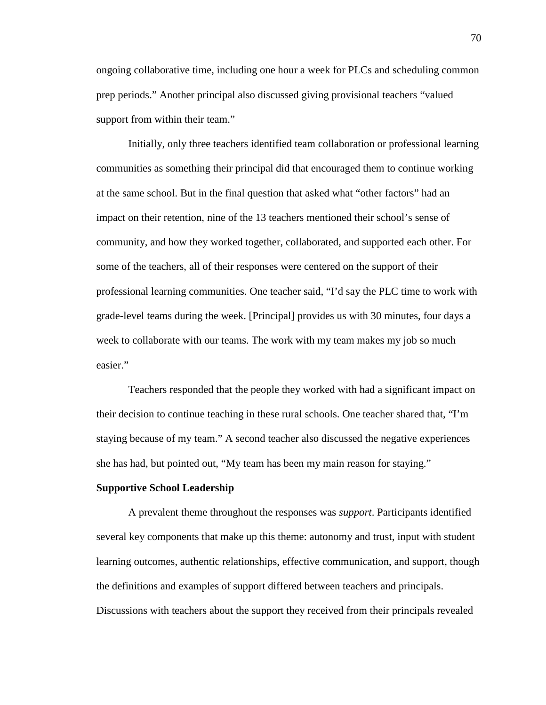ongoing collaborative time, including one hour a week for PLCs and scheduling common prep periods." Another principal also discussed giving provisional teachers "valued support from within their team."

Initially, only three teachers identified team collaboration or professional learning communities as something their principal did that encouraged them to continue working at the same school. But in the final question that asked what "other factors" had an impact on their retention, nine of the 13 teachers mentioned their school's sense of community, and how they worked together, collaborated, and supported each other. For some of the teachers, all of their responses were centered on the support of their professional learning communities. One teacher said, "I'd say the PLC time to work with grade-level teams during the week. [Principal] provides us with 30 minutes, four days a week to collaborate with our teams. The work with my team makes my job so much easier."

Teachers responded that the people they worked with had a significant impact on their decision to continue teaching in these rural schools. One teacher shared that, "I'm staying because of my team." A second teacher also discussed the negative experiences she has had, but pointed out, "My team has been my main reason for staying."

#### **Supportive School Leadership**

A prevalent theme throughout the responses was *support*. Participants identified several key components that make up this theme: autonomy and trust, input with student learning outcomes, authentic relationships, effective communication, and support, though the definitions and examples of support differed between teachers and principals. Discussions with teachers about the support they received from their principals revealed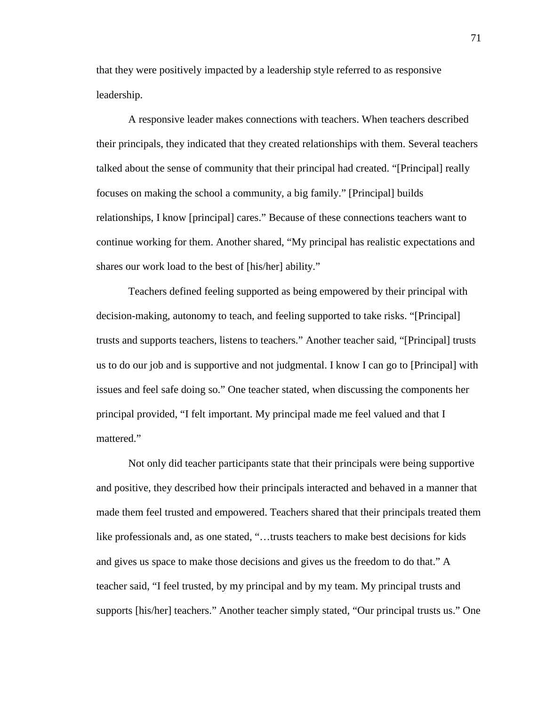that they were positively impacted by a leadership style referred to as responsive leadership.

A responsive leader makes connections with teachers. When teachers described their principals, they indicated that they created relationships with them. Several teachers talked about the sense of community that their principal had created. "[Principal] really focuses on making the school a community, a big family." [Principal] builds relationships, I know [principal] cares." Because of these connections teachers want to continue working for them. Another shared, "My principal has realistic expectations and shares our work load to the best of [his/her] ability."

Teachers defined feeling supported as being empowered by their principal with decision-making, autonomy to teach, and feeling supported to take risks. "[Principal] trusts and supports teachers, listens to teachers." Another teacher said, "[Principal] trusts us to do our job and is supportive and not judgmental. I know I can go to [Principal] with issues and feel safe doing so." One teacher stated, when discussing the components her principal provided, "I felt important. My principal made me feel valued and that I mattered."

Not only did teacher participants state that their principals were being supportive and positive, they described how their principals interacted and behaved in a manner that made them feel trusted and empowered. Teachers shared that their principals treated them like professionals and, as one stated, "…trusts teachers to make best decisions for kids and gives us space to make those decisions and gives us the freedom to do that." A teacher said, "I feel trusted, by my principal and by my team. My principal trusts and supports [his/her] teachers." Another teacher simply stated, "Our principal trusts us." One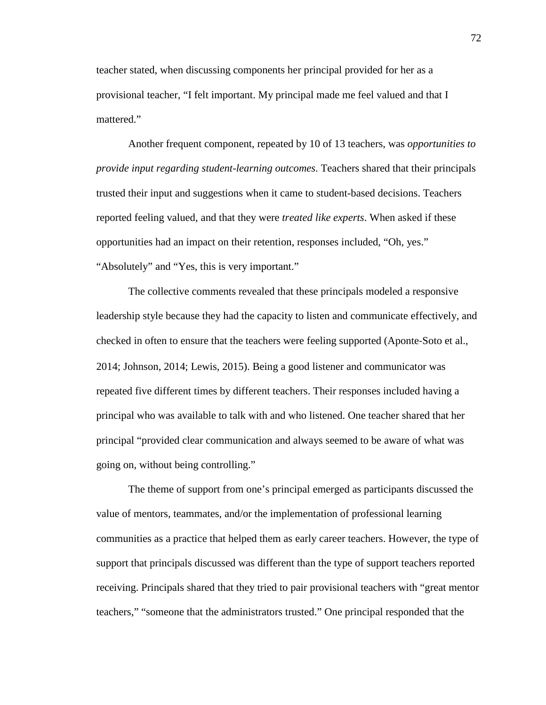teacher stated, when discussing components her principal provided for her as a provisional teacher, "I felt important. My principal made me feel valued and that I mattered."

Another frequent component, repeated by 10 of 13 teachers, was *opportunities to provide input regarding student-learning outcomes*. Teachers shared that their principals trusted their input and suggestions when it came to student-based decisions. Teachers reported feeling valued, and that they were *treated like experts*. When asked if these opportunities had an impact on their retention, responses included, "Oh, yes." "Absolutely" and "Yes, this is very important."

The collective comments revealed that these principals modeled a responsive leadership style because they had the capacity to listen and communicate effectively, and checked in often to ensure that the teachers were feeling supported (Aponte‐Soto et al., 2014; Johnson, 2014; Lewis, 2015). Being a good listener and communicator was repeated five different times by different teachers. Their responses included having a principal who was available to talk with and who listened. One teacher shared that her principal "provided clear communication and always seemed to be aware of what was going on, without being controlling."

The theme of support from one's principal emerged as participants discussed the value of mentors, teammates, and/or the implementation of professional learning communities as a practice that helped them as early career teachers. However, the type of support that principals discussed was different than the type of support teachers reported receiving. Principals shared that they tried to pair provisional teachers with "great mentor teachers," "someone that the administrators trusted." One principal responded that the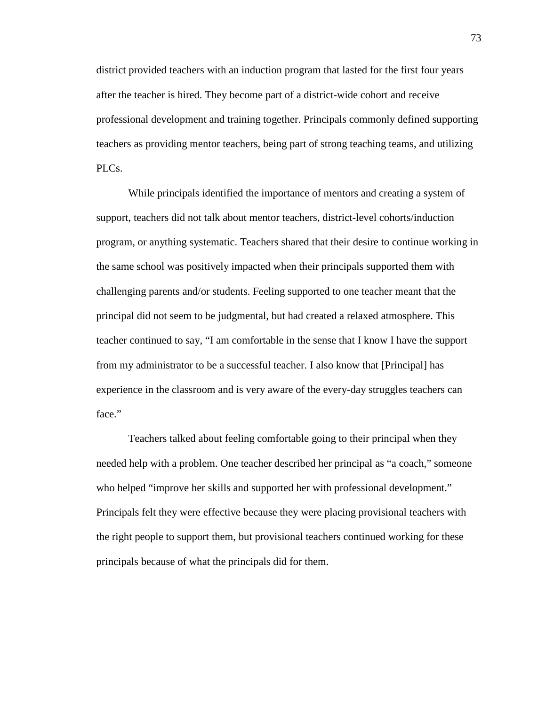district provided teachers with an induction program that lasted for the first four years after the teacher is hired. They become part of a district-wide cohort and receive professional development and training together. Principals commonly defined supporting teachers as providing mentor teachers, being part of strong teaching teams, and utilizing PLCs.

While principals identified the importance of mentors and creating a system of support, teachers did not talk about mentor teachers, district-level cohorts/induction program, or anything systematic. Teachers shared that their desire to continue working in the same school was positively impacted when their principals supported them with challenging parents and/or students. Feeling supported to one teacher meant that the principal did not seem to be judgmental, but had created a relaxed atmosphere. This teacher continued to say, "I am comfortable in the sense that I know I have the support from my administrator to be a successful teacher. I also know that [Principal] has experience in the classroom and is very aware of the every-day struggles teachers can face."

Teachers talked about feeling comfortable going to their principal when they needed help with a problem. One teacher described her principal as "a coach," someone who helped "improve her skills and supported her with professional development." Principals felt they were effective because they were placing provisional teachers with the right people to support them, but provisional teachers continued working for these principals because of what the principals did for them.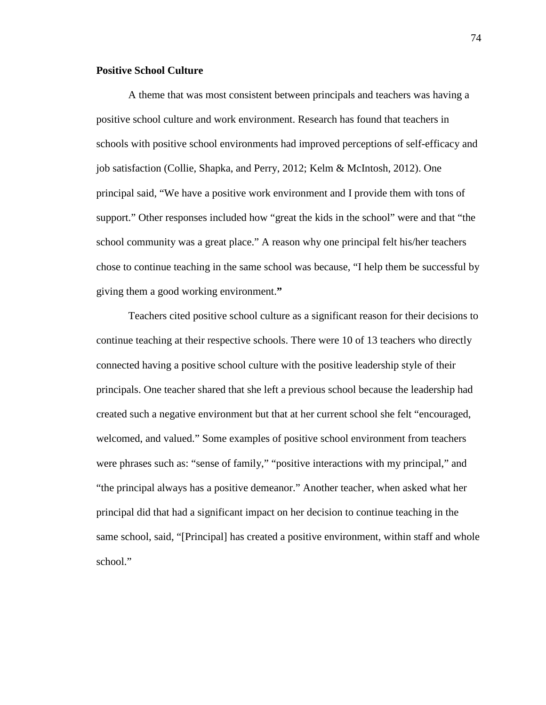# **Positive School Culture**

A theme that was most consistent between principals and teachers was having a positive school culture and work environment. Research has found that teachers in schools with positive school environments had improved perceptions of self-efficacy and job satisfaction (Collie, Shapka, and Perry, 2012; Kelm & McIntosh, 2012). One principal said, "We have a positive work environment and I provide them with tons of support." Other responses included how "great the kids in the school" were and that "the school community was a great place." A reason why one principal felt his/her teachers chose to continue teaching in the same school was because, "I help them be successful by giving them a good working environment.**"**

Teachers cited positive school culture as a significant reason for their decisions to continue teaching at their respective schools. There were 10 of 13 teachers who directly connected having a positive school culture with the positive leadership style of their principals. One teacher shared that she left a previous school because the leadership had created such a negative environment but that at her current school she felt "encouraged, welcomed, and valued." Some examples of positive school environment from teachers were phrases such as: "sense of family," "positive interactions with my principal," and "the principal always has a positive demeanor." Another teacher, when asked what her principal did that had a significant impact on her decision to continue teaching in the same school, said, "[Principal] has created a positive environment, within staff and whole school."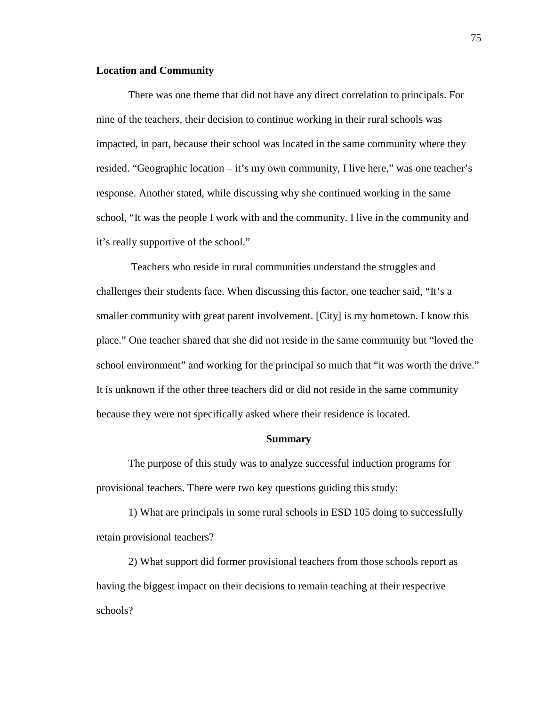# **Location and Community**

There was one theme that did not have any direct correlation to principals. For nine of the teachers, their decision to continue working in their rural schools was impacted, in part, because their school was located in the same community where they resided. "Geographic location – it's my own community, I live here," was one teacher's response. Another stated, while discussing why she continued working in the same school, "It was the people I work with and the community. I live in the community and it's really supportive of the school."

Teachers who reside in rural communities understand the struggles and challenges their students face. When discussing this factor, one teacher said, "It's a smaller community with great parent involvement. [City] is my hometown. I know this place." One teacher shared that she did not reside in the same community but "loved the school environment" and working for the principal so much that "it was worth the drive." It is unknown if the other three teachers did or did not reside in the same community because they were not specifically asked where their residence is located.

#### **Summary**

The purpose of this study was to analyze successful induction programs for provisional teachers. There were two key questions guiding this study:

1) What are principals in some rural schools in ESD 105 doing to successfully retain provisional teachers?

2) What support did former provisional teachers from those schools report as having the biggest impact on their decisions to remain teaching at their respective schools?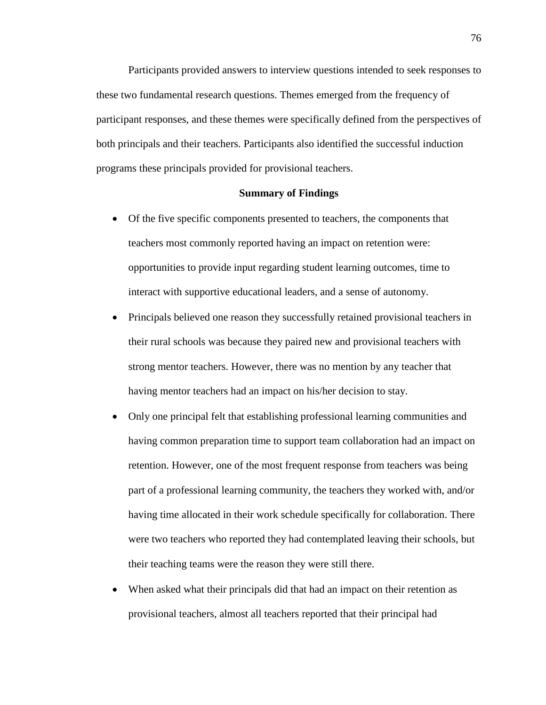Participants provided answers to interview questions intended to seek responses to these two fundamental research questions. Themes emerged from the frequency of participant responses, and these themes were specifically defined from the perspectives of both principals and their teachers. Participants also identified the successful induction programs these principals provided for provisional teachers.

#### **Summary of Findings**

- Of the five specific components presented to teachers, the components that teachers most commonly reported having an impact on retention were: opportunities to provide input regarding student learning outcomes, time to interact with supportive educational leaders, and a sense of autonomy.
- Principals believed one reason they successfully retained provisional teachers in their rural schools was because they paired new and provisional teachers with strong mentor teachers. However, there was no mention by any teacher that having mentor teachers had an impact on his/her decision to stay.
- Only one principal felt that establishing professional learning communities and having common preparation time to support team collaboration had an impact on retention. However, one of the most frequent response from teachers was being part of a professional learning community, the teachers they worked with, and/or having time allocated in their work schedule specifically for collaboration. There were two teachers who reported they had contemplated leaving their schools, but their teaching teams were the reason they were still there.
- When asked what their principals did that had an impact on their retention as provisional teachers, almost all teachers reported that their principal had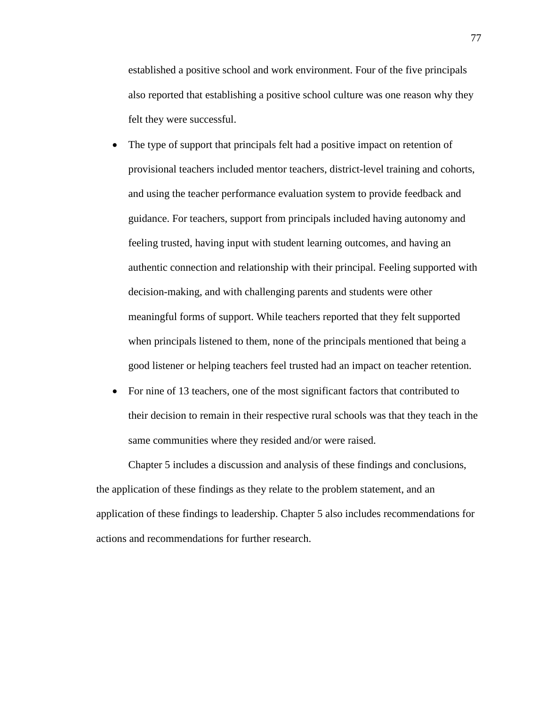established a positive school and work environment. Four of the five principals also reported that establishing a positive school culture was one reason why they felt they were successful.

- The type of support that principals felt had a positive impact on retention of provisional teachers included mentor teachers, district-level training and cohorts, and using the teacher performance evaluation system to provide feedback and guidance. For teachers, support from principals included having autonomy and feeling trusted, having input with student learning outcomes, and having an authentic connection and relationship with their principal. Feeling supported with decision-making, and with challenging parents and students were other meaningful forms of support. While teachers reported that they felt supported when principals listened to them, none of the principals mentioned that being a good listener or helping teachers feel trusted had an impact on teacher retention.
- For nine of 13 teachers, one of the most significant factors that contributed to their decision to remain in their respective rural schools was that they teach in the same communities where they resided and/or were raised.

Chapter 5 includes a discussion and analysis of these findings and conclusions, the application of these findings as they relate to the problem statement, and an application of these findings to leadership. Chapter 5 also includes recommendations for actions and recommendations for further research.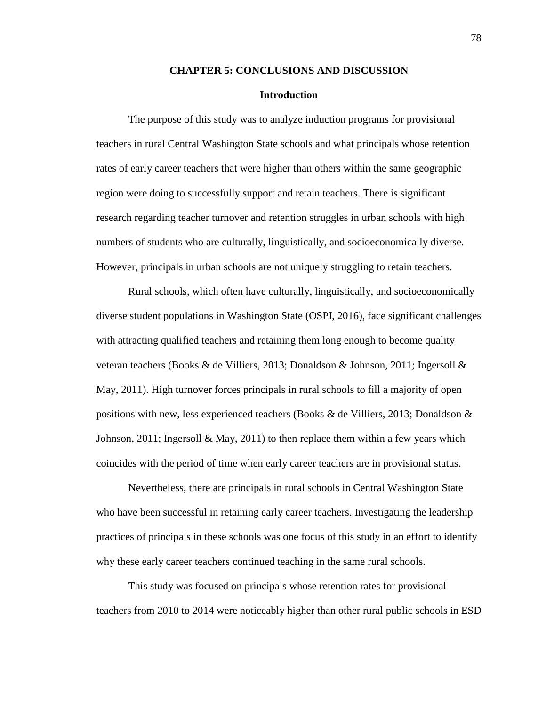#### **CHAPTER 5: CONCLUSIONS AND DISCUSSION**

#### **Introduction**

The purpose of this study was to analyze induction programs for provisional teachers in rural Central Washington State schools and what principals whose retention rates of early career teachers that were higher than others within the same geographic region were doing to successfully support and retain teachers. There is significant research regarding teacher turnover and retention struggles in urban schools with high numbers of students who are culturally, linguistically, and socioeconomically diverse. However, principals in urban schools are not uniquely struggling to retain teachers.

Rural schools, which often have culturally, linguistically, and socioeconomically diverse student populations in Washington State (OSPI, 2016), face significant challenges with attracting qualified teachers and retaining them long enough to become quality veteran teachers (Books & de Villiers, 2013; Donaldson & Johnson, 2011; Ingersoll & May, 2011). High turnover forces principals in rural schools to fill a majority of open positions with new, less experienced teachers (Books & de Villiers, 2013; Donaldson & Johnson, 2011; Ingersoll  $\&$  May, 2011) to then replace them within a few years which coincides with the period of time when early career teachers are in provisional status.

Nevertheless, there are principals in rural schools in Central Washington State who have been successful in retaining early career teachers. Investigating the leadership practices of principals in these schools was one focus of this study in an effort to identify why these early career teachers continued teaching in the same rural schools.

This study was focused on principals whose retention rates for provisional teachers from 2010 to 2014 were noticeably higher than other rural public schools in ESD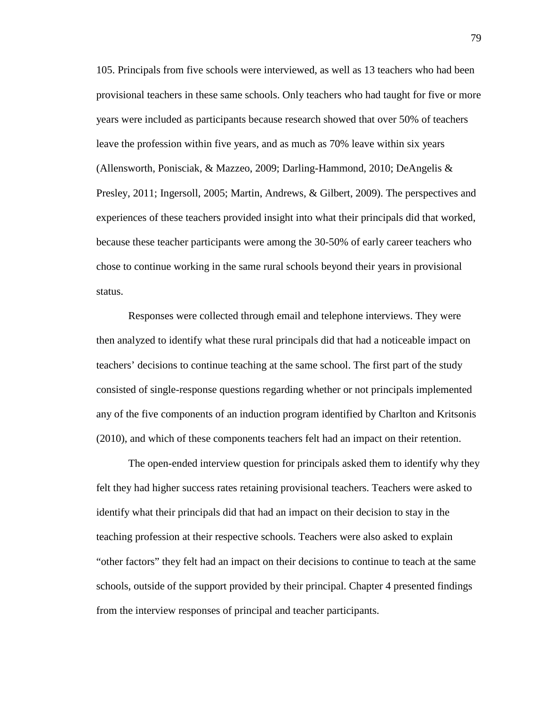105. Principals from five schools were interviewed, as well as 13 teachers who had been provisional teachers in these same schools. Only teachers who had taught for five or more years were included as participants because research showed that over 50% of teachers leave the profession within five years, and as much as 70% leave within six years (Allensworth, Ponisciak, & Mazzeo, 2009; Darling-Hammond, 2010; DeAngelis & Presley, 2011; Ingersoll, 2005; Martin, Andrews, & Gilbert, 2009). The perspectives and experiences of these teachers provided insight into what their principals did that worked, because these teacher participants were among the 30-50% of early career teachers who chose to continue working in the same rural schools beyond their years in provisional status.

Responses were collected through email and telephone interviews. They were then analyzed to identify what these rural principals did that had a noticeable impact on teachers' decisions to continue teaching at the same school. The first part of the study consisted of single-response questions regarding whether or not principals implemented any of the five components of an induction program identified by Charlton and Kritsonis (2010), and which of these components teachers felt had an impact on their retention.

The open-ended interview question for principals asked them to identify why they felt they had higher success rates retaining provisional teachers. Teachers were asked to identify what their principals did that had an impact on their decision to stay in the teaching profession at their respective schools. Teachers were also asked to explain "other factors" they felt had an impact on their decisions to continue to teach at the same schools, outside of the support provided by their principal. Chapter 4 presented findings from the interview responses of principal and teacher participants.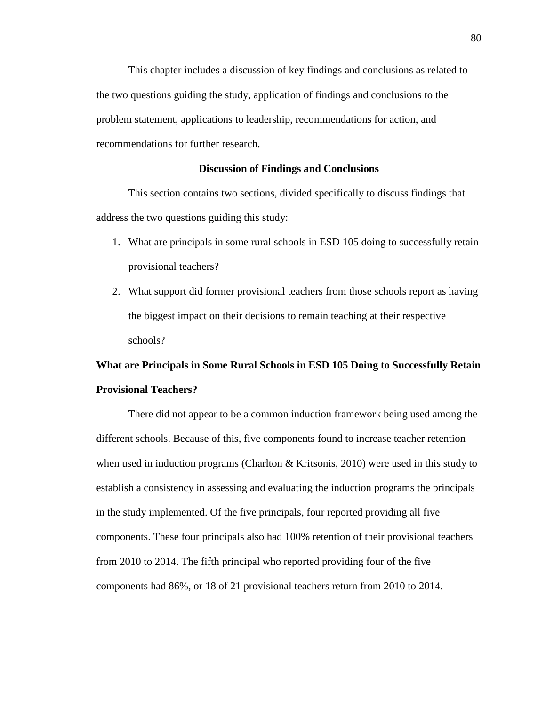This chapter includes a discussion of key findings and conclusions as related to the two questions guiding the study, application of findings and conclusions to the problem statement, applications to leadership, recommendations for action, and recommendations for further research.

# **Discussion of Findings and Conclusions**

This section contains two sections, divided specifically to discuss findings that address the two questions guiding this study:

- 1. What are principals in some rural schools in ESD 105 doing to successfully retain provisional teachers?
- 2. What support did former provisional teachers from those schools report as having the biggest impact on their decisions to remain teaching at their respective schools?

# **What are Principals in Some Rural Schools in ESD 105 Doing to Successfully Retain Provisional Teachers?**

There did not appear to be a common induction framework being used among the different schools. Because of this, five components found to increase teacher retention when used in induction programs (Charlton & Kritsonis, 2010) were used in this study to establish a consistency in assessing and evaluating the induction programs the principals in the study implemented. Of the five principals, four reported providing all five components. These four principals also had 100% retention of their provisional teachers from 2010 to 2014. The fifth principal who reported providing four of the five components had 86%, or 18 of 21 provisional teachers return from 2010 to 2014.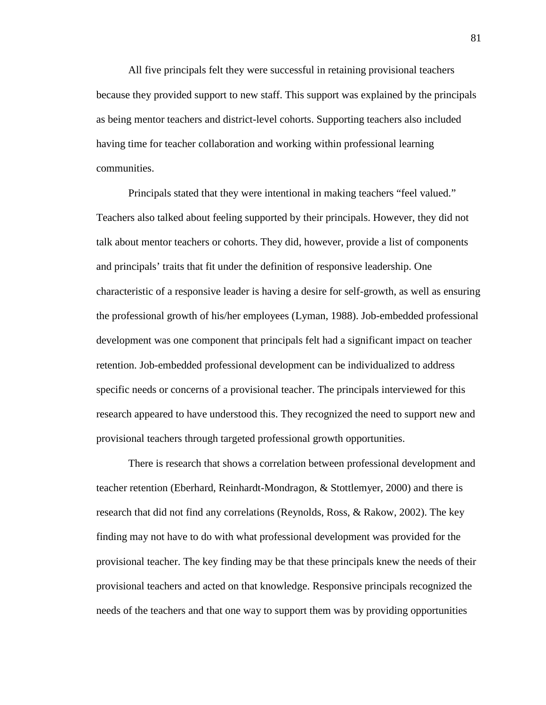All five principals felt they were successful in retaining provisional teachers because they provided support to new staff. This support was explained by the principals as being mentor teachers and district-level cohorts. Supporting teachers also included having time for teacher collaboration and working within professional learning communities.

Principals stated that they were intentional in making teachers "feel valued." Teachers also talked about feeling supported by their principals. However, they did not talk about mentor teachers or cohorts. They did, however, provide a list of components and principals' traits that fit under the definition of responsive leadership. One characteristic of a responsive leader is having a desire for self-growth, as well as ensuring the professional growth of his/her employees (Lyman, 1988). Job-embedded professional development was one component that principals felt had a significant impact on teacher retention. Job-embedded professional development can be individualized to address specific needs or concerns of a provisional teacher. The principals interviewed for this research appeared to have understood this. They recognized the need to support new and provisional teachers through targeted professional growth opportunities.

There is research that shows a correlation between professional development and teacher retention (Eberhard, Reinhardt-Mondragon, & Stottlemyer, 2000) and there is research that did not find any correlations (Reynolds, Ross, & Rakow, 2002). The key finding may not have to do with what professional development was provided for the provisional teacher. The key finding may be that these principals knew the needs of their provisional teachers and acted on that knowledge. Responsive principals recognized the needs of the teachers and that one way to support them was by providing opportunities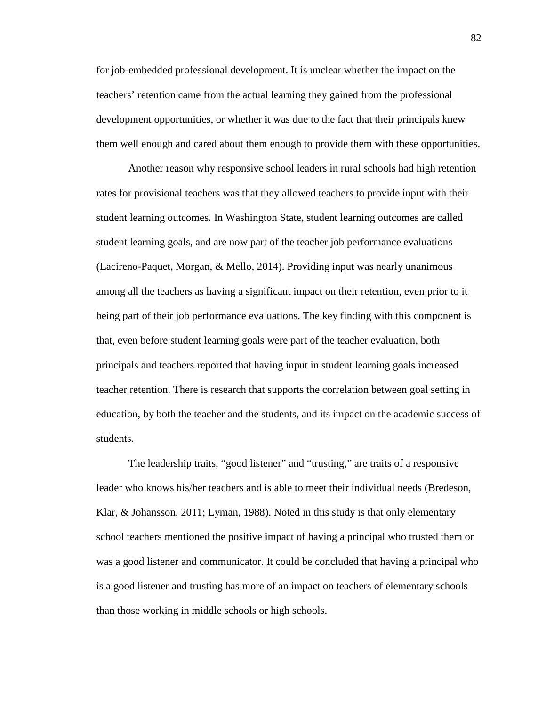for job-embedded professional development. It is unclear whether the impact on the teachers' retention came from the actual learning they gained from the professional development opportunities, or whether it was due to the fact that their principals knew them well enough and cared about them enough to provide them with these opportunities.

Another reason why responsive school leaders in rural schools had high retention rates for provisional teachers was that they allowed teachers to provide input with their student learning outcomes. In Washington State, student learning outcomes are called student learning goals, and are now part of the teacher job performance evaluations (Lacireno-Paquet, Morgan, & Mello, 2014). Providing input was nearly unanimous among all the teachers as having a significant impact on their retention, even prior to it being part of their job performance evaluations. The key finding with this component is that, even before student learning goals were part of the teacher evaluation, both principals and teachers reported that having input in student learning goals increased teacher retention. There is research that supports the correlation between goal setting in education, by both the teacher and the students, and its impact on the academic success of students.

The leadership traits, "good listener" and "trusting," are traits of a responsive leader who knows his/her teachers and is able to meet their individual needs (Bredeson, Klar, & Johansson, 2011; Lyman, 1988). Noted in this study is that only elementary school teachers mentioned the positive impact of having a principal who trusted them or was a good listener and communicator. It could be concluded that having a principal who is a good listener and trusting has more of an impact on teachers of elementary schools than those working in middle schools or high schools.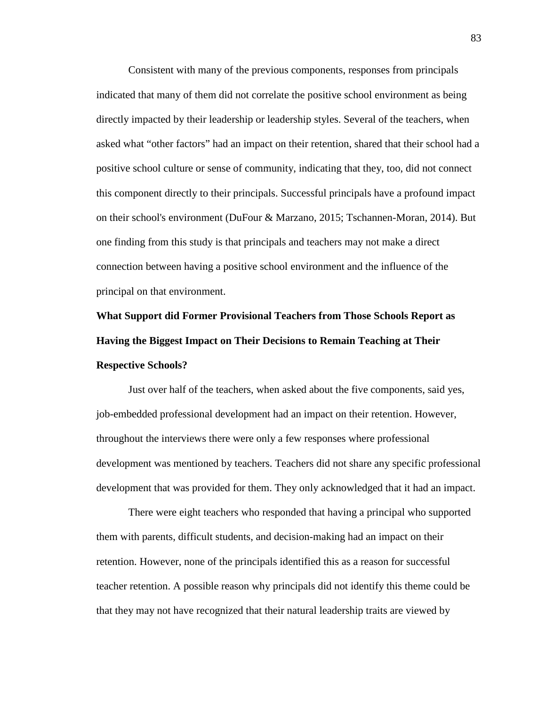Consistent with many of the previous components, responses from principals indicated that many of them did not correlate the positive school environment as being directly impacted by their leadership or leadership styles. Several of the teachers, when asked what "other factors" had an impact on their retention, shared that their school had a positive school culture or sense of community, indicating that they, too, did not connect this component directly to their principals. Successful principals have a profound impact on their school's environment (DuFour & Marzano, 2015; Tschannen-Moran, 2014). But one finding from this study is that principals and teachers may not make a direct connection between having a positive school environment and the influence of the principal on that environment.

# **What Support did Former Provisional Teachers from Those Schools Report as Having the Biggest Impact on Their Decisions to Remain Teaching at Their Respective Schools?**

Just over half of the teachers, when asked about the five components, said yes, job-embedded professional development had an impact on their retention. However, throughout the interviews there were only a few responses where professional development was mentioned by teachers. Teachers did not share any specific professional development that was provided for them. They only acknowledged that it had an impact.

There were eight teachers who responded that having a principal who supported them with parents, difficult students, and decision-making had an impact on their retention. However, none of the principals identified this as a reason for successful teacher retention. A possible reason why principals did not identify this theme could be that they may not have recognized that their natural leadership traits are viewed by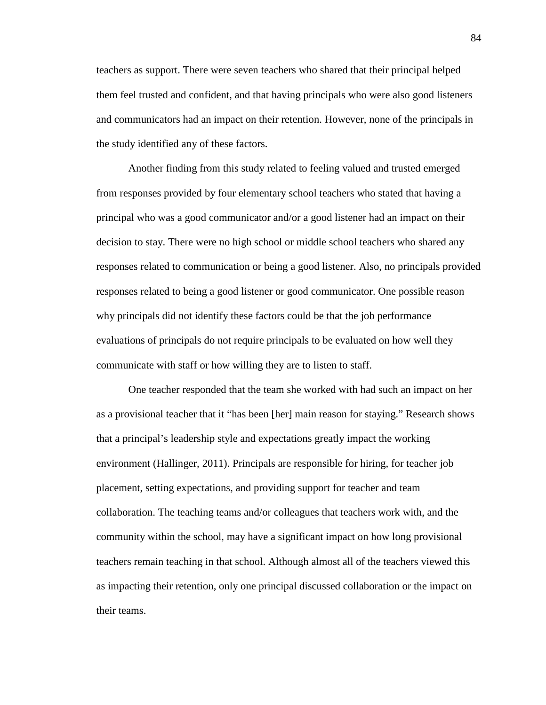teachers as support. There were seven teachers who shared that their principal helped them feel trusted and confident, and that having principals who were also good listeners and communicators had an impact on their retention. However, none of the principals in the study identified any of these factors.

Another finding from this study related to feeling valued and trusted emerged from responses provided by four elementary school teachers who stated that having a principal who was a good communicator and/or a good listener had an impact on their decision to stay. There were no high school or middle school teachers who shared any responses related to communication or being a good listener. Also, no principals provided responses related to being a good listener or good communicator. One possible reason why principals did not identify these factors could be that the job performance evaluations of principals do not require principals to be evaluated on how well they communicate with staff or how willing they are to listen to staff.

One teacher responded that the team she worked with had such an impact on her as a provisional teacher that it "has been [her] main reason for staying." Research shows that a principal's leadership style and expectations greatly impact the working environment (Hallinger, 2011). Principals are responsible for hiring, for teacher job placement, setting expectations, and providing support for teacher and team collaboration. The teaching teams and/or colleagues that teachers work with, and the community within the school, may have a significant impact on how long provisional teachers remain teaching in that school. Although almost all of the teachers viewed this as impacting their retention, only one principal discussed collaboration or the impact on their teams.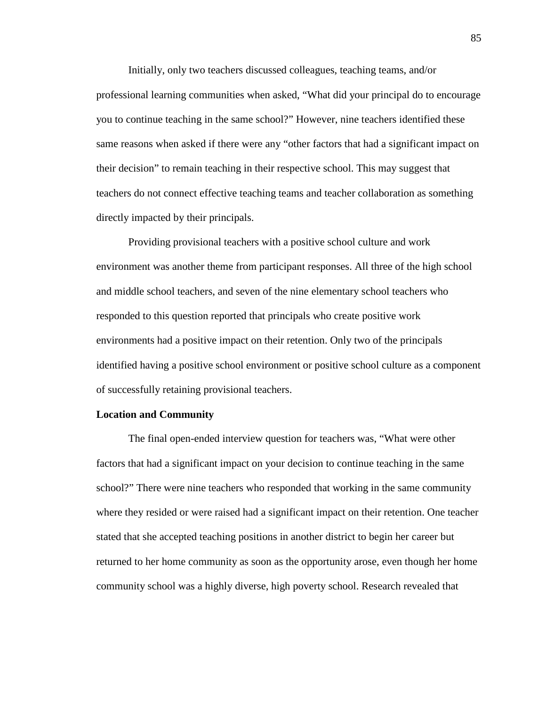Initially, only two teachers discussed colleagues, teaching teams, and/or professional learning communities when asked, "What did your principal do to encourage you to continue teaching in the same school?" However, nine teachers identified these same reasons when asked if there were any "other factors that had a significant impact on their decision" to remain teaching in their respective school. This may suggest that teachers do not connect effective teaching teams and teacher collaboration as something directly impacted by their principals.

Providing provisional teachers with a positive school culture and work environment was another theme from participant responses. All three of the high school and middle school teachers, and seven of the nine elementary school teachers who responded to this question reported that principals who create positive work environments had a positive impact on their retention. Only two of the principals identified having a positive school environment or positive school culture as a component of successfully retaining provisional teachers.

#### **Location and Community**

The final open-ended interview question for teachers was, "What were other factors that had a significant impact on your decision to continue teaching in the same school?" There were nine teachers who responded that working in the same community where they resided or were raised had a significant impact on their retention. One teacher stated that she accepted teaching positions in another district to begin her career but returned to her home community as soon as the opportunity arose, even though her home community school was a highly diverse, high poverty school. Research revealed that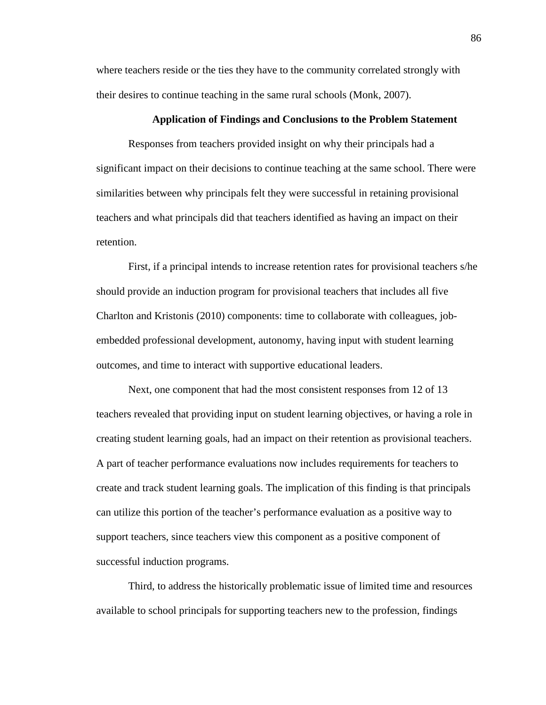where teachers reside or the ties they have to the community correlated strongly with their desires to continue teaching in the same rural schools (Monk, 2007).

# **Application of Findings and Conclusions to the Problem Statement**

Responses from teachers provided insight on why their principals had a significant impact on their decisions to continue teaching at the same school. There were similarities between why principals felt they were successful in retaining provisional teachers and what principals did that teachers identified as having an impact on their retention.

First, if a principal intends to increase retention rates for provisional teachers s/he should provide an induction program for provisional teachers that includes all five Charlton and Kristonis (2010) components: time to collaborate with colleagues, jobembedded professional development, autonomy, having input with student learning outcomes, and time to interact with supportive educational leaders.

Next, one component that had the most consistent responses from 12 of 13 teachers revealed that providing input on student learning objectives, or having a role in creating student learning goals, had an impact on their retention as provisional teachers. A part of teacher performance evaluations now includes requirements for teachers to create and track student learning goals. The implication of this finding is that principals can utilize this portion of the teacher's performance evaluation as a positive way to support teachers, since teachers view this component as a positive component of successful induction programs.

Third, to address the historically problematic issue of limited time and resources available to school principals for supporting teachers new to the profession, findings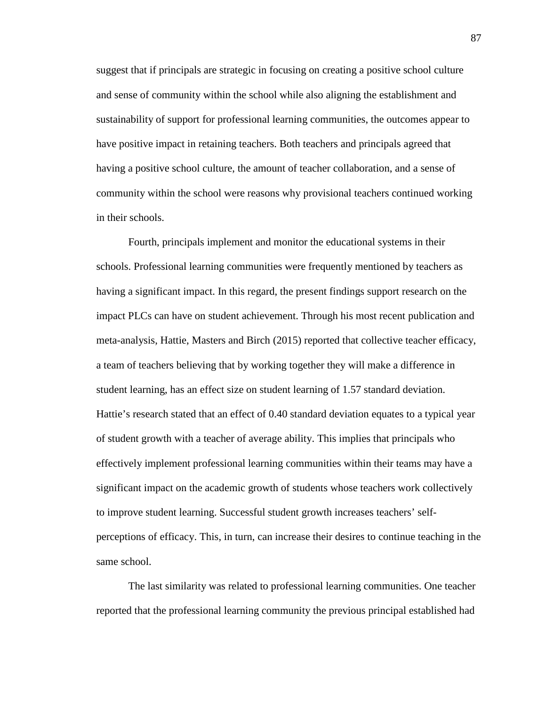suggest that if principals are strategic in focusing on creating a positive school culture and sense of community within the school while also aligning the establishment and sustainability of support for professional learning communities, the outcomes appear to have positive impact in retaining teachers. Both teachers and principals agreed that having a positive school culture, the amount of teacher collaboration, and a sense of community within the school were reasons why provisional teachers continued working in their schools.

Fourth, principals implement and monitor the educational systems in their schools. Professional learning communities were frequently mentioned by teachers as having a significant impact. In this regard, the present findings support research on the impact PLCs can have on student achievement. Through his most recent publication and meta-analysis, Hattie, Masters and Birch (2015) reported that collective teacher efficacy, a team of teachers believing that by working together they will make a difference in student learning, has an effect size on student learning of 1.57 standard deviation. Hattie's research stated that an effect of 0.40 standard deviation equates to a typical year of student growth with a teacher of average ability. This implies that principals who effectively implement professional learning communities within their teams may have a significant impact on the academic growth of students whose teachers work collectively to improve student learning. Successful student growth increases teachers' selfperceptions of efficacy. This, in turn, can increase their desires to continue teaching in the same school.

The last similarity was related to professional learning communities. One teacher reported that the professional learning community the previous principal established had

87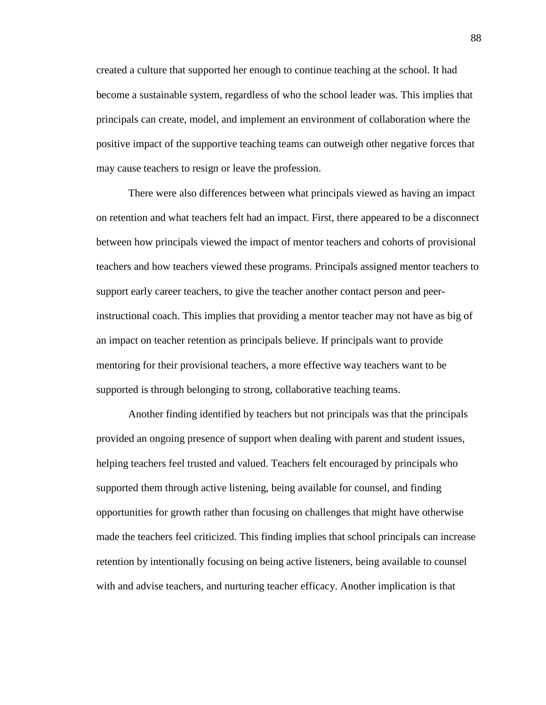created a culture that supported her enough to continue teaching at the school. It had become a sustainable system, regardless of who the school leader was. This implies that principals can create, model, and implement an environment of collaboration where the positive impact of the supportive teaching teams can outweigh other negative forces that may cause teachers to resign or leave the profession.

There were also differences between what principals viewed as having an impact on retention and what teachers felt had an impact. First, there appeared to be a disconnect between how principals viewed the impact of mentor teachers and cohorts of provisional teachers and how teachers viewed these programs. Principals assigned mentor teachers to support early career teachers, to give the teacher another contact person and peerinstructional coach. This implies that providing a mentor teacher may not have as big of an impact on teacher retention as principals believe. If principals want to provide mentoring for their provisional teachers, a more effective way teachers want to be supported is through belonging to strong, collaborative teaching teams.

Another finding identified by teachers but not principals was that the principals provided an ongoing presence of support when dealing with parent and student issues, helping teachers feel trusted and valued. Teachers felt encouraged by principals who supported them through active listening, being available for counsel, and finding opportunities for growth rather than focusing on challenges that might have otherwise made the teachers feel criticized. This finding implies that school principals can increase retention by intentionally focusing on being active listeners, being available to counsel with and advise teachers, and nurturing teacher efficacy. Another implication is that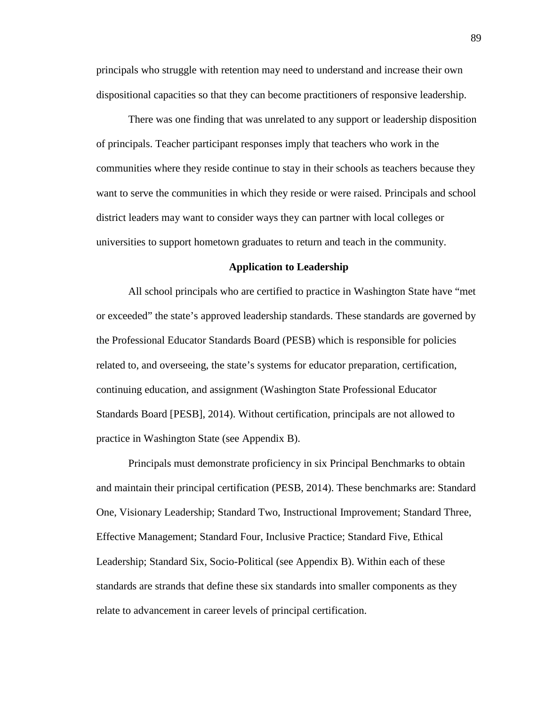principals who struggle with retention may need to understand and increase their own dispositional capacities so that they can become practitioners of responsive leadership.

There was one finding that was unrelated to any support or leadership disposition of principals. Teacher participant responses imply that teachers who work in the communities where they reside continue to stay in their schools as teachers because they want to serve the communities in which they reside or were raised. Principals and school district leaders may want to consider ways they can partner with local colleges or universities to support hometown graduates to return and teach in the community.

#### **Application to Leadership**

All school principals who are certified to practice in Washington State have "met or exceeded" the state's approved leadership standards. These standards are governed by the Professional Educator Standards Board (PESB) which is responsible for policies related to, and overseeing, the state's systems for educator preparation, certification, continuing education, and assignment (Washington State Professional Educator Standards Board [PESB], 2014). Without certification, principals are not allowed to practice in Washington State (see Appendix B).

Principals must demonstrate proficiency in six Principal Benchmarks to obtain and maintain their principal certification (PESB, 2014). These benchmarks are: Standard One, Visionary Leadership; Standard Two, Instructional Improvement; Standard Three, Effective Management; Standard Four, Inclusive Practice; Standard Five, Ethical Leadership; Standard Six, Socio-Political (see Appendix B). Within each of these standards are strands that define these six standards into smaller components as they relate to advancement in career levels of principal certification.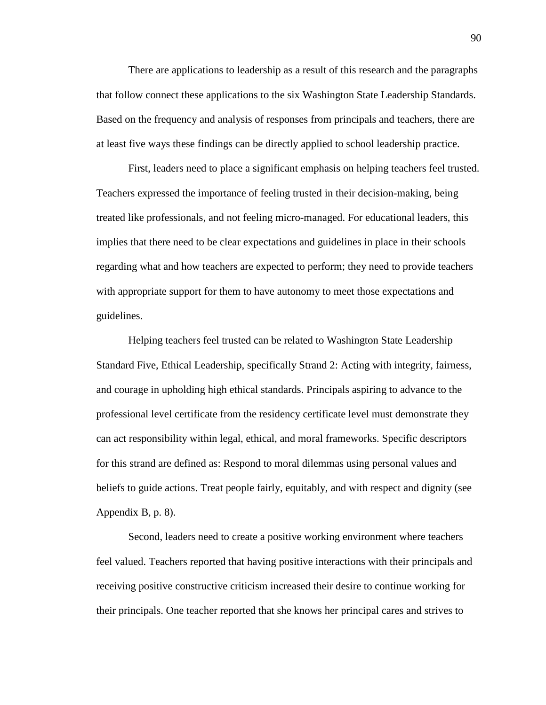There are applications to leadership as a result of this research and the paragraphs that follow connect these applications to the six Washington State Leadership Standards. Based on the frequency and analysis of responses from principals and teachers, there are at least five ways these findings can be directly applied to school leadership practice.

First, leaders need to place a significant emphasis on helping teachers feel trusted. Teachers expressed the importance of feeling trusted in their decision-making, being treated like professionals, and not feeling micro-managed. For educational leaders, this implies that there need to be clear expectations and guidelines in place in their schools regarding what and how teachers are expected to perform; they need to provide teachers with appropriate support for them to have autonomy to meet those expectations and guidelines.

Helping teachers feel trusted can be related to Washington State Leadership Standard Five, Ethical Leadership, specifically Strand 2: Acting with integrity, fairness, and courage in upholding high ethical standards. Principals aspiring to advance to the professional level certificate from the residency certificate level must demonstrate they can act responsibility within legal, ethical, and moral frameworks. Specific descriptors for this strand are defined as: Respond to moral dilemmas using personal values and beliefs to guide actions. Treat people fairly, equitably, and with respect and dignity (see Appendix B, p. 8).

Second, leaders need to create a positive working environment where teachers feel valued. Teachers reported that having positive interactions with their principals and receiving positive constructive criticism increased their desire to continue working for their principals. One teacher reported that she knows her principal cares and strives to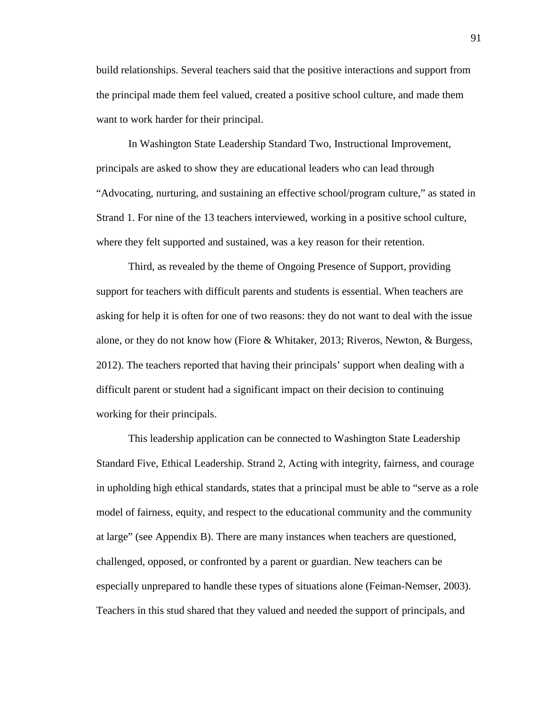build relationships. Several teachers said that the positive interactions and support from the principal made them feel valued, created a positive school culture, and made them want to work harder for their principal.

In Washington State Leadership Standard Two, Instructional Improvement, principals are asked to show they are educational leaders who can lead through "Advocating, nurturing, and sustaining an effective school/program culture," as stated in Strand 1. For nine of the 13 teachers interviewed, working in a positive school culture, where they felt supported and sustained, was a key reason for their retention.

Third, as revealed by the theme of Ongoing Presence of Support, providing support for teachers with difficult parents and students is essential. When teachers are asking for help it is often for one of two reasons: they do not want to deal with the issue alone, or they do not know how (Fiore & Whitaker, 2013; Riveros, Newton, & Burgess, 2012). The teachers reported that having their principals' support when dealing with a difficult parent or student had a significant impact on their decision to continuing working for their principals.

This leadership application can be connected to Washington State Leadership Standard Five, Ethical Leadership. Strand 2, Acting with integrity, fairness, and courage in upholding high ethical standards, states that a principal must be able to "serve as a role model of fairness, equity, and respect to the educational community and the community at large" (see Appendix B). There are many instances when teachers are questioned, challenged, opposed, or confronted by a parent or guardian. New teachers can be especially unprepared to handle these types of situations alone (Feiman-Nemser, 2003). Teachers in this stud shared that they valued and needed the support of principals, and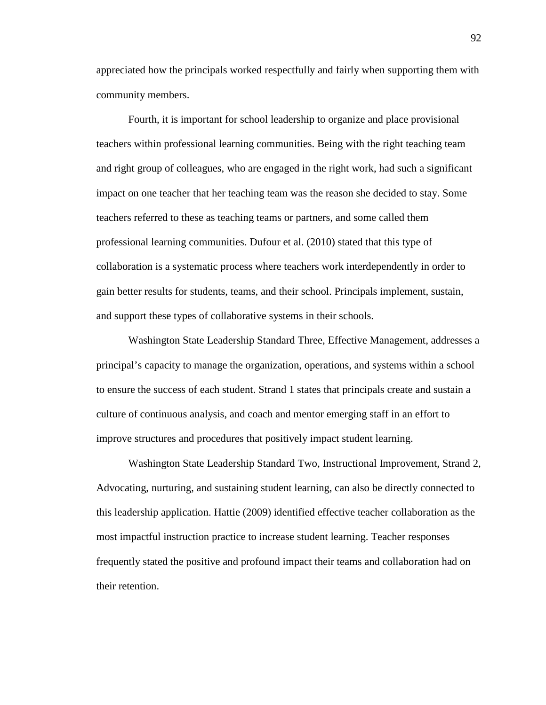appreciated how the principals worked respectfully and fairly when supporting them with community members.

Fourth, it is important for school leadership to organize and place provisional teachers within professional learning communities. Being with the right teaching team and right group of colleagues, who are engaged in the right work, had such a significant impact on one teacher that her teaching team was the reason she decided to stay. Some teachers referred to these as teaching teams or partners, and some called them professional learning communities. Dufour et al. (2010) stated that this type of collaboration is a systematic process where teachers work interdependently in order to gain better results for students, teams, and their school. Principals implement, sustain, and support these types of collaborative systems in their schools.

Washington State Leadership Standard Three, Effective Management, addresses a principal's capacity to manage the organization, operations, and systems within a school to ensure the success of each student. Strand 1 states that principals create and sustain a culture of continuous analysis, and coach and mentor emerging staff in an effort to improve structures and procedures that positively impact student learning.

Washington State Leadership Standard Two, Instructional Improvement, Strand 2, Advocating, nurturing, and sustaining student learning, can also be directly connected to this leadership application. Hattie (2009) identified effective teacher collaboration as the most impactful instruction practice to increase student learning. Teacher responses frequently stated the positive and profound impact their teams and collaboration had on their retention.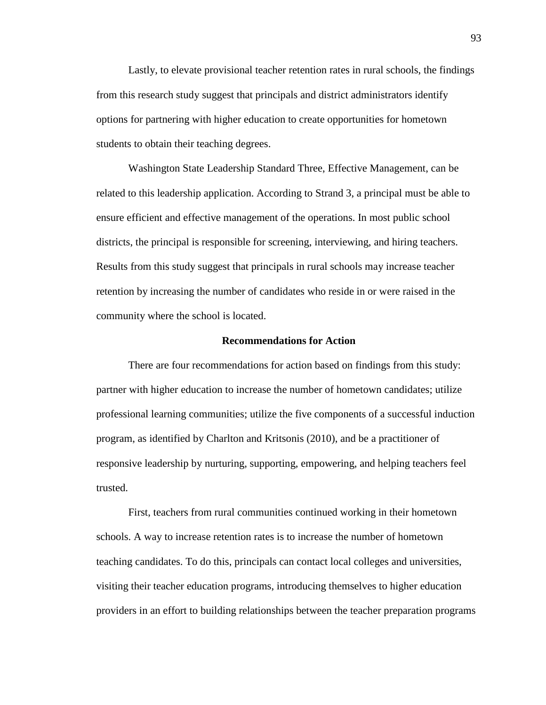Lastly, to elevate provisional teacher retention rates in rural schools, the findings from this research study suggest that principals and district administrators identify options for partnering with higher education to create opportunities for hometown students to obtain their teaching degrees.

Washington State Leadership Standard Three, Effective Management, can be related to this leadership application. According to Strand 3, a principal must be able to ensure efficient and effective management of the operations. In most public school districts, the principal is responsible for screening, interviewing, and hiring teachers. Results from this study suggest that principals in rural schools may increase teacher retention by increasing the number of candidates who reside in or were raised in the community where the school is located.

#### **Recommendations for Action**

There are four recommendations for action based on findings from this study: partner with higher education to increase the number of hometown candidates; utilize professional learning communities; utilize the five components of a successful induction program, as identified by Charlton and Kritsonis (2010), and be a practitioner of responsive leadership by nurturing, supporting, empowering, and helping teachers feel trusted.

First, teachers from rural communities continued working in their hometown schools. A way to increase retention rates is to increase the number of hometown teaching candidates. To do this, principals can contact local colleges and universities, visiting their teacher education programs, introducing themselves to higher education providers in an effort to building relationships between the teacher preparation programs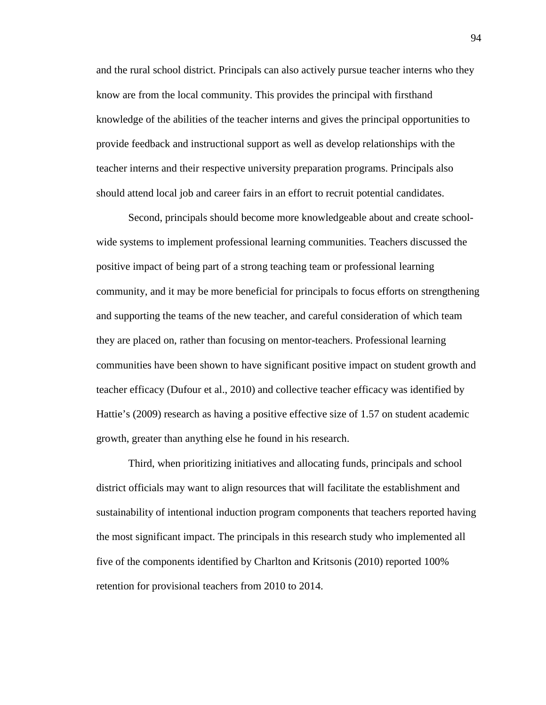and the rural school district. Principals can also actively pursue teacher interns who they know are from the local community. This provides the principal with firsthand knowledge of the abilities of the teacher interns and gives the principal opportunities to provide feedback and instructional support as well as develop relationships with the teacher interns and their respective university preparation programs. Principals also should attend local job and career fairs in an effort to recruit potential candidates.

Second, principals should become more knowledgeable about and create schoolwide systems to implement professional learning communities. Teachers discussed the positive impact of being part of a strong teaching team or professional learning community, and it may be more beneficial for principals to focus efforts on strengthening and supporting the teams of the new teacher, and careful consideration of which team they are placed on, rather than focusing on mentor-teachers. Professional learning communities have been shown to have significant positive impact on student growth and teacher efficacy (Dufour et al., 2010) and collective teacher efficacy was identified by Hattie's (2009) research as having a positive effective size of 1.57 on student academic growth, greater than anything else he found in his research.

Third, when prioritizing initiatives and allocating funds, principals and school district officials may want to align resources that will facilitate the establishment and sustainability of intentional induction program components that teachers reported having the most significant impact. The principals in this research study who implemented all five of the components identified by Charlton and Kritsonis (2010) reported 100% retention for provisional teachers from 2010 to 2014.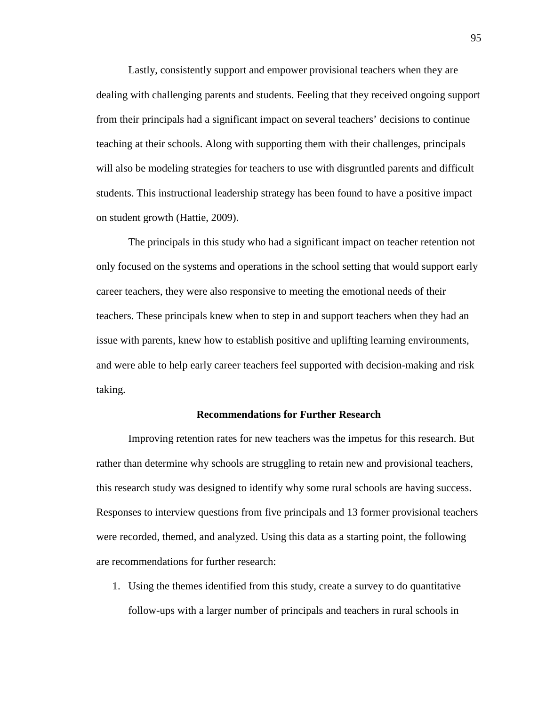Lastly, consistently support and empower provisional teachers when they are dealing with challenging parents and students. Feeling that they received ongoing support from their principals had a significant impact on several teachers' decisions to continue teaching at their schools. Along with supporting them with their challenges, principals will also be modeling strategies for teachers to use with disgruntled parents and difficult students. This instructional leadership strategy has been found to have a positive impact on student growth (Hattie, 2009).

The principals in this study who had a significant impact on teacher retention not only focused on the systems and operations in the school setting that would support early career teachers, they were also responsive to meeting the emotional needs of their teachers. These principals knew when to step in and support teachers when they had an issue with parents, knew how to establish positive and uplifting learning environments, and were able to help early career teachers feel supported with decision-making and risk taking.

#### **Recommendations for Further Research**

Improving retention rates for new teachers was the impetus for this research. But rather than determine why schools are struggling to retain new and provisional teachers, this research study was designed to identify why some rural schools are having success. Responses to interview questions from five principals and 13 former provisional teachers were recorded, themed, and analyzed. Using this data as a starting point, the following are recommendations for further research:

1. Using the themes identified from this study, create a survey to do quantitative follow-ups with a larger number of principals and teachers in rural schools in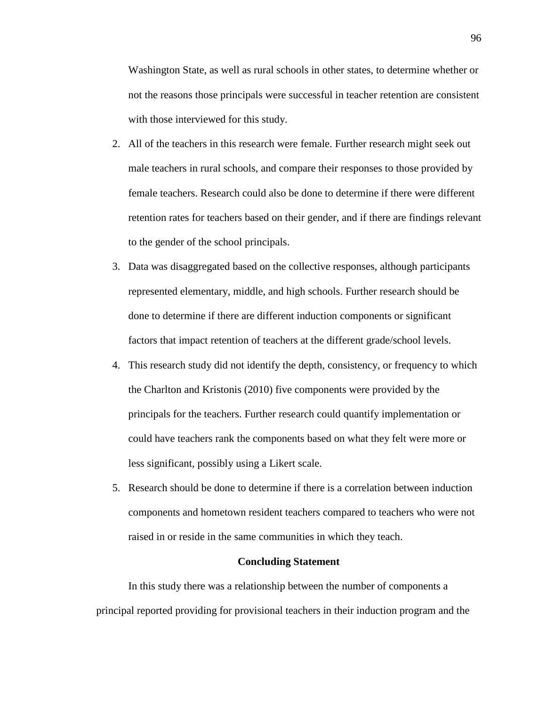Washington State, as well as rural schools in other states, to determine whether or not the reasons those principals were successful in teacher retention are consistent with those interviewed for this study.

- 2. All of the teachers in this research were female. Further research might seek out male teachers in rural schools, and compare their responses to those provided by female teachers. Research could also be done to determine if there were different retention rates for teachers based on their gender, and if there are findings relevant to the gender of the school principals.
- 3. Data was disaggregated based on the collective responses, although participants represented elementary, middle, and high schools. Further research should be done to determine if there are different induction components or significant factors that impact retention of teachers at the different grade/school levels.
- 4. This research study did not identify the depth, consistency, or frequency to which the Charlton and Kristonis (2010) five components were provided by the principals for the teachers. Further research could quantify implementation or could have teachers rank the components based on what they felt were more or less significant, possibly using a Likert scale.
- 5. Research should be done to determine if there is a correlation between induction components and hometown resident teachers compared to teachers who were not raised in or reside in the same communities in which they teach.

#### **Concluding Statement**

In this study there was a relationship between the number of components a principal reported providing for provisional teachers in their induction program and the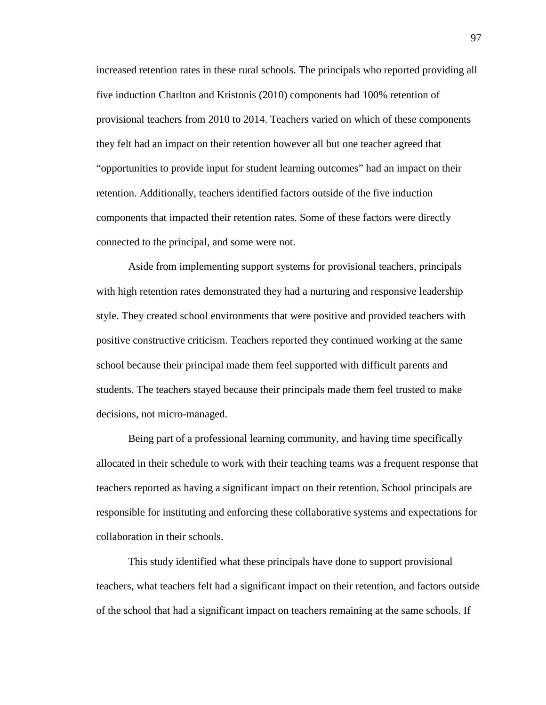increased retention rates in these rural schools. The principals who reported providing all five induction Charlton and Kristonis (2010) components had 100% retention of provisional teachers from 2010 to 2014. Teachers varied on which of these components they felt had an impact on their retention however all but one teacher agreed that "opportunities to provide input for student learning outcomes" had an impact on their retention. Additionally, teachers identified factors outside of the five induction components that impacted their retention rates. Some of these factors were directly connected to the principal, and some were not.

Aside from implementing support systems for provisional teachers, principals with high retention rates demonstrated they had a nurturing and responsive leadership style. They created school environments that were positive and provided teachers with positive constructive criticism. Teachers reported they continued working at the same school because their principal made them feel supported with difficult parents and students. The teachers stayed because their principals made them feel trusted to make decisions, not micro-managed.

Being part of a professional learning community, and having time specifically allocated in their schedule to work with their teaching teams was a frequent response that teachers reported as having a significant impact on their retention. School principals are responsible for instituting and enforcing these collaborative systems and expectations for collaboration in their schools.

This study identified what these principals have done to support provisional teachers, what teachers felt had a significant impact on their retention, and factors outside of the school that had a significant impact on teachers remaining at the same schools. If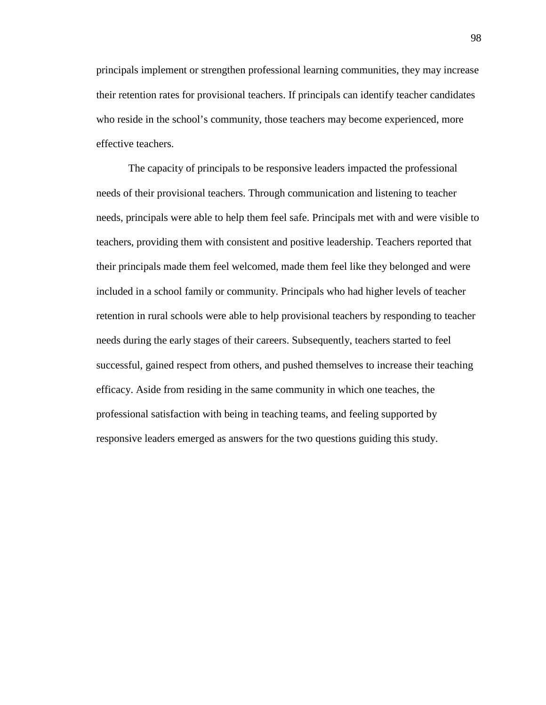principals implement or strengthen professional learning communities, they may increase their retention rates for provisional teachers. If principals can identify teacher candidates who reside in the school's community, those teachers may become experienced, more effective teachers.

The capacity of principals to be responsive leaders impacted the professional needs of their provisional teachers. Through communication and listening to teacher needs, principals were able to help them feel safe. Principals met with and were visible to teachers, providing them with consistent and positive leadership. Teachers reported that their principals made them feel welcomed, made them feel like they belonged and were included in a school family or community. Principals who had higher levels of teacher retention in rural schools were able to help provisional teachers by responding to teacher needs during the early stages of their careers. Subsequently, teachers started to feel successful, gained respect from others, and pushed themselves to increase their teaching efficacy. Aside from residing in the same community in which one teaches, the professional satisfaction with being in teaching teams, and feeling supported by responsive leaders emerged as answers for the two questions guiding this study.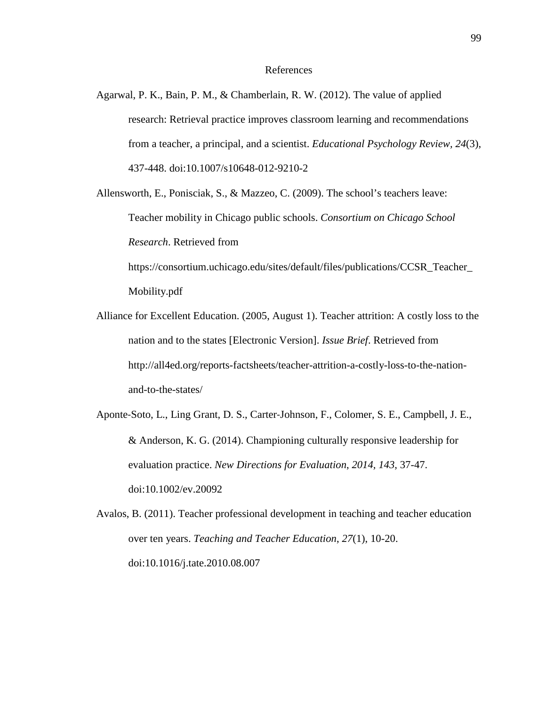#### References

Agarwal, P. K., Bain, P. M., & Chamberlain, R. W. (2012). The value of applied research: Retrieval practice improves classroom learning and recommendations from a teacher, a principal, and a scientist. *Educational Psychology Review, 24*(3), 437-448. doi:10.1007/s10648-012-9210-2

Allensworth, E., Ponisciak, S., & Mazzeo, C. (2009). The school's teachers leave: Teacher mobility in Chicago public schools. *Consortium on Chicago School Research*. Retrieved from

https://consortium.uchicago.edu/sites/default/files/publications/CCSR\_Teacher\_ Mobility.pdf

- Alliance for Excellent Education. (2005, August 1). Teacher attrition: A costly loss to the nation and to the states [Electronic Version]. *Issue Brief*. Retrieved from http://all4ed.org/reports-factsheets/teacher-attrition-a-costly-loss-to-the-nationand-to-the-states/
- Aponte‐Soto, L., Ling Grant, D. S., Carter‐Johnson, F., Colomer, S. E., Campbell, J. E., & Anderson, K. G. (2014). Championing culturally responsive leadership for evaluation practice. *New Directions for Evaluation*, *2014, 143*, 37-47. doi:10.1002/ev.20092

Avalos, B. (2011). Teacher professional development in teaching and teacher education over ten years. *Teaching and Teacher Education*, *27*(1), 10-20. doi:10.1016/j.tate.2010.08.007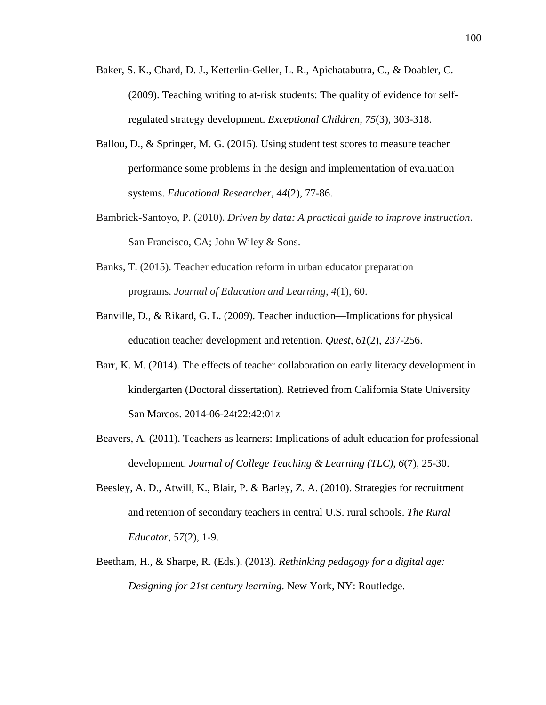- Baker, S. K., Chard, D. J., Ketterlin-Geller, L. R., Apichatabutra, C., & Doabler, C. (2009). Teaching writing to at-risk students: The quality of evidence for selfregulated strategy development. *Exceptional Children*, *75*(3), 303-318.
- Ballou, D., & Springer, M. G. (2015). Using student test scores to measure teacher performance some problems in the design and implementation of evaluation systems. *Educational Researcher*, *44*(2), 77-86.
- Bambrick-Santoyo, P. (2010). *Driven by data: A practical guide to improve instruction*. San Francisco, CA; John Wiley & Sons.
- Banks, T. (2015). Teacher education reform in urban educator preparation programs. *Journal of Education and Learning*, *4*(1), 60.
- Banville, D., & Rikard, G. L. (2009). Teacher induction—Implications for physical education teacher development and retention. *Quest*, *61*(2), 237-256.
- Barr, K. M. (2014). The effects of teacher collaboration on early literacy development in kindergarten (Doctoral dissertation). Retrieved from California State University San Marcos. 2014-06-24t22:42:01z
- Beavers, A. (2011). Teachers as learners: Implications of adult education for professional development. *Journal of College Teaching & Learning (TLC)*, *6*(7), 25-30.
- Beesley, A. D., Atwill, K., Blair, P. & Barley, Z. A. (2010). Strategies for recruitment and retention of secondary teachers in central U.S. rural schools. *The Rural Educator, 57*(2), 1-9.
- Beetham, H., & Sharpe, R. (Eds.). (2013). *Rethinking pedagogy for a digital age: Designing for 21st century learning*. New York, NY: Routledge.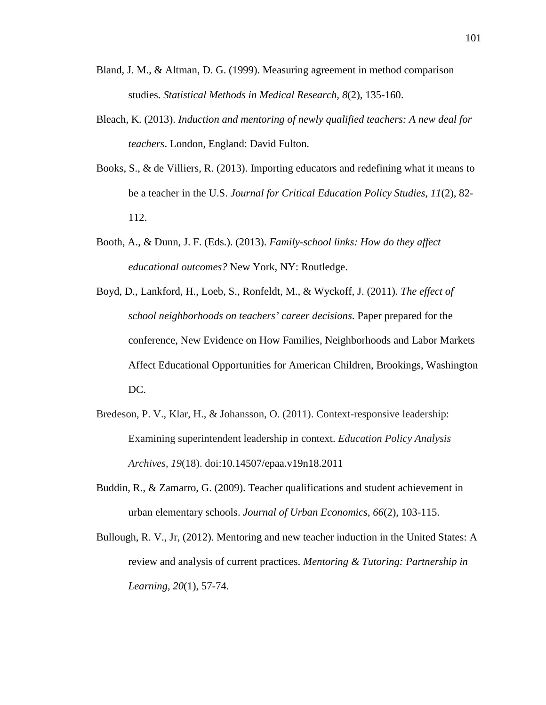- Bland, J. M., & Altman, D. G. (1999). Measuring agreement in method comparison studies. *Statistical Methods in Medical Research, 8*(2), 135-160.
- Bleach, K. (2013). *Induction and mentoring of newly qualified teachers: A new deal for teachers*. London, England: David Fulton.
- Books, S., & de Villiers, R. (2013). Importing educators and redefining what it means to be a teacher in the U.S. *Journal for Critical Education Policy Studies*, *11*(2), 82- 112.
- Booth, A., & Dunn, J. F. (Eds.). (2013). *Family-school links: How do they affect educational outcomes?* New York, NY: Routledge.
- Boyd, D., Lankford, H., Loeb, S., Ronfeldt, M., & Wyckoff, J. (2011). *The effect of school neighborhoods on teachers' career decisions*. Paper prepared for the conference, New Evidence on How Families, Neighborhoods and Labor Markets Affect Educational Opportunities for American Children, Brookings, Washington DC.
- Bredeson, P. V., Klar, H., & Johansson, O. (2011). Context-responsive leadership: Examining superintendent leadership in context. *Education Policy Analysis Archives*, *19*(18). doi:10.14507/epaa.v19n18.2011
- Buddin, R., & Zamarro, G. (2009). Teacher qualifications and student achievement in urban elementary schools. *Journal of Urban Economics*, *66*(2), 103-115.
- Bullough, R. V., Jr, (2012). Mentoring and new teacher induction in the United States: A review and analysis of current practices. *Mentoring & Tutoring: Partnership in Learning*, *20*(1), 57-74.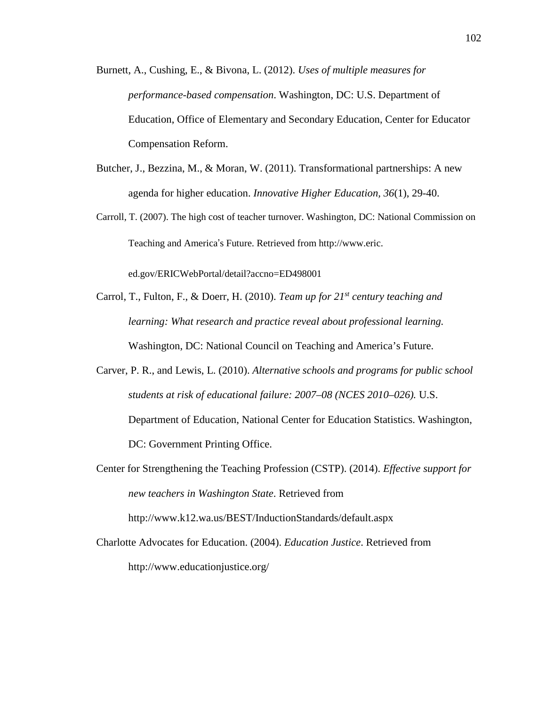- Burnett, A., Cushing, E., & Bivona, L. (2012). *Uses of multiple measures for performance-based compensation*. Washington, DC: U.S. Department of Education, Office of Elementary and Secondary Education, Center for Educator Compensation Reform.
- Butcher, J., Bezzina, M., & Moran, W. (2011). Transformational partnerships: A new agenda for higher education. *Innovative Higher Education, 36*(1), 29-40.
- Carroll, T. (2007). The high cost of teacher turnover. Washington, DC: National Commission on Teaching and America's Future. Retrieved from http://www.eric.

ed.gov/ERICWebPortal/detail?accno=ED498001

- Carrol, T., Fulton, F., & Doerr, H. (2010). *Team up for 21st century teaching and learning: What research and practice reveal about professional learning.* Washington, DC: National Council on Teaching and America's Future.
- Carver, P. R., and Lewis, L. (2010). *Alternative schools and programs for public school students at risk of educational failure: 2007–08 (NCES 2010–026).* U.S. Department of Education, National Center for Education Statistics. Washington, DC: Government Printing Office.
- Center for Strengthening the Teaching Profession (CSTP). (2014). *Effective support for new teachers in Washington State*. Retrieved from http://www.k12.wa.us/BEST/InductionStandards/default.aspx
- Charlotte Advocates for Education. (2004). *Education Justice*. Retrieved from http://www.educationjustice.org/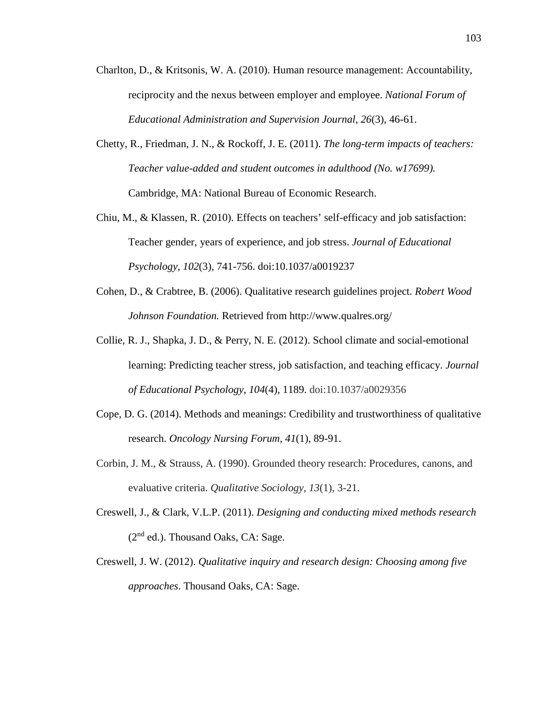- Charlton, D., & Kritsonis, W. A. (2010). Human resource management: Accountability, reciprocity and the nexus between employer and employee. *National Forum of Educational Administration and Supervision Journal, 26*(3), 46-61.
- Chetty, R., Friedman, J. N., & Rockoff, J. E. (2011). *The long-term impacts of teachers: Teacher value-added and student outcomes in adulthood (No. w17699).* Cambridge, MA: National Bureau of Economic Research.
- Chiu, M., & Klassen, R. (2010). Effects on teachers' self-efficacy and job satisfaction: Teacher gender, years of experience, and job stress. *Journal of Educational Psychology*, *102*(3), 741-756. doi:10.1037/a0019237
- Cohen, D., & Crabtree, B. (2006). Qualitative research guidelines project. *Robert Wood Johnson Foundation.* Retrieved from http://www.qualres.org/
- Collie, R. J., Shapka, J. D., & Perry, N. E. (2012). School climate and social-emotional learning: Predicting teacher stress, job satisfaction, and teaching efficacy. *Journal of Educational Psychology*, *104*(4), 1189. doi:10.1037/a0029356
- Cope, D. G. (2014). Methods and meanings: Credibility and trustworthiness of qualitative research. *Oncology Nursing Forum, 41*(1), 89-91.
- Corbin, J. M., & Strauss, A. (1990). Grounded theory research: Procedures, canons, and evaluative criteria. *Qualitative Sociology*, *13*(1), 3-21.
- Creswell, J., & Clark, V.L.P. (2011). *Designing and conducting mixed methods research*  $(2<sup>nd</sup>$  ed.). Thousand Oaks, CA: Sage.
- Creswell, J. W. (2012). *Qualitative inquiry and research design: Choosing among five approaches*. Thousand Oaks, CA: Sage.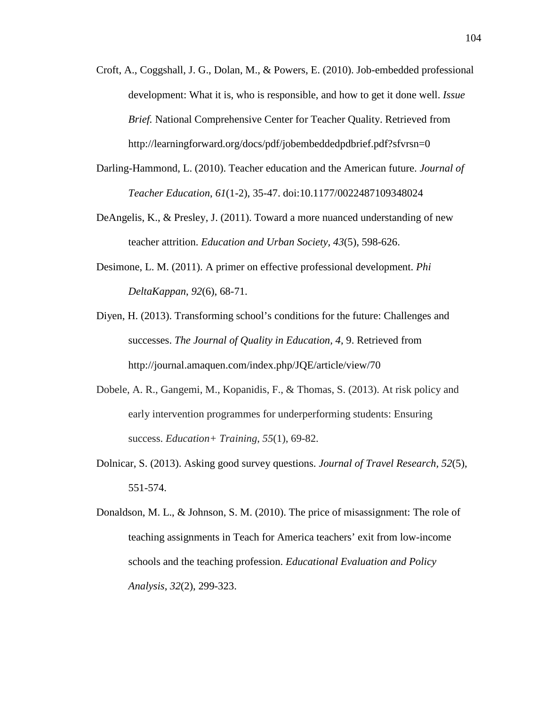- Croft, A., Coggshall, J. G., Dolan, M., & Powers, E. (2010). Job-embedded professional development: What it is, who is responsible, and how to get it done well. *Issue Brief.* National Comprehensive Center for Teacher Quality. Retrieved from http://learningforward.org/docs/pdf/jobembeddedpdbrief.pdf?sfvrsn=0
- Darling-Hammond, L. (2010). Teacher education and the American future. *Journal of Teacher Education*, *61*(1-2), 35-47. doi:10.1177/0022487109348024
- DeAngelis, K., & Presley, J. (2011). Toward a more nuanced understanding of new teacher attrition. *Education and Urban Society, 43*(5), 598-626.
- Desimone, L. M. (2011). A primer on effective professional development. *Phi DeltaKappan*, *92*(6), 68-71.
- Diyen, H. (2013). Transforming school's conditions for the future: Challenges and successes. *The Journal of Quality in Education, 4*, 9. Retrieved from http://journal.amaquen.com/index.php/JQE/article/view/70
- Dobele, A. R., Gangemi, M., Kopanidis, F., & Thomas, S. (2013). At risk policy and early intervention programmes for underperforming students: Ensuring success. *Education+ Training*, *55*(1), 69-82.
- Dolnicar, S. (2013). Asking good survey questions. *Journal of Travel Research, 52*(5), 551-574.
- Donaldson, M. L., & Johnson, S. M. (2010). The price of misassignment: The role of teaching assignments in Teach for America teachers' exit from low-income schools and the teaching profession. *Educational Evaluation and Policy Analysis*, *32*(2), 299-323.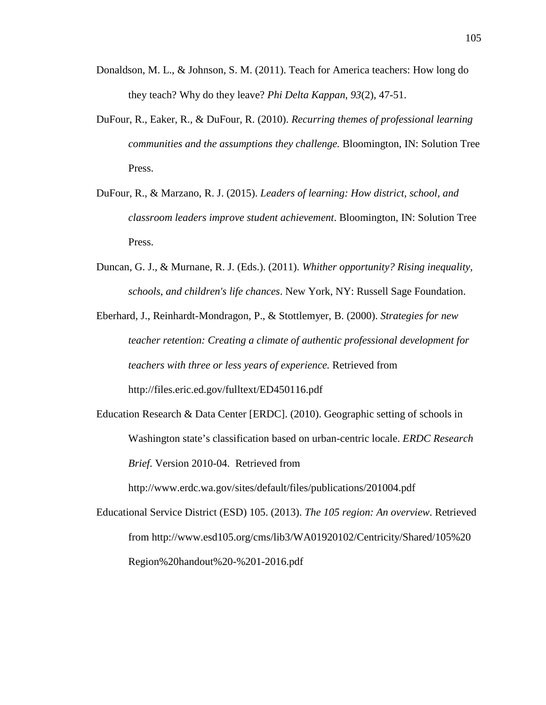- Donaldson, M. L., & Johnson, S. M. (2011). Teach for America teachers: How long do they teach? Why do they leave? *Phi Delta Kappan*, *93*(2), 47-51.
- DuFour, R., Eaker, R., & DuFour, R. (2010). *Recurring themes of professional learning communities and the assumptions they challenge.* Bloomington, IN: Solution Tree Press.
- DuFour, R., & Marzano, R. J. (2015). *Leaders of learning: How district, school, and classroom leaders improve student achievement*. Bloomington, IN: Solution Tree Press.
- Duncan, G. J., & Murnane, R. J. (Eds.). (2011). *Whither opportunity? Rising inequality, schools, and children's life chances*. New York, NY: Russell Sage Foundation.

Eberhard, J., Reinhardt-Mondragon, P., & Stottlemyer, B. (2000). *Strategies for new teacher retention: Creating a climate of authentic professional development for teachers with three or less years of experience.* Retrieved from http://files.eric.ed.gov/fulltext/ED450116.pdf

Education Research & Data Center [ERDC]. (2010). Geographic setting of schools in Washington state's classification based on urban-centric locale. *ERDC Research Brief*. Version 2010-04. Retrieved from

http://www.erdc.wa.gov/sites/default/files/publications/201004.pdf

Educational Service District (ESD) 105. (2013). *The 105 region: An overview*. Retrieved from http://www.esd105.org/cms/lib3/WA01920102/Centricity/Shared/105%20 Region%20handout%20-%201-2016.pdf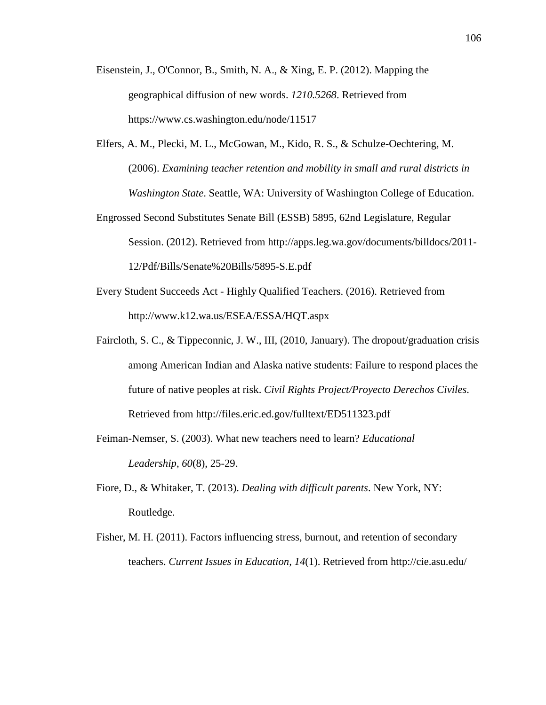- Eisenstein, J., O'Connor, B., Smith, N. A., & Xing, E. P. (2012). Mapping the geographical diffusion of new words. *1210.5268*. Retrieved from https://www.cs.washington.edu/node/11517
- Elfers, A. M., Plecki, M. L., McGowan, M., Kido, R. S., & Schulze-Oechtering, M. (2006). *Examining teacher retention and mobility in small and rural districts in Washington State*. Seattle, WA: University of Washington College of Education.
- Engrossed Second Substitutes Senate Bill (ESSB) 5895, 62nd Legislature, Regular Session. (2012). Retrieved from http://apps.leg.wa.gov/documents/billdocs/2011- 12/Pdf/Bills/Senate%20Bills/5895-S.E.pdf
- Every Student Succeeds Act Highly Qualified Teachers. (2016). Retrieved from http://www.k12.wa.us/ESEA/ESSA/HQT.aspx
- Faircloth, S. C., & Tippeconnic, J. W., III, (2010, January). The dropout/graduation crisis among American Indian and Alaska native students: Failure to respond places the future of native peoples at risk. *Civil Rights Project/Proyecto Derechos Civiles*. Retrieved from http://files.eric.ed.gov/fulltext/ED511323.pdf
- Feiman-Nemser, S. (2003). What new teachers need to learn? *Educational Leadership*, *60*(8), 25-29.
- Fiore, D., & Whitaker, T. (2013). *Dealing with difficult parents*. New York, NY: Routledge.
- Fisher, M. H. (2011). Factors influencing stress, burnout, and retention of secondary teachers. *Current Issues in Education, 14*(1). Retrieved from http://cie.asu.edu/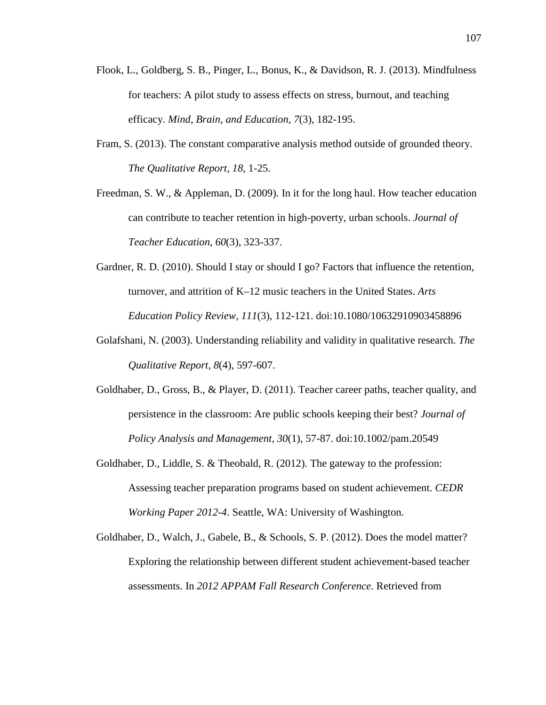- Flook, L., Goldberg, S. B., Pinger, L., Bonus, K., & Davidson, R. J. (2013). Mindfulness for teachers: A pilot study to assess effects on stress, burnout, and teaching efficacy. *Mind, Brain, and Education*, *7*(3), 182-195.
- Fram, S. (2013). The constant comparative analysis method outside of grounded theory. *The Qualitative Report, 18*, 1-25.

Freedman, S. W., & Appleman, D. (2009). In it for the long haul. How teacher education can contribute to teacher retention in high-poverty, urban schools. *Journal of Teacher Education*, *60*(3), 323-337.

- Gardner, R. D. (2010). Should I stay or should I go? Factors that influence the retention, turnover, and attrition of K–12 music teachers in the United States. *Arts Education Policy Review*, *111*(3), 112-121. doi:10.1080/10632910903458896
- Golafshani, N. (2003). Understanding reliability and validity in qualitative research. *The Qualitative Report*, *8*(4), 597-607.
- Goldhaber, D., Gross, B., & Player, D. (2011). Teacher career paths, teacher quality, and persistence in the classroom: Are public schools keeping their best? *Journal of Policy Analysis and Management, 30*(1), 57-87. doi:10.1002/pam.20549
- Goldhaber, D., Liddle, S. & Theobald, R. (2012). The gateway to the profession: Assessing teacher preparation programs based on student achievement. *CEDR Working Paper 2012-4*. Seattle, WA: University of Washington.
- Goldhaber, D., Walch, J., Gabele, B., & Schools, S. P. (2012). Does the model matter? Exploring the relationship between different student achievement-based teacher assessments. In *2012 APPAM Fall Research Conference*. Retrieved from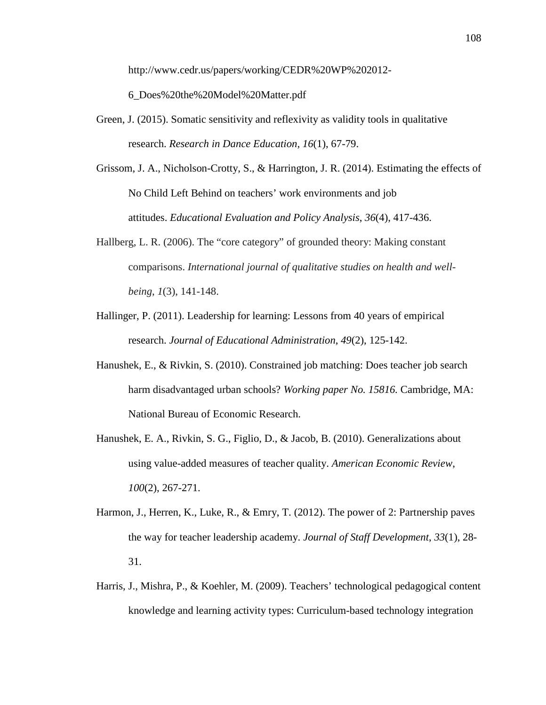http://www.cedr.us/papers/working/CEDR%20WP%202012-

6\_Does%20the%20Model%20Matter.pdf

- Green, J. (2015). Somatic sensitivity and reflexivity as validity tools in qualitative research. *Research in Dance Education, 16*(1), 67-79.
- Grissom, J. A., Nicholson-Crotty, S., & Harrington, J. R. (2014). Estimating the effects of No Child Left Behind on teachers' work environments and job attitudes. *Educational Evaluation and Policy Analysis*, *36*(4), 417-436.
- Hallberg, L. R. (2006). The "core category" of grounded theory: Making constant comparisons. *International journal of qualitative studies on health and wellbeing*, *1*(3), 141-148.
- Hallinger, P. (2011). Leadership for learning: Lessons from 40 years of empirical research. *Journal of Educational Administration*, *49*(2), 125-142.
- Hanushek, E., & Rivkin, S. (2010). Constrained job matching: Does teacher job search harm disadvantaged urban schools? *Working paper No. 15816.* Cambridge, MA: National Bureau of Economic Research.
- Hanushek, E. A., Rivkin, S. G., Figlio, D., & Jacob, B. (2010). Generalizations about using value-added measures of teacher quality. *American Economic Review*, *100*(2), 267-271.
- Harmon, J., Herren, K., Luke, R., & Emry, T. (2012). The power of 2: Partnership paves the way for teacher leadership academy. *Journal of Staff Development*, *33*(1), 28- 31.
- Harris, J., Mishra, P., & Koehler, M. (2009). Teachers' technological pedagogical content knowledge and learning activity types: Curriculum-based technology integration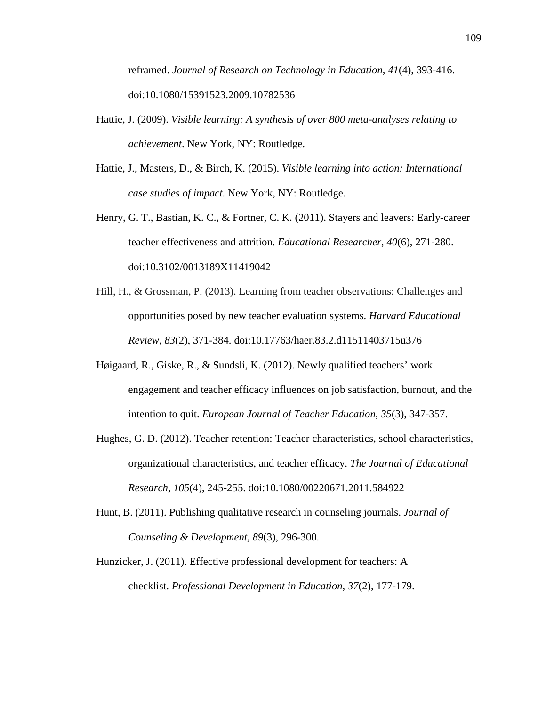reframed. *Journal of Research on Technology in Education*, *41*(4), 393-416. doi:10.1080/15391523.2009.10782536

- Hattie, J. (2009). *Visible learning: A synthesis of over 800 meta-analyses relating to achievement*. New York, NY: Routledge.
- Hattie, J., Masters, D., & Birch, K. (2015). *Visible learning into action: International case studies of impact*. New York, NY: Routledge.
- Henry, G. T., Bastian, K. C., & Fortner, C. K. (2011). Stayers and leavers: Early-career teacher effectiveness and attrition. *Educational Researcher*, *40*(6), 271-280. doi:10.3102/0013189X11419042
- Hill, H., & Grossman, P. (2013). Learning from teacher observations: Challenges and opportunities posed by new teacher evaluation systems. *Harvard Educational Review*, *83*(2), 371-384. doi:10.17763/haer.83.2.d11511403715u376
- Høigaard, R., Giske, R., & Sundsli, K. (2012). Newly qualified teachers' work engagement and teacher efficacy influences on job satisfaction, burnout, and the intention to quit. *European Journal of Teacher Education*, *35*(3), 347-357.
- Hughes, G. D. (2012). Teacher retention: Teacher characteristics, school characteristics, organizational characteristics, and teacher efficacy. *The Journal of Educational Research, 105*(4), 245-255. doi:10.1080/00220671.2011.584922
- Hunt, B. (2011). Publishing qualitative research in counseling journals. *Journal of Counseling & Development, 89*(3), 296-300.
- Hunzicker, J. (2011). Effective professional development for teachers: A checklist. *Professional Development in Education*, *37*(2), 177-179.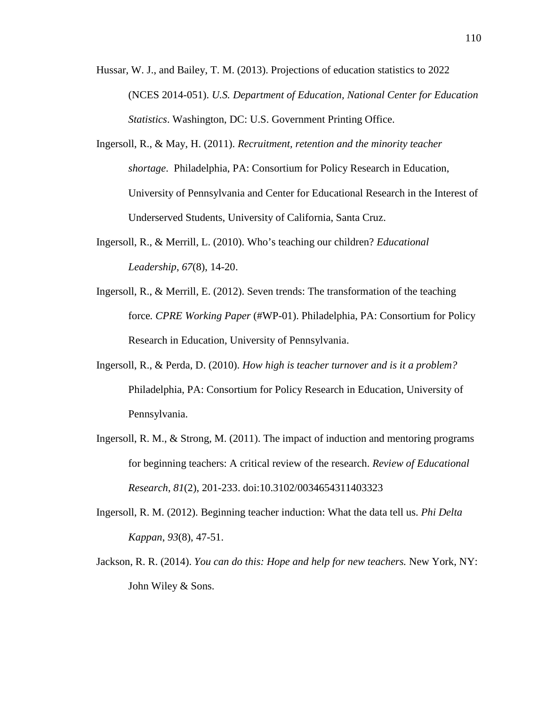- Hussar, W. J., and Bailey, T. M. (2013). Projections of education statistics to 2022 (NCES 2014-051). *U.S. Department of Education, National Center for Education Statistics*. Washington, DC: U.S. Government Printing Office.
- Ingersoll, R., & May, H. (2011). *Recruitment, retention and the minority teacher shortage*. Philadelphia, PA: Consortium for Policy Research in Education, University of Pennsylvania and Center for Educational Research in the Interest of Underserved Students, University of California, Santa Cruz.
- Ingersoll, R., & Merrill, L. (2010). Who's teaching our children? *Educational Leadership*, *67*(8), 14-20.
- Ingersoll, R., & Merrill, E. (2012). Seven trends: The transformation of the teaching force*. CPRE Working Paper* (#WP-01). Philadelphia, PA: Consortium for Policy Research in Education, University of Pennsylvania.
- Ingersoll, R., & Perda, D. (2010). *How high is teacher turnover and is it a problem?* Philadelphia, PA: Consortium for Policy Research in Education, University of Pennsylvania.
- Ingersoll, R. M., & Strong, M. (2011). The impact of induction and mentoring programs for beginning teachers: A critical review of the research. *Review of Educational Research*, *81*(2), 201-233. doi:10.3102/0034654311403323
- Ingersoll, R. M. (2012). Beginning teacher induction: What the data tell us. *Phi Delta Kappan*, *93*(8), 47-51.
- Jackson, R. R. (2014). *You can do this: Hope and help for new teachers.* New York, NY: John Wiley & Sons.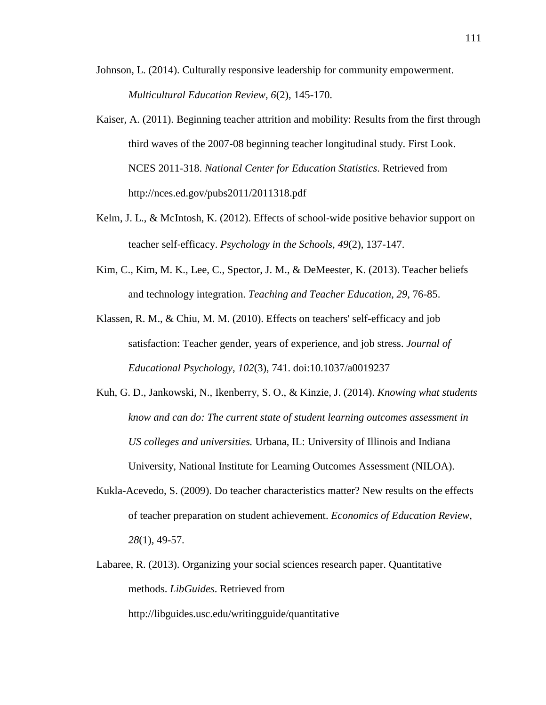- Johnson, L. (2014). Culturally responsive leadership for community empowerment. *Multicultural Education Review*, *6*(2), 145-170.
- Kaiser, A. (2011). Beginning teacher attrition and mobility: Results from the first through third waves of the 2007-08 beginning teacher longitudinal study. First Look. NCES 2011-318. *National Center for Education Statistics*. Retrieved from http://nces.ed.gov/pubs2011/2011318.pdf
- Kelm, J. L., & McIntosh, K. (2012). Effects of school-wide positive behavior support on teacher self‐efficacy. *Psychology in the Schools*, *49*(2), 137-147.
- Kim, C., Kim, M. K., Lee, C., Spector, J. M., & DeMeester, K. (2013). Teacher beliefs and technology integration. *Teaching and Teacher Education*, *29*, 76-85.
- Klassen, R. M., & Chiu, M. M. (2010). Effects on teachers' self-efficacy and job satisfaction: Teacher gender, years of experience, and job stress. *Journal of Educational Psychology*, *102*(3), 741. doi:10.1037/a0019237
- Kuh, G. D., Jankowski, N., Ikenberry, S. O., & Kinzie, J. (2014). *Knowing what students know and can do: The current state of student learning outcomes assessment in US colleges and universities.* Urbana, IL: University of Illinois and Indiana University, National Institute for Learning Outcomes Assessment (NILOA).
- Kukla-Acevedo, S. (2009). Do teacher characteristics matter? New results on the effects of teacher preparation on student achievement. *Economics of Education Review*, *28*(1), 49-57.
- Labaree, R. (2013). Organizing your social sciences research paper. Quantitative methods. *LibGuides*. Retrieved from

http://libguides.usc.edu/writingguide/quantitative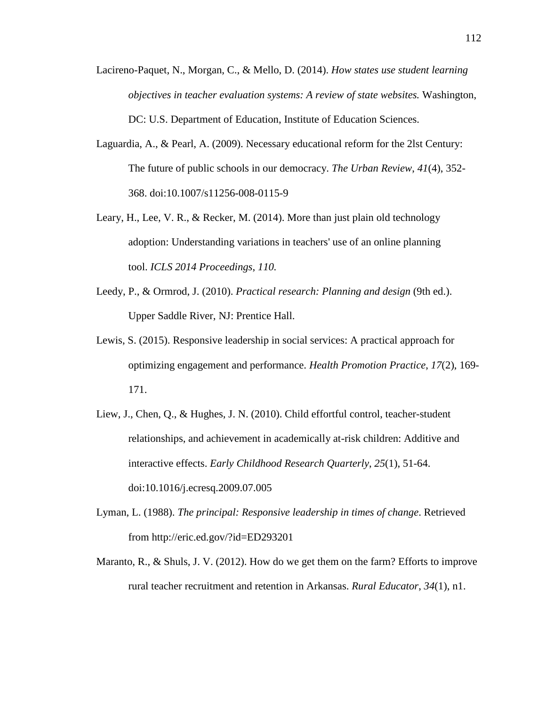- Lacireno-Paquet, N., Morgan, C., & Mello, D. (2014). *How states use student learning objectives in teacher evaluation systems: A review of state websites.* Washington, DC: U.S. Department of Education, Institute of Education Sciences.
- Laguardia, A., & Pearl, A. (2009). Necessary educational reform for the 2lst Century: The future of public schools in our democracy. *The Urban Review*, *41*(4), 352- 368. doi:10.1007/s11256-008-0115-9
- Leary, H., Lee, V. R., & Recker, M. (2014). More than just plain old technology adoption: Understanding variations in teachers' use of an online planning tool. *ICLS 2014 Proceedings*, *110.*
- Leedy, P., & Ormrod, J. (2010). *Practical research: Planning and design* (9th ed.). Upper Saddle River, NJ: Prentice Hall.
- Lewis, S. (2015). Responsive leadership in social services: A practical approach for optimizing engagement and performance. *Health Promotion Practice*, *17*(2), 169- 171.
- Liew, J., Chen, Q., & Hughes, J. N. (2010). Child effortful control, teacher-student relationships, and achievement in academically at-risk children: Additive and interactive effects. *Early Childhood Research Quarterly*, *25*(1), 51-64. doi:10.1016/j.ecresq.2009.07.005
- Lyman, L. (1988). *The principal: Responsive leadership in times of change*. Retrieved from http://eric.ed.gov/?id=ED293201
- Maranto, R., & Shuls, J. V. (2012). How do we get them on the farm? Efforts to improve rural teacher recruitment and retention in Arkansas. *Rural Educator*, *34*(1), n1.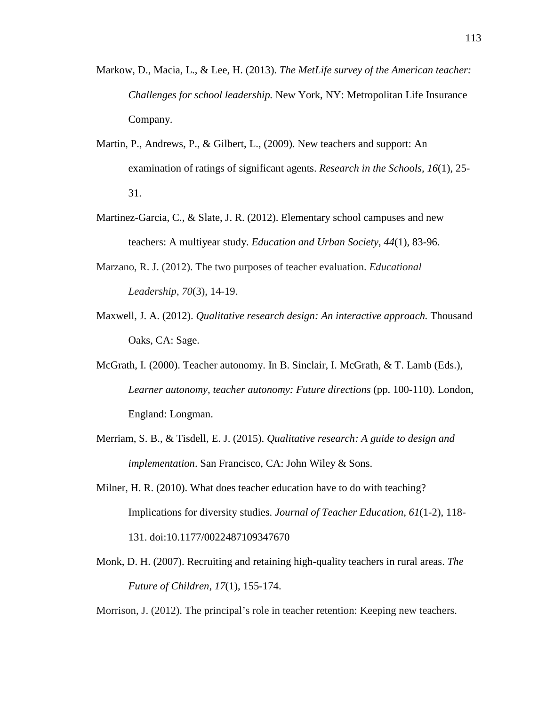- Markow, D., Macia, L., & Lee, H. (2013). *The MetLife survey of the American teacher: Challenges for school leadership.* New York, NY: Metropolitan Life Insurance Company.
- Martin, P., Andrews, P., & Gilbert, L., (2009). New teachers and support: An examination of ratings of significant agents. *Research in the Schools, 16*(1), 25- 31.
- Martinez-Garcia, C., & Slate, J. R. (2012). Elementary school campuses and new teachers: A multiyear study. *Education and Urban Society*, *44*(1), 83-96.
- Marzano, R. J. (2012). The two purposes of teacher evaluation. *Educational Leadership*, *70*(3), 14-19.
- Maxwell, J. A. (2012). *Qualitative research design: An interactive approach.* Thousand Oaks, CA: Sage.
- McGrath, I. (2000). Teacher autonomy. In B. Sinclair, I. McGrath, & T. Lamb (Eds.), *Learner autonomy, teacher autonomy: Future directions* (pp. 100-110). London, England: Longman.
- Merriam, S. B., & Tisdell, E. J. (2015). *Qualitative research: A guide to design and implementation*. San Francisco, CA: John Wiley & Sons.
- Milner, H. R. (2010). What does teacher education have to do with teaching? Implications for diversity studies. *Journal of Teacher Education*, *61*(1-2), 118- 131. doi:10.1177/0022487109347670
- Monk, D. H. (2007). Recruiting and retaining high-quality teachers in rural areas. *The Future of Children*, *17*(1), 155-174.

Morrison, J. (2012). The principal's role in teacher retention: Keeping new teachers.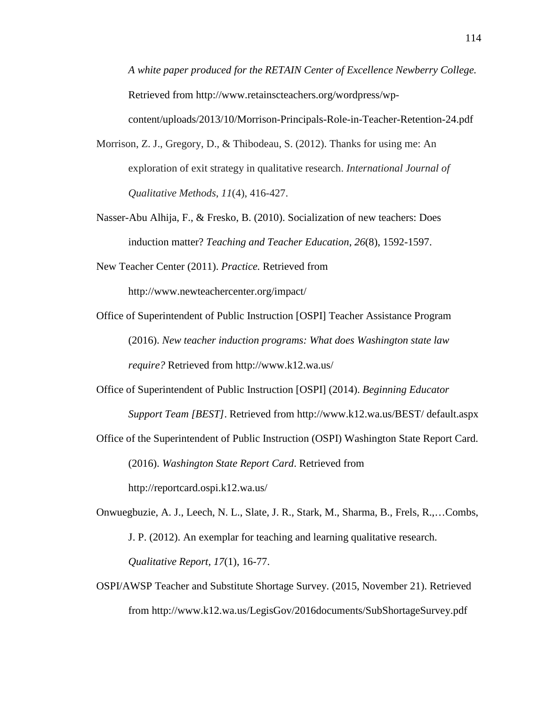*A white paper produced for the RETAIN Center of Excellence Newberry College.* Retrieved from http://www.retainscteachers.org/wordpress/wpcontent/uploads/2013/10/Morrison-Principals-Role-in-Teacher-Retention-24.pdf

- Morrison, Z. J., Gregory, D., & Thibodeau, S. (2012). Thanks for using me: An exploration of exit strategy in qualitative research. *International Journal of Qualitative Methods*, *11*(4), 416-427.
- Nasser-Abu Alhija, F., & Fresko, B. (2010). Socialization of new teachers: Does induction matter? *Teaching and Teacher Education*, *26*(8), 1592-1597.
- New Teacher Center (2011). *Practice.* Retrieved from http://www.newteachercenter.org/impact/
- Office of Superintendent of Public Instruction [OSPI] Teacher Assistance Program (2016). *New teacher induction programs: What does Washington state law require?* Retrieved from http://www.k12.wa.us/
- Office of Superintendent of Public Instruction [OSPI] (2014). *Beginning Educator Support Team [BEST]*. Retrieved from http://www.k12.wa.us/BEST/ default.aspx
- Office of the Superintendent of Public Instruction (OSPI) Washington State Report Card. (2016). *Washington State Report Card*. Retrieved from http://reportcard.ospi.k12.wa.us/
- Onwuegbuzie, A. J., Leech, N. L., Slate, J. R., Stark, M., Sharma, B., Frels, R.,…Combs, J. P. (2012). An exemplar for teaching and learning qualitative research. *Qualitative Report, 17*(1), 16-77.
- OSPI/AWSP Teacher and Substitute Shortage Survey. (2015, November 21). Retrieved from http://www.k12.wa.us/LegisGov/2016documents/SubShortageSurvey.pdf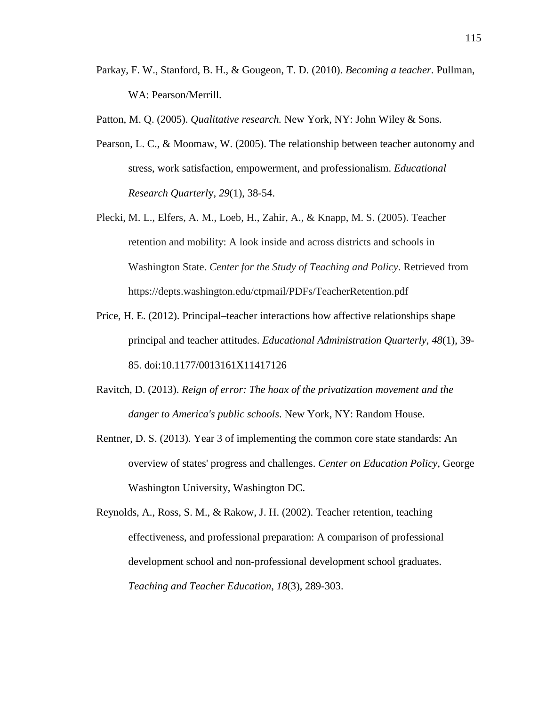- Parkay, F. W., Stanford, B. H., & Gougeon, T. D. (2010). *Becoming a teacher*. Pullman, WA: Pearson/Merrill.
- Patton, M. Q. (2005). *Qualitative research.* New York, NY: John Wiley & Sons.
- Pearson, L. C., & Moomaw, W. (2005). The relationship between teacher autonomy and stress, work satisfaction, empowerment, and professionalism. *Educational Research Quarterl*y, *29*(1), 38-54.
- Plecki, M. L., Elfers, A. M., Loeb, H., Zahir, A., & Knapp, M. S. (2005). Teacher retention and mobility: A look inside and across districts and schools in Washington State. *Center for the Study of Teaching and Policy*. Retrieved from https://depts.washington.edu/ctpmail/PDFs/TeacherRetention.pdf
- Price, H. E. (2012). Principal–teacher interactions how affective relationships shape principal and teacher attitudes. *Educational Administration Quarterly*, *48*(1), 39- 85. doi:10.1177/0013161X11417126
- Ravitch, D. (2013). *Reign of error: The hoax of the privatization movement and the danger to America's public schools*. New York, NY: Random House.
- Rentner, D. S. (2013). Year 3 of implementing the common core state standards: An overview of states' progress and challenges. *Center on Education Policy*, George Washington University, Washington DC.
- Reynolds, A., Ross, S. M., & Rakow, J. H. (2002). Teacher retention, teaching effectiveness, and professional preparation: A comparison of professional development school and non-professional development school graduates. *Teaching and Teacher Education*, *18*(3), 289-303.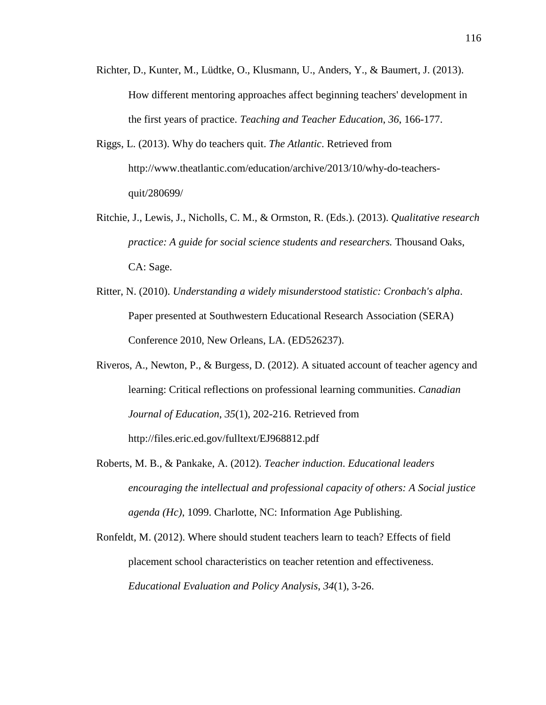- Richter, D., Kunter, M., Lüdtke, O., Klusmann, U., Anders, Y., & Baumert, J. (2013). How different mentoring approaches affect beginning teachers' development in the first years of practice. *Teaching and Teacher Education*, *36*, 166-177.
- Riggs, L. (2013). Why do teachers quit. *The Atlantic*. Retrieved from http://www.theatlantic.com/education/archive/2013/10/why-do-teachersquit/280699/
- Ritchie, J., Lewis, J., Nicholls, C. M., & Ormston, R. (Eds.). (2013). *Qualitative research practice: A guide for social science students and researchers.* Thousand Oaks, CA: Sage.
- Ritter, N. (2010). *Understanding a widely misunderstood statistic: Cronbach's alpha*. Paper presented at Southwestern Educational Research Association (SERA) Conference 2010, New Orleans, LA. (ED526237).
- Riveros, A., Newton, P., & Burgess, D. (2012). A situated account of teacher agency and learning: Critical reflections on professional learning communities. *Canadian Journal of Education*, *35*(1), 202-216. Retrieved from http://files.eric.ed.gov/fulltext/EJ968812.pdf
- Roberts, M. B., & Pankake, A. (2012). *Teacher induction*. *Educational leaders encouraging the intellectual and professional capacity of others: A Social justice agenda (Hc)*, 1099. Charlotte, NC: Information Age Publishing.

Ronfeldt, M. (2012). Where should student teachers learn to teach? Effects of field placement school characteristics on teacher retention and effectiveness. *Educational Evaluation and Policy Analysis*, *34*(1), 3-26.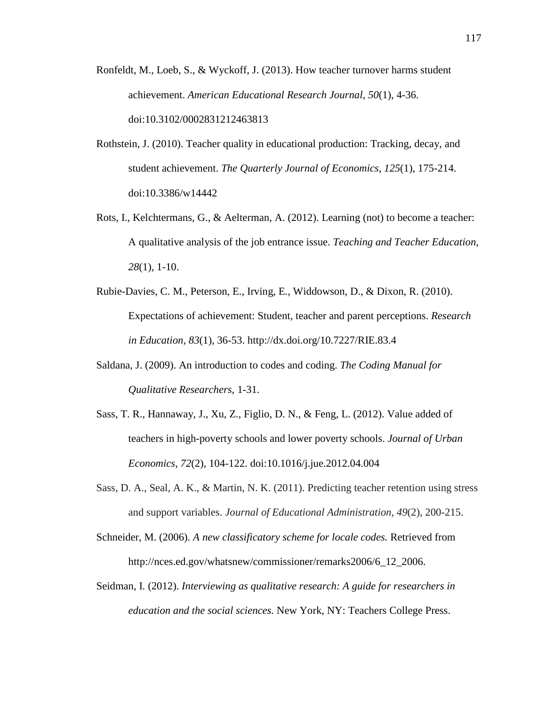- Ronfeldt, M., Loeb, S., & Wyckoff, J. (2013). How teacher turnover harms student achievement. *American Educational Research Journal*, *50*(1), 4-36. doi:10.3102/0002831212463813
- Rothstein, J. (2010). Teacher quality in educational production: Tracking, decay, and student achievement. *The Quarterly Journal of Economics*, *125*(1), 175-214. doi:10.3386/w14442
- Rots, I., Kelchtermans, G., & Aelterman, A. (2012). Learning (not) to become a teacher: A qualitative analysis of the job entrance issue. *Teaching and Teacher Education*, *28*(1), 1-10.
- Rubie-Davies, C. M., Peterson, E., Irving, E., Widdowson, D., & Dixon, R. (2010). Expectations of achievement: Student, teacher and parent perceptions. *Research in Education, 83*(1), 36-53. http://dx.doi.org/10.7227/RIE.83.4
- Saldana, J. (2009). An introduction to codes and coding. *The Coding Manual for Qualitative Researchers*, 1-31.
- Sass, T. R., Hannaway, J., Xu, Z., Figlio, D. N., & Feng, L. (2012). Value added of teachers in high-poverty schools and lower poverty schools. *Journal of Urban Economics*, *72*(2), 104-122. doi:10.1016/j.jue.2012.04.004
- Sass, D. A., Seal, A. K., & Martin, N. K. (2011). Predicting teacher retention using stress and support variables. *Journal of Educational Administration*, *49*(2), 200-215.
- Schneider, M. (2006). *A new classificatory scheme for locale codes.* Retrieved from http://nces.ed.gov/whatsnew/commissioner/remarks2006/6\_12\_2006.
- Seidman, I. (2012). *Interviewing as qualitative research: A guide for researchers in education and the social sciences.* New York, NY: Teachers College Press.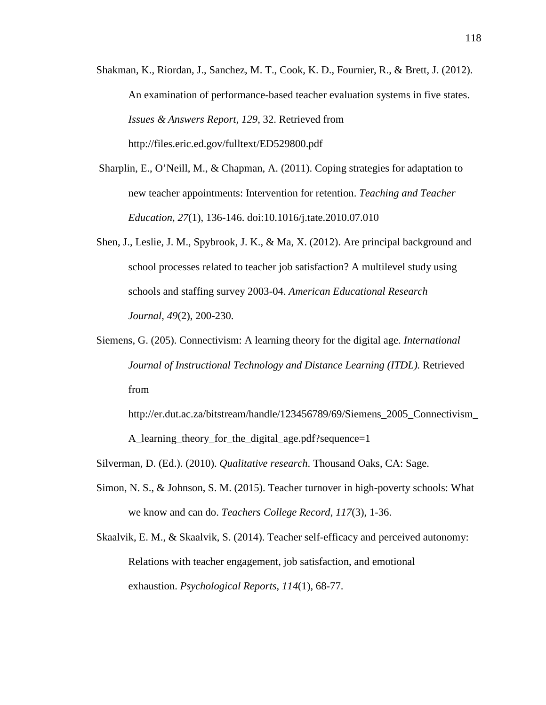- Shakman, K., Riordan, J., Sanchez, M. T., Cook, K. D., Fournier, R., & Brett, J. (2012). An examination of performance-based teacher evaluation systems in five states. *Issues & Answers Report, 129*, 32. Retrieved from http://files.eric.ed.gov/fulltext/ED529800.pdf
- Sharplin, E., O'Neill, M., & Chapman, A. (2011). Coping strategies for adaptation to new teacher appointments: Intervention for retention. *Teaching and Teacher Education*, *27*(1), 136-146. doi:10.1016/j.tate.2010.07.010
- Shen, J., Leslie, J. M., Spybrook, J. K., & Ma, X. (2012). Are principal background and school processes related to teacher job satisfaction? A multilevel study using schools and staffing survey 2003-04. *American Educational Research Journal*, *49*(2), 200-230.
- Siemens, G. (205). Connectivism: A learning theory for the digital age. *International Journal of Instructional Technology and Distance Learning (ITDL).* Retrieved from
	- http://er.dut.ac.za/bitstream/handle/123456789/69/Siemens\_2005\_Connectivism\_ A\_learning\_theory\_for\_the\_digital\_age.pdf?sequence=1
- Silverman, D. (Ed.). (2010). *Qualitative research*. Thousand Oaks, CA: Sage.
- Simon, N. S., & Johnson, S. M. (2015). Teacher turnover in high-poverty schools: What we know and can do. *Teachers College Record*, *117*(3), 1-36.
- Skaalvik, E. M., & Skaalvik, S. (2014). Teacher self-efficacy and perceived autonomy: Relations with teacher engagement, job satisfaction, and emotional exhaustion. *Psychological Reports*, *114*(1), 68-77.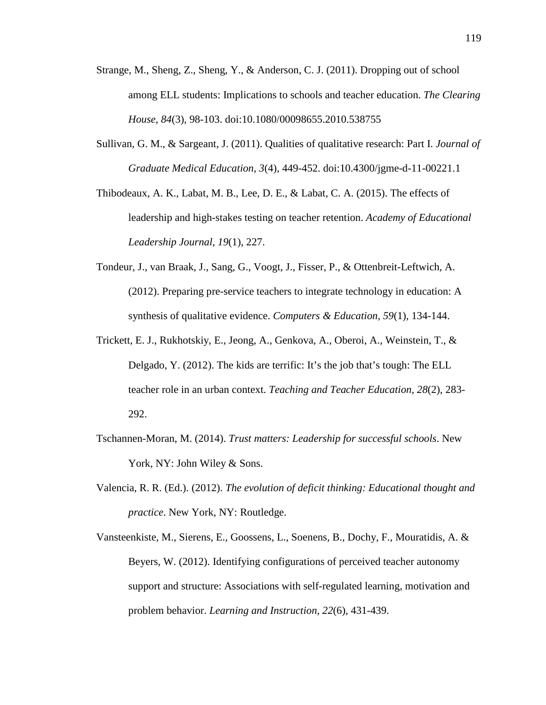- Strange, M., Sheng, Z., Sheng, Y., & Anderson, C. J. (2011). Dropping out of school among ELL students: Implications to schools and teacher education. *The Clearing House*, *84*(3), 98-103. doi:10.1080/00098655.2010.538755
- Sullivan, G. M., & Sargeant, J. (2011). Qualities of qualitative research: Part I. *Journal of Graduate Medical Education*, *3*(4), 449-452. doi:10.4300/jgme-d-11-00221.1

Thibodeaux, A. K., Labat, M. B., Lee, D. E., & Labat, C. A. (2015). The effects of leadership and high-stakes testing on teacher retention. *Academy of Educational Leadership Journal*, *19*(1), 227.

- Tondeur, J., van Braak, J., Sang, G., Voogt, J., Fisser, P., & Ottenbreit-Leftwich, A. (2012). Preparing pre-service teachers to integrate technology in education: A synthesis of qualitative evidence. *Computers & Education*, *59*(1), 134-144.
- Trickett, E. J., Rukhotskiy, E., Jeong, A., Genkova, A., Oberoi, A., Weinstein, T., & Delgado, Y. (2012). The kids are terrific: It's the job that's tough: The ELL teacher role in an urban context. *Teaching and Teacher Education*, *28*(2), 283- 292.
- Tschannen-Moran, M. (2014). *Trust matters: Leadership for successful schools*. New York, NY: John Wiley & Sons.
- Valencia, R. R. (Ed.). (2012). *The evolution of deficit thinking: Educational thought and practice*. New York, NY: Routledge.
- Vansteenkiste, M., Sierens, E., Goossens, L., Soenens, B., Dochy, F., Mouratidis, A. & Beyers, W. (2012). Identifying configurations of perceived teacher autonomy support and structure: Associations with self-regulated learning, motivation and problem behavior. *Learning and Instruction*, *22*(6), 431-439.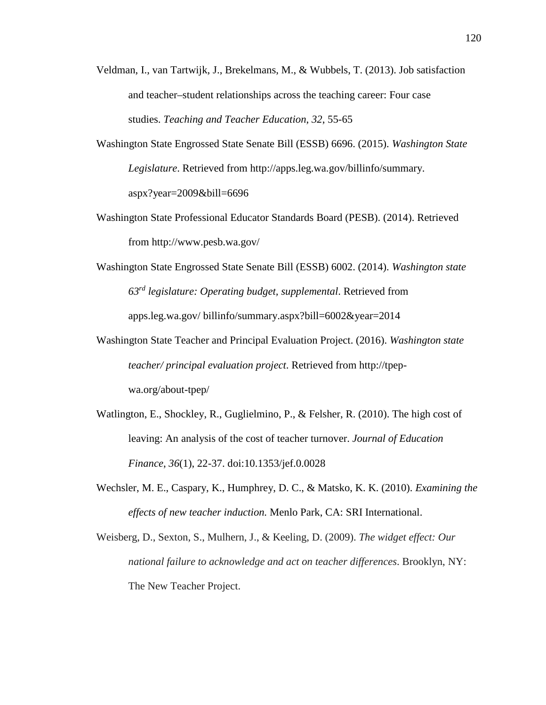- Veldman, I., van Tartwijk, J., Brekelmans, M., & Wubbels, T. (2013). Job satisfaction and teacher–student relationships across the teaching career: Four case studies. *Teaching and Teacher Education*, *32*, 55-65
- Washington State Engrossed State Senate Bill (ESSB) 6696. (2015). *Washington State Legislature*. Retrieved from http://apps.leg.wa.gov/billinfo/summary. aspx?year=2009&bill=6696
- Washington State Professional Educator Standards Board (PESB). (2014). Retrieved from http://www.pesb.wa.gov/
- Washington State Engrossed State Senate Bill (ESSB) 6002. (2014). *Washington state 63rd legislature: Operating budget, supplemental*. Retrieved from apps.leg.wa.gov/ billinfo/summary.aspx?bill=6002&year=2014
- Washington State Teacher and Principal Evaluation Project. (2016). *Washington state teacher/ principal evaluation project*. Retrieved from http://tpepwa.org/about-tpep/
- Watlington, E., Shockley, R., Guglielmino, P., & Felsher, R. (2010). The high cost of leaving: An analysis of the cost of teacher turnover. *Journal of Education Finance*, *36*(1), 22-37. doi:10.1353/jef.0.0028
- Wechsler, M. E., Caspary, K., Humphrey, D. C., & Matsko, K. K. (2010). *Examining the effects of new teacher induction.* Menlo Park, CA: SRI International.
- Weisberg, D., Sexton, S., Mulhern, J., & Keeling, D. (2009). *The widget effect: Our national failure to acknowledge and act on teacher differences*. Brooklyn, NY: The New Teacher Project.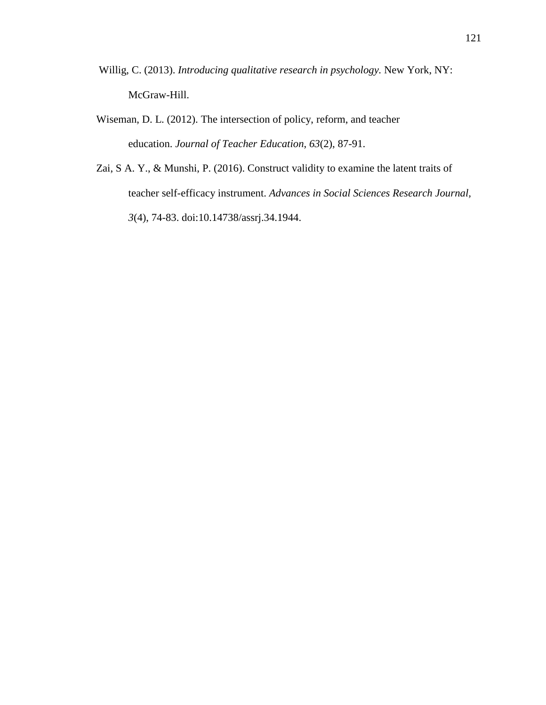- Willig, C. (2013). *Introducing qualitative research in psychology.* New York, NY: McGraw-Hill.
- Wiseman, D. L. (2012). The intersection of policy, reform, and teacher education. *Journal of Teacher Education*, *63*(2), 87-91.
- Zai, S A. Y., & Munshi, P. (2016). Construct validity to examine the latent traits of teacher self-efficacy instrument. *Advances in Social Sciences Research Journal, 3*(4), 74-83. doi:10.14738/assrj.34.1944.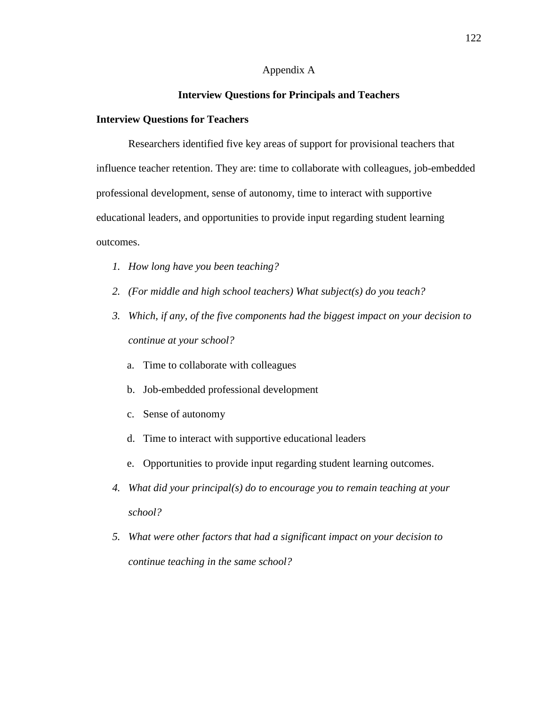## Appendix A

# **Interview Questions for Principals and Teachers**

#### **Interview Questions for Teachers**

Researchers identified five key areas of support for provisional teachers that influence teacher retention. They are: time to collaborate with colleagues, job-embedded professional development, sense of autonomy, time to interact with supportive educational leaders, and opportunities to provide input regarding student learning outcomes.

- *1. How long have you been teaching?*
- *2. (For middle and high school teachers) What subject(s) do you teach?*
- *3. Which, if any, of the five components had the biggest impact on your decision to continue at your school?*
	- a. Time to collaborate with colleagues
	- b. Job-embedded professional development
	- c. Sense of autonomy
	- d. Time to interact with supportive educational leaders
	- e. Opportunities to provide input regarding student learning outcomes.
- *4. What did your principal(s) do to encourage you to remain teaching at your school?*
- *5. What were other factors that had a significant impact on your decision to continue teaching in the same school?*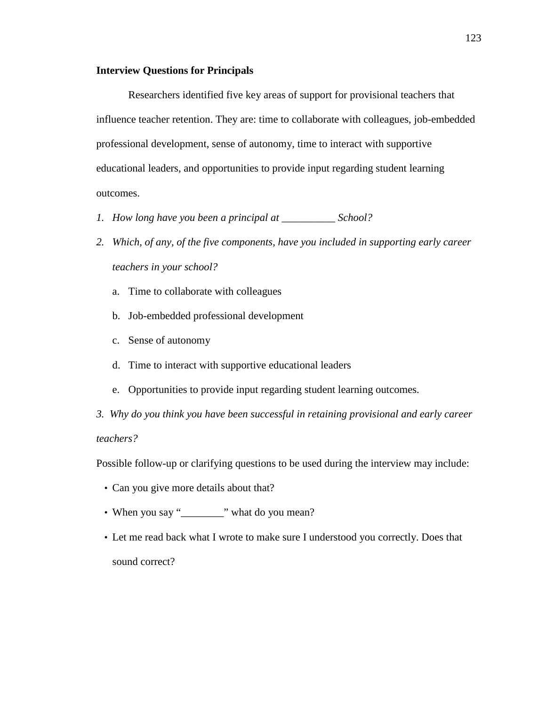## **Interview Questions for Principals**

Researchers identified five key areas of support for provisional teachers that influence teacher retention. They are: time to collaborate with colleagues, job-embedded professional development, sense of autonomy, time to interact with supportive educational leaders, and opportunities to provide input regarding student learning outcomes.

- *1. How long have you been a principal at \_\_\_\_\_\_\_\_\_\_ School?*
- *2. Which, of any, of the five components, have you included in supporting early career teachers in your school?*
	- a. Time to collaborate with colleagues
	- b. Job-embedded professional development
	- c. Sense of autonomy
	- d. Time to interact with supportive educational leaders
	- e. Opportunities to provide input regarding student learning outcomes.
- *3. Why do you think you have been successful in retaining provisional and early career teachers?*

Possible follow-up or clarifying questions to be used during the interview may include:

- Can you give more details about that?
- When you say "\_\_\_\_\_\_\_\_" what do you mean?
- Let me read back what I wrote to make sure I understood you correctly. Does that sound correct?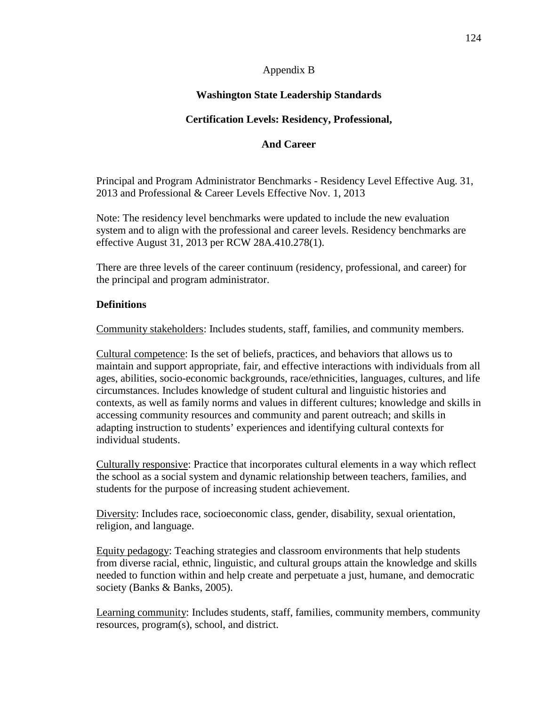# Appendix B

# **Washington State Leadership Standards**

# **Certification Levels: Residency, Professional,**

# **And Career**

Principal and Program Administrator Benchmarks - Residency Level Effective Aug. 31, 2013 and Professional & Career Levels Effective Nov. 1, 2013

Note: The residency level benchmarks were updated to include the new evaluation system and to align with the professional and career levels. Residency benchmarks are effective August 31, 2013 per RCW 28A.410.278(1).

There are three levels of the career continuum (residency, professional, and career) for the principal and program administrator.

# **Definitions**

Community stakeholders: Includes students, staff, families, and community members.

Cultural competence: Is the set of beliefs, practices, and behaviors that allows us to maintain and support appropriate, fair, and effective interactions with individuals from all ages, abilities, socio-economic backgrounds, race/ethnicities, languages, cultures, and life circumstances. Includes knowledge of student cultural and linguistic histories and contexts, as well as family norms and values in different cultures; knowledge and skills in accessing community resources and community and parent outreach; and skills in adapting instruction to students' experiences and identifying cultural contexts for individual students.

Culturally responsive: Practice that incorporates cultural elements in a way which reflect the school as a social system and dynamic relationship between teachers, families, and students for the purpose of increasing student achievement.

Diversity: Includes race, socioeconomic class, gender, disability, sexual orientation, religion, and language.

Equity pedagogy: Teaching strategies and classroom environments that help students from diverse racial, ethnic, linguistic, and cultural groups attain the knowledge and skills needed to function within and help create and perpetuate a just, humane, and democratic society (Banks & Banks, 2005).

Learning community: Includes students, staff, families, community members, community resources, program(s), school, and district.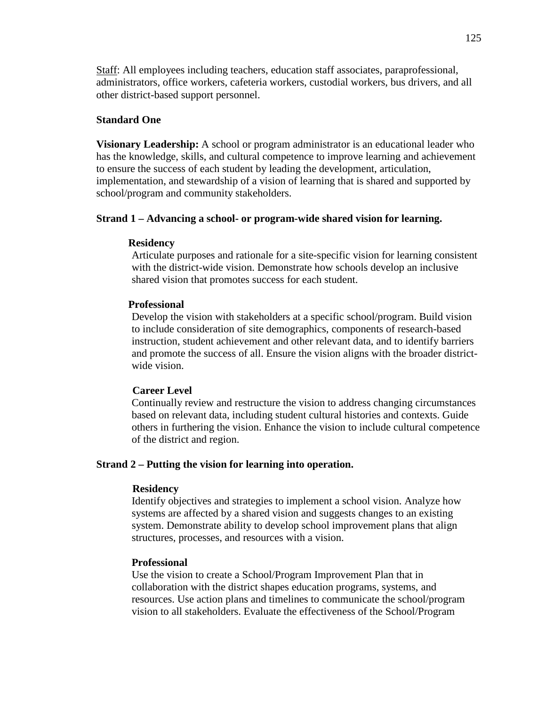Staff: All employees including teachers, education staff associates, paraprofessional, administrators, office workers, cafeteria workers, custodial workers, bus drivers, and all other district-based support personnel.

# **Standard One**

**Visionary Leadership:** A school or program administrator is an educational leader who has the knowledge, skills, and cultural competence to improve learning and achievement to ensure the success of each student by leading the development, articulation, implementation, and stewardship of a vision of learning that is shared and supported by school/program and community stakeholders.

## **Strand 1 – Advancing a school- or program-wide shared vision for learning.**

## **Residency**

Articulate purposes and rationale for a site-specific vision for learning consistent with the district-wide vision. Demonstrate how schools develop an inclusive shared vision that promotes success for each student.

## **Professional**

Develop the vision with stakeholders at a specific school/program. Build vision to include consideration of site demographics, components of research-based instruction, student achievement and other relevant data, and to identify barriers and promote the success of all. Ensure the vision aligns with the broader districtwide vision.

## **Career Level**

Continually review and restructure the vision to address changing circumstances based on relevant data, including student cultural histories and contexts. Guide others in furthering the vision. Enhance the vision to include cultural competence of the district and region.

## **Strand 2 – Putting the vision for learning into operation.**

## **Residency**

Identify objectives and strategies to implement a school vision. Analyze how systems are affected by a shared vision and suggests changes to an existing system. Demonstrate ability to develop school improvement plans that align structures, processes, and resources with a vision.

## **Professional**

Use the vision to create a School/Program Improvement Plan that in collaboration with the district shapes education programs, systems, and resources. Use action plans and timelines to communicate the school/program vision to all stakeholders. Evaluate the effectiveness of the School/Program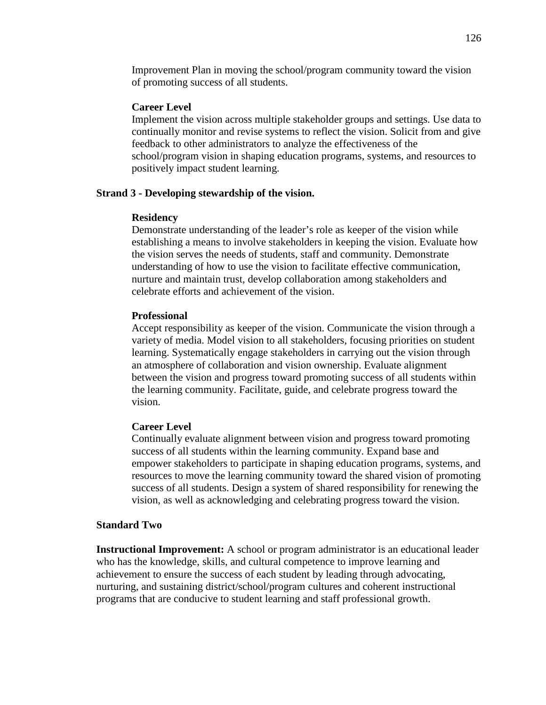Improvement Plan in moving the school/program community toward the vision of promoting success of all students.

## **Career Level**

Implement the vision across multiple stakeholder groups and settings. Use data to continually monitor and revise systems to reflect the vision. Solicit from and give feedback to other administrators to analyze the effectiveness of the school/program vision in shaping education programs, systems, and resources to positively impact student learning.

## **Strand 3 - Developing stewardship of the vision.**

#### **Residency**

Demonstrate understanding of the leader's role as keeper of the vision while establishing a means to involve stakeholders in keeping the vision. Evaluate how the vision serves the needs of students, staff and community. Demonstrate understanding of how to use the vision to facilitate effective communication, nurture and maintain trust, develop collaboration among stakeholders and celebrate efforts and achievement of the vision.

#### **Professional**

Accept responsibility as keeper of the vision. Communicate the vision through a variety of media. Model vision to all stakeholders, focusing priorities on student learning. Systematically engage stakeholders in carrying out the vision through an atmosphere of collaboration and vision ownership. Evaluate alignment between the vision and progress toward promoting success of all students within the learning community. Facilitate, guide, and celebrate progress toward the vision.

## **Career Level**

Continually evaluate alignment between vision and progress toward promoting success of all students within the learning community. Expand base and empower stakeholders to participate in shaping education programs, systems, and resources to move the learning community toward the shared vision of promoting success of all students. Design a system of shared responsibility for renewing the vision, as well as acknowledging and celebrating progress toward the vision.

#### **Standard Two**

**Instructional Improvement:** A school or program administrator is an educational leader who has the knowledge, skills, and cultural competence to improve learning and achievement to ensure the success of each student by leading through advocating, nurturing, and sustaining district/school/program cultures and coherent instructional programs that are conducive to student learning and staff professional growth.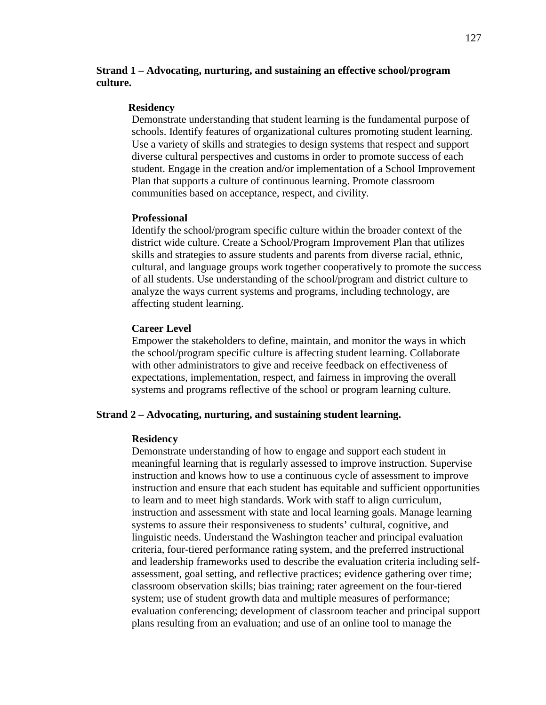# **Strand 1 – Advocating, nurturing, and sustaining an effective school/program culture.**

## **Residency**

Demonstrate understanding that student learning is the fundamental purpose of schools. Identify features of organizational cultures promoting student learning. Use a variety of skills and strategies to design systems that respect and support diverse cultural perspectives and customs in order to promote success of each student. Engage in the creation and/or implementation of a School Improvement Plan that supports a culture of continuous learning. Promote classroom communities based on acceptance, respect, and civility.

## **Professional**

Identify the school/program specific culture within the broader context of the district wide culture. Create a School/Program Improvement Plan that utilizes skills and strategies to assure students and parents from diverse racial, ethnic, cultural, and language groups work together cooperatively to promote the success of all students. Use understanding of the school/program and district culture to analyze the ways current systems and programs, including technology, are affecting student learning.

## **Career Level**

Empower the stakeholders to define, maintain, and monitor the ways in which the school/program specific culture is affecting student learning. Collaborate with other administrators to give and receive feedback on effectiveness of expectations, implementation, respect, and fairness in improving the overall systems and programs reflective of the school or program learning culture.

## **Strand 2 – Advocating, nurturing, and sustaining student learning.**

#### **Residency**

Demonstrate understanding of how to engage and support each student in meaningful learning that is regularly assessed to improve instruction. Supervise instruction and knows how to use a continuous cycle of assessment to improve instruction and ensure that each student has equitable and sufficient opportunities to learn and to meet high standards. Work with staff to align curriculum, instruction and assessment with state and local learning goals. Manage learning systems to assure their responsiveness to students' cultural, cognitive, and linguistic needs. Understand the Washington teacher and principal evaluation criteria, four-tiered performance rating system, and the preferred instructional and leadership frameworks used to describe the evaluation criteria including selfassessment, goal setting, and reflective practices; evidence gathering over time; classroom observation skills; bias training; rater agreement on the four-tiered system; use of student growth data and multiple measures of performance; evaluation conferencing; development of classroom teacher and principal support plans resulting from an evaluation; and use of an online tool to manage the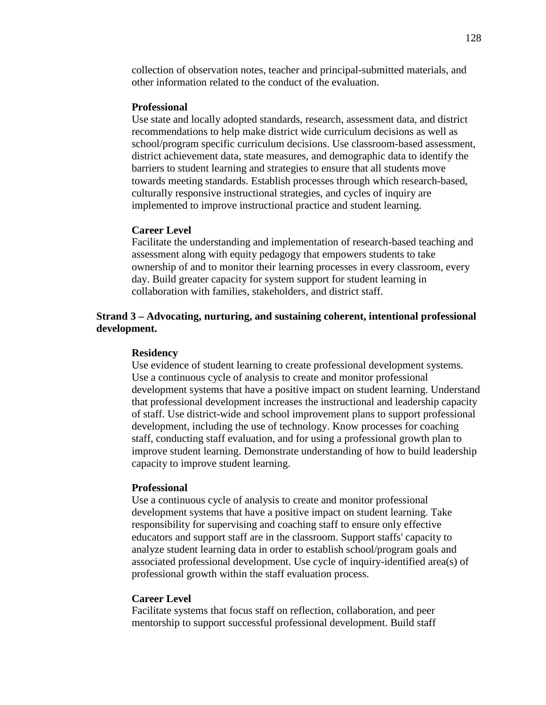collection of observation notes, teacher and principal-submitted materials, and other information related to the conduct of the evaluation.

#### **Professional**

Use state and locally adopted standards, research, assessment data, and district recommendations to help make district wide curriculum decisions as well as school/program specific curriculum decisions. Use classroom-based assessment, district achievement data, state measures, and demographic data to identify the barriers to student learning and strategies to ensure that all students move towards meeting standards. Establish processes through which research-based, culturally responsive instructional strategies, and cycles of inquiry are implemented to improve instructional practice and student learning.

## **Career Level**

Facilitate the understanding and implementation of research-based teaching and assessment along with equity pedagogy that empowers students to take ownership of and to monitor their learning processes in every classroom, every day. Build greater capacity for system support for student learning in collaboration with families, stakeholders, and district staff.

# **Strand 3 – Advocating, nurturing, and sustaining coherent, intentional professional development.**

## **Residency**

Use evidence of student learning to create professional development systems. Use a continuous cycle of analysis to create and monitor professional development systems that have a positive impact on student learning. Understand that professional development increases the instructional and leadership capacity of staff. Use district-wide and school improvement plans to support professional development, including the use of technology. Know processes for coaching staff, conducting staff evaluation, and for using a professional growth plan to improve student learning. Demonstrate understanding of how to build leadership capacity to improve student learning.

#### **Professional**

Use a continuous cycle of analysis to create and monitor professional development systems that have a positive impact on student learning. Take responsibility for supervising and coaching staff to ensure only effective educators and support staff are in the classroom. Support staffs' capacity to analyze student learning data in order to establish school/program goals and associated professional development. Use cycle of inquiry-identified area(s) of professional growth within the staff evaluation process.

### **Career Level**

Facilitate systems that focus staff on reflection, collaboration, and peer mentorship to support successful professional development. Build staff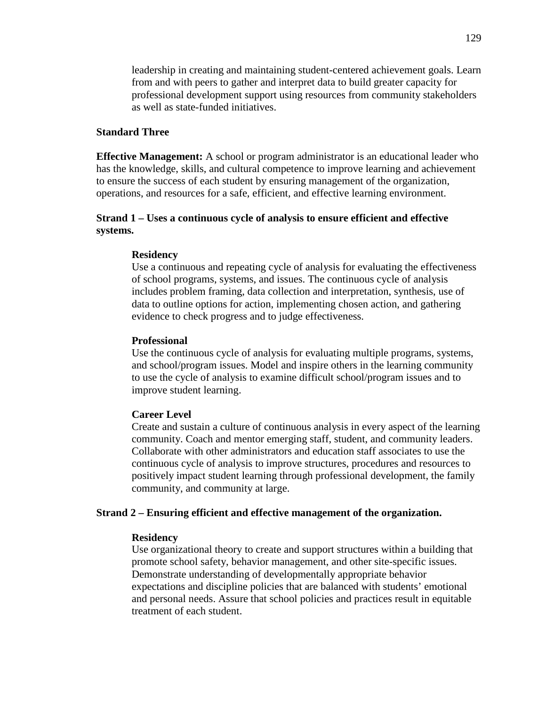leadership in creating and maintaining student-centered achievement goals. Learn from and with peers to gather and interpret data to build greater capacity for professional development support using resources from community stakeholders as well as state-funded initiatives.

## **Standard Three**

**Effective Management:** A school or program administrator is an educational leader who has the knowledge, skills, and cultural competence to improve learning and achievement to ensure the success of each student by ensuring management of the organization, operations, and resources for a safe, efficient, and effective learning environment.

## **Strand 1 – Uses a continuous cycle of analysis to ensure efficient and effective systems.**

#### **Residency**

Use a continuous and repeating cycle of analysis for evaluating the effectiveness of school programs, systems, and issues. The continuous cycle of analysis includes problem framing, data collection and interpretation, synthesis, use of data to outline options for action, implementing chosen action, and gathering evidence to check progress and to judge effectiveness.

#### **Professional**

Use the continuous cycle of analysis for evaluating multiple programs, systems, and school/program issues. Model and inspire others in the learning community to use the cycle of analysis to examine difficult school/program issues and to improve student learning.

#### **Career Level**

Create and sustain a culture of continuous analysis in every aspect of the learning community. Coach and mentor emerging staff, student, and community leaders. Collaborate with other administrators and education staff associates to use the continuous cycle of analysis to improve structures, procedures and resources to positively impact student learning through professional development, the family community, and community at large.

## **Strand 2 – Ensuring efficient and effective management of the organization.**

#### **Residency**

Use organizational theory to create and support structures within a building that promote school safety, behavior management, and other site-specific issues. Demonstrate understanding of developmentally appropriate behavior expectations and discipline policies that are balanced with students' emotional and personal needs. Assure that school policies and practices result in equitable treatment of each student.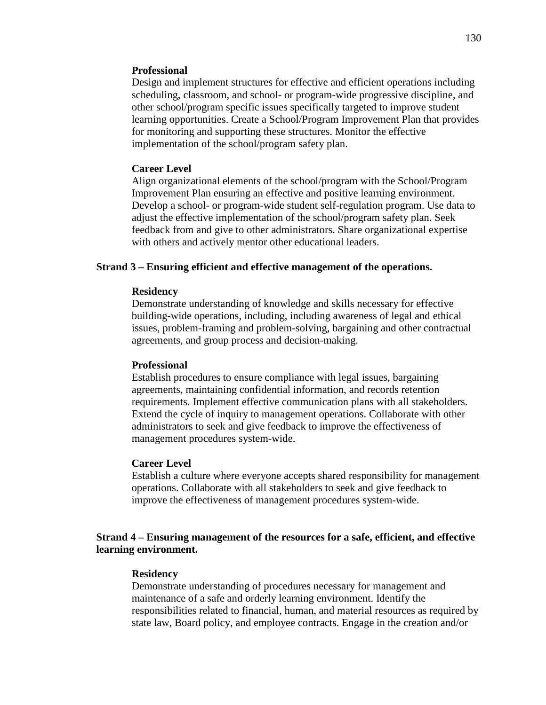#### **Professional**

Design and implement structures for effective and efficient operations including scheduling, classroom, and school- or program-wide progressive discipline, and other school/program specific issues specifically targeted to improve student learning opportunities. Create a School/Program Improvement Plan that provides for monitoring and supporting these structures. Monitor the effective implementation of the school/program safety plan.

## **Career Level**

Align organizational elements of the school/program with the School/Program Improvement Plan ensuring an effective and positive learning environment. Develop a school- or program-wide student self-regulation program. Use data to adjust the effective implementation of the school/program safety plan. Seek feedback from and give to other administrators. Share organizational expertise with others and actively mentor other educational leaders.

## **Strand 3 – Ensuring efficient and effective management of the operations.**

## **Residency**

Demonstrate understanding of knowledge and skills necessary for effective building-wide operations, including, including awareness of legal and ethical issues, problem-framing and problem-solving, bargaining and other contractual agreements, and group process and decision-making.

#### **Professional**

Establish procedures to ensure compliance with legal issues, bargaining agreements, maintaining confidential information, and records retention requirements. Implement effective communication plans with all stakeholders. Extend the cycle of inquiry to management operations. Collaborate with other administrators to seek and give feedback to improve the effectiveness of management procedures system-wide.

#### **Career Level**

Establish a culture where everyone accepts shared responsibility for management operations. Collaborate with all stakeholders to seek and give feedback to improve the effectiveness of management procedures system-wide.

## **Strand 4 – Ensuring management of the resources for a safe, efficient, and effective learning environment.**

## **Residency**

Demonstrate understanding of procedures necessary for management and maintenance of a safe and orderly learning environment. Identify the responsibilities related to financial, human, and material resources as required by state law, Board policy, and employee contracts. Engage in the creation and/or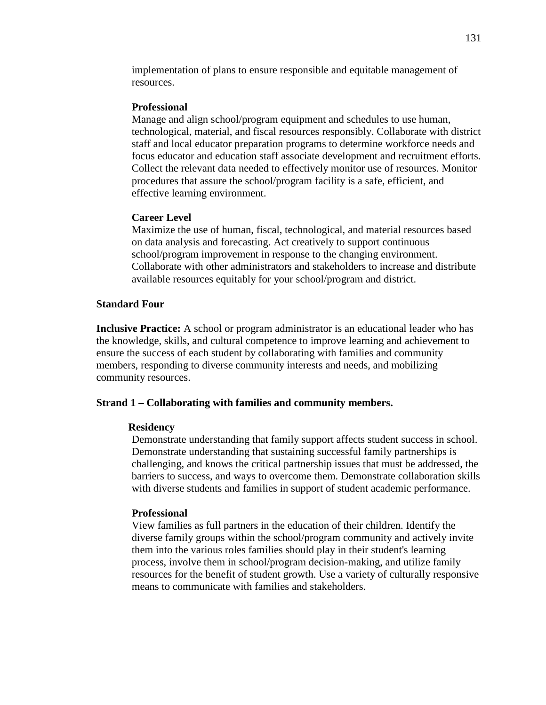implementation of plans to ensure responsible and equitable management of resources.

## **Professional**

Manage and align school/program equipment and schedules to use human, technological, material, and fiscal resources responsibly. Collaborate with district staff and local educator preparation programs to determine workforce needs and focus educator and education staff associate development and recruitment efforts. Collect the relevant data needed to effectively monitor use of resources. Monitor procedures that assure the school/program facility is a safe, efficient, and effective learning environment.

## **Career Level**

Maximize the use of human, fiscal, technological, and material resources based on data analysis and forecasting. Act creatively to support continuous school/program improvement in response to the changing environment. Collaborate with other administrators and stakeholders to increase and distribute available resources equitably for your school/program and district.

# **Standard Four**

**Inclusive Practice:** A school or program administrator is an educational leader who has the knowledge, skills, and cultural competence to improve learning and achievement to ensure the success of each student by collaborating with families and community members, responding to diverse community interests and needs, and mobilizing community resources.

## **Strand 1 – Collaborating with families and community members.**

#### **Residency**

Demonstrate understanding that family support affects student success in school. Demonstrate understanding that sustaining successful family partnerships is challenging, and knows the critical partnership issues that must be addressed, the barriers to success, and ways to overcome them. Demonstrate collaboration skills with diverse students and families in support of student academic performance.

## **Professional**

View families as full partners in the education of their children. Identify the diverse family groups within the school/program community and actively invite them into the various roles families should play in their student's learning process, involve them in school/program decision-making, and utilize family resources for the benefit of student growth. Use a variety of culturally responsive means to communicate with families and stakeholders.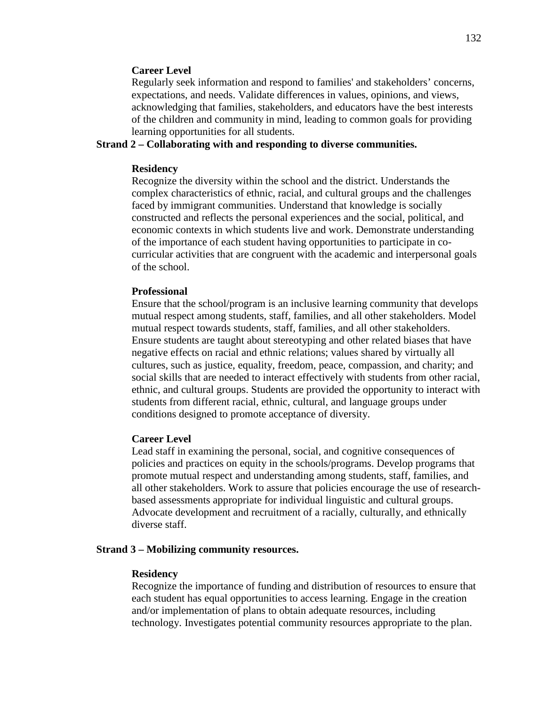## **Career Level**

Regularly seek information and respond to families' and stakeholders' concerns, expectations, and needs. Validate differences in values, opinions, and views, acknowledging that families, stakeholders, and educators have the best interests of the children and community in mind, leading to common goals for providing learning opportunities for all students.

# **Strand 2 – Collaborating with and responding to diverse communities.**

#### **Residency**

Recognize the diversity within the school and the district. Understands the complex characteristics of ethnic, racial, and cultural groups and the challenges faced by immigrant communities. Understand that knowledge is socially constructed and reflects the personal experiences and the social, political, and economic contexts in which students live and work. Demonstrate understanding of the importance of each student having opportunities to participate in cocurricular activities that are congruent with the academic and interpersonal goals of the school.

## **Professional**

Ensure that the school/program is an inclusive learning community that develops mutual respect among students, staff, families, and all other stakeholders. Model mutual respect towards students, staff, families, and all other stakeholders. Ensure students are taught about stereotyping and other related biases that have negative effects on racial and ethnic relations; values shared by virtually all cultures, such as justice, equality, freedom, peace, compassion, and charity; and social skills that are needed to interact effectively with students from other racial, ethnic, and cultural groups. Students are provided the opportunity to interact with students from different racial, ethnic, cultural, and language groups under conditions designed to promote acceptance of diversity.

#### **Career Level**

Lead staff in examining the personal, social, and cognitive consequences of policies and practices on equity in the schools/programs. Develop programs that promote mutual respect and understanding among students, staff, families, and all other stakeholders. Work to assure that policies encourage the use of researchbased assessments appropriate for individual linguistic and cultural groups. Advocate development and recruitment of a racially, culturally, and ethnically diverse staff.

#### **Strand 3 – Mobilizing community resources.**

#### **Residency**

Recognize the importance of funding and distribution of resources to ensure that each student has equal opportunities to access learning. Engage in the creation and/or implementation of plans to obtain adequate resources, including technology. Investigates potential community resources appropriate to the plan.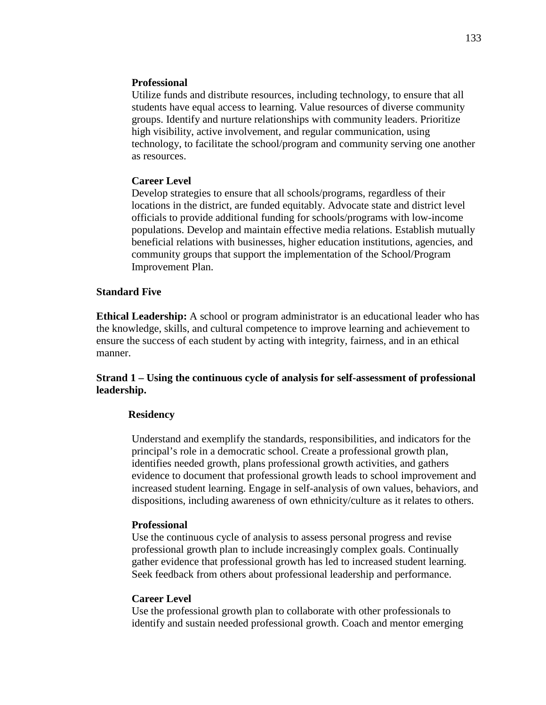## **Professional**

Utilize funds and distribute resources, including technology, to ensure that all students have equal access to learning. Value resources of diverse community groups. Identify and nurture relationships with community leaders. Prioritize high visibility, active involvement, and regular communication, using technology, to facilitate the school/program and community serving one another as resources.

## **Career Level**

Develop strategies to ensure that all schools/programs, regardless of their locations in the district, are funded equitably. Advocate state and district level officials to provide additional funding for schools/programs with low-income populations. Develop and maintain effective media relations. Establish mutually beneficial relations with businesses, higher education institutions, agencies, and community groups that support the implementation of the School/Program Improvement Plan.

## **Standard Five**

**Ethical Leadership:** A school or program administrator is an educational leader who has the knowledge, skills, and cultural competence to improve learning and achievement to ensure the success of each student by acting with integrity, fairness, and in an ethical manner.

# **Strand 1 – Using the continuous cycle of analysis for self-assessment of professional leadership.**

## **Residency**

Understand and exemplify the standards, responsibilities, and indicators for the principal's role in a democratic school. Create a professional growth plan, identifies needed growth, plans professional growth activities, and gathers evidence to document that professional growth leads to school improvement and increased student learning. Engage in self-analysis of own values, behaviors, and dispositions, including awareness of own ethnicity/culture as it relates to others.

## **Professional**

Use the continuous cycle of analysis to assess personal progress and revise professional growth plan to include increasingly complex goals. Continually gather evidence that professional growth has led to increased student learning. Seek feedback from others about professional leadership and performance.

### **Career Level**

Use the professional growth plan to collaborate with other professionals to identify and sustain needed professional growth. Coach and mentor emerging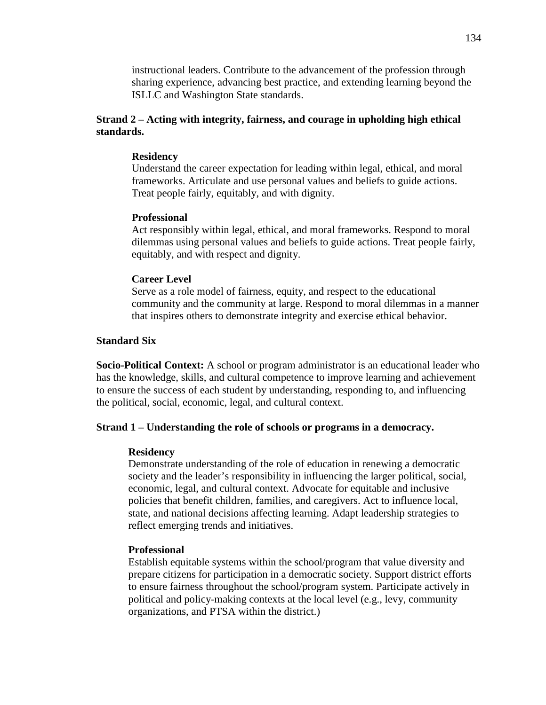instructional leaders. Contribute to the advancement of the profession through sharing experience, advancing best practice, and extending learning beyond the ISLLC and Washington State standards.

# **Strand 2 – Acting with integrity, fairness, and courage in upholding high ethical standards.**

## **Residency**

Understand the career expectation for leading within legal, ethical, and moral frameworks. Articulate and use personal values and beliefs to guide actions. Treat people fairly, equitably, and with dignity.

## **Professional**

Act responsibly within legal, ethical, and moral frameworks. Respond to moral dilemmas using personal values and beliefs to guide actions. Treat people fairly, equitably, and with respect and dignity.

#### **Career Level**

Serve as a role model of fairness, equity, and respect to the educational community and the community at large. Respond to moral dilemmas in a manner that inspires others to demonstrate integrity and exercise ethical behavior.

## **Standard Six**

**Socio-Political Context:** A school or program administrator is an educational leader who has the knowledge, skills, and cultural competence to improve learning and achievement to ensure the success of each student by understanding, responding to, and influencing the political, social, economic, legal, and cultural context.

#### **Strand 1 – Understanding the role of schools or programs in a democracy.**

#### **Residency**

Demonstrate understanding of the role of education in renewing a democratic society and the leader's responsibility in influencing the larger political, social, economic, legal, and cultural context. Advocate for equitable and inclusive policies that benefit children, families, and caregivers. Act to influence local, state, and national decisions affecting learning. Adapt leadership strategies to reflect emerging trends and initiatives.

## **Professional**

Establish equitable systems within the school/program that value diversity and prepare citizens for participation in a democratic society. Support district efforts to ensure fairness throughout the school/program system. Participate actively in political and policy-making contexts at the local level (e.g., levy, community organizations, and PTSA within the district.)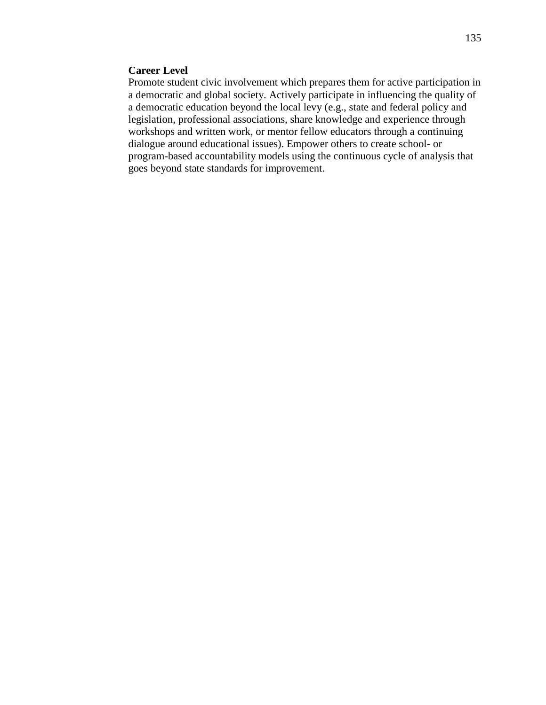# **Career Level**

Promote student civic involvement which prepares them for active participation in a democratic and global society. Actively participate in influencing the quality of a democratic education beyond the local levy (e.g., state and federal policy and legislation, professional associations, share knowledge and experience through workshops and written work, or mentor fellow educators through a continuing dialogue around educational issues). Empower others to create school- or program-based accountability models using the continuous cycle of analysis that goes beyond state standards for improvement.